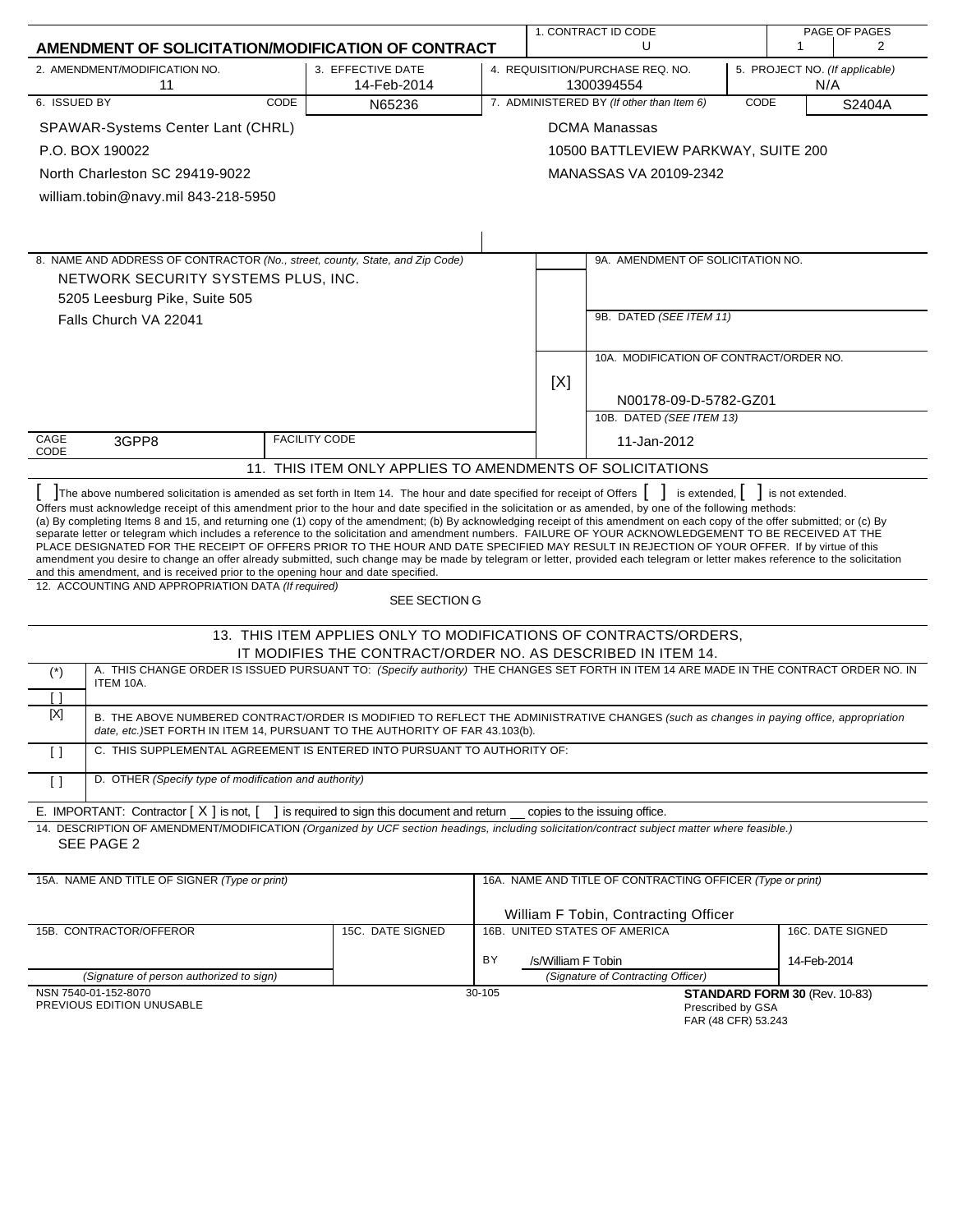|                                                                                                                                                                                                                                                                                                                                                                                                                                                                                                                                                                                                                                                                                                                                                                                                                                                                                                                                                                                    |                                                                                                                                 |        |                                                                                         | 1. CONTRACT ID CODE                                        |      |                               | PAGE OF PAGES    |
|------------------------------------------------------------------------------------------------------------------------------------------------------------------------------------------------------------------------------------------------------------------------------------------------------------------------------------------------------------------------------------------------------------------------------------------------------------------------------------------------------------------------------------------------------------------------------------------------------------------------------------------------------------------------------------------------------------------------------------------------------------------------------------------------------------------------------------------------------------------------------------------------------------------------------------------------------------------------------------|---------------------------------------------------------------------------------------------------------------------------------|--------|-----------------------------------------------------------------------------------------|------------------------------------------------------------|------|-------------------------------|------------------|
| AMENDMENT OF SOLICITATION/MODIFICATION OF CONTRACT                                                                                                                                                                                                                                                                                                                                                                                                                                                                                                                                                                                                                                                                                                                                                                                                                                                                                                                                 |                                                                                                                                 |        |                                                                                         | U                                                          |      | 1                             | 2                |
| 2. AMENDMENT/MODIFICATION NO.<br>11                                                                                                                                                                                                                                                                                                                                                                                                                                                                                                                                                                                                                                                                                                                                                                                                                                                                                                                                                | 3. EFFECTIVE DATE<br>14-Feb-2014                                                                                                |        | 4. REQUISITION/PURCHASE REQ. NO.<br>5. PROJECT NO. (If applicable)<br>1300394554<br>N/A |                                                            |      |                               |                  |
| 6. ISSUED BY<br>CODE                                                                                                                                                                                                                                                                                                                                                                                                                                                                                                                                                                                                                                                                                                                                                                                                                                                                                                                                                               | N65236                                                                                                                          |        |                                                                                         | 7. ADMINISTERED BY (If other than Item 6)                  | CODE |                               | S2404A           |
| SPAWAR-Systems Center Lant (CHRL)                                                                                                                                                                                                                                                                                                                                                                                                                                                                                                                                                                                                                                                                                                                                                                                                                                                                                                                                                  |                                                                                                                                 |        |                                                                                         | <b>DCMA Manassas</b>                                       |      |                               |                  |
| P.O. BOX 190022                                                                                                                                                                                                                                                                                                                                                                                                                                                                                                                                                                                                                                                                                                                                                                                                                                                                                                                                                                    |                                                                                                                                 |        |                                                                                         | 10500 BATTLEVIEW PARKWAY, SUITE 200                        |      |                               |                  |
| North Charleston SC 29419-9022                                                                                                                                                                                                                                                                                                                                                                                                                                                                                                                                                                                                                                                                                                                                                                                                                                                                                                                                                     |                                                                                                                                 |        |                                                                                         | MANASSAS VA 20109-2342                                     |      |                               |                  |
| william.tobin@navy.mil 843-218-5950                                                                                                                                                                                                                                                                                                                                                                                                                                                                                                                                                                                                                                                                                                                                                                                                                                                                                                                                                |                                                                                                                                 |        |                                                                                         |                                                            |      |                               |                  |
|                                                                                                                                                                                                                                                                                                                                                                                                                                                                                                                                                                                                                                                                                                                                                                                                                                                                                                                                                                                    |                                                                                                                                 |        |                                                                                         |                                                            |      |                               |                  |
|                                                                                                                                                                                                                                                                                                                                                                                                                                                                                                                                                                                                                                                                                                                                                                                                                                                                                                                                                                                    |                                                                                                                                 |        |                                                                                         |                                                            |      |                               |                  |
| 8. NAME AND ADDRESS OF CONTRACTOR (No., street, county, State, and Zip Code)                                                                                                                                                                                                                                                                                                                                                                                                                                                                                                                                                                                                                                                                                                                                                                                                                                                                                                       |                                                                                                                                 |        |                                                                                         | 9A. AMENDMENT OF SOLICITATION NO.                          |      |                               |                  |
| NETWORK SECURITY SYSTEMS PLUS, INC.                                                                                                                                                                                                                                                                                                                                                                                                                                                                                                                                                                                                                                                                                                                                                                                                                                                                                                                                                |                                                                                                                                 |        |                                                                                         |                                                            |      |                               |                  |
| 5205 Leesburg Pike, Suite 505                                                                                                                                                                                                                                                                                                                                                                                                                                                                                                                                                                                                                                                                                                                                                                                                                                                                                                                                                      |                                                                                                                                 |        |                                                                                         |                                                            |      |                               |                  |
| Falls Church VA 22041                                                                                                                                                                                                                                                                                                                                                                                                                                                                                                                                                                                                                                                                                                                                                                                                                                                                                                                                                              |                                                                                                                                 |        |                                                                                         | 9B. DATED (SEE ITEM 11)                                    |      |                               |                  |
|                                                                                                                                                                                                                                                                                                                                                                                                                                                                                                                                                                                                                                                                                                                                                                                                                                                                                                                                                                                    |                                                                                                                                 |        |                                                                                         |                                                            |      |                               |                  |
|                                                                                                                                                                                                                                                                                                                                                                                                                                                                                                                                                                                                                                                                                                                                                                                                                                                                                                                                                                                    |                                                                                                                                 |        |                                                                                         | 10A. MODIFICATION OF CONTRACT/ORDER NO.                    |      |                               |                  |
|                                                                                                                                                                                                                                                                                                                                                                                                                                                                                                                                                                                                                                                                                                                                                                                                                                                                                                                                                                                    |                                                                                                                                 |        | [X]                                                                                     |                                                            |      |                               |                  |
|                                                                                                                                                                                                                                                                                                                                                                                                                                                                                                                                                                                                                                                                                                                                                                                                                                                                                                                                                                                    |                                                                                                                                 |        |                                                                                         | N00178-09-D-5782-GZ01<br>10B. DATED (SEE ITEM 13)          |      |                               |                  |
| CAGE<br>3GPP8                                                                                                                                                                                                                                                                                                                                                                                                                                                                                                                                                                                                                                                                                                                                                                                                                                                                                                                                                                      | <b>FACILITY CODE</b>                                                                                                            |        |                                                                                         | 11-Jan-2012                                                |      |                               |                  |
| CODE                                                                                                                                                                                                                                                                                                                                                                                                                                                                                                                                                                                                                                                                                                                                                                                                                                                                                                                                                                               |                                                                                                                                 |        |                                                                                         |                                                            |      |                               |                  |
|                                                                                                                                                                                                                                                                                                                                                                                                                                                                                                                                                                                                                                                                                                                                                                                                                                                                                                                                                                                    | 11. THIS ITEM ONLY APPLIES TO AMENDMENTS OF SOLICITATIONS                                                                       |        |                                                                                         |                                                            |      |                               |                  |
| Offers must acknowledge receipt of this amendment prior to the hour and date specified in the solicitation or as amended, by one of the following methods:<br>(a) By completing Items 8 and 15, and returning one (1) copy of the amendment; (b) By acknowledging receipt of this amendment on each copy of the offer submitted; or (c) By<br>separate letter or telegram which includes a reference to the solicitation and amendment numbers. FAILURE OF YOUR ACKNOWLEDGEMENT TO BE RECEIVED AT THE<br>PLACE DESIGNATED FOR THE RECEIPT OF OFFERS PRIOR TO THE HOUR AND DATE SPECIFIED MAY RESULT IN REJECTION OF YOUR OFFER. If by virtue of this<br>amendment you desire to change an offer already submitted, such change may be made by telegram or letter, provided each telegram or letter makes reference to the solicitation<br>and this amendment, and is received prior to the opening hour and date specified.<br>12. ACCOUNTING AND APPROPRIATION DATA (If required) |                                                                                                                                 |        |                                                                                         |                                                            |      |                               |                  |
|                                                                                                                                                                                                                                                                                                                                                                                                                                                                                                                                                                                                                                                                                                                                                                                                                                                                                                                                                                                    | SEE SECTION G                                                                                                                   |        |                                                                                         |                                                            |      |                               |                  |
|                                                                                                                                                                                                                                                                                                                                                                                                                                                                                                                                                                                                                                                                                                                                                                                                                                                                                                                                                                                    | 13. THIS ITEM APPLIES ONLY TO MODIFICATIONS OF CONTRACTS/ORDERS,<br>IT MODIFIES THE CONTRACT/ORDER NO. AS DESCRIBED IN ITEM 14. |        |                                                                                         |                                                            |      |                               |                  |
| A. THIS CHANGE ORDER IS ISSUED PURSUANT TO: (Specify authority) THE CHANGES SET FORTH IN ITEM 14 ARE MADE IN THE CONTRACT ORDER NO. IN<br>$(*)$<br>ITEM 10A.                                                                                                                                                                                                                                                                                                                                                                                                                                                                                                                                                                                                                                                                                                                                                                                                                       |                                                                                                                                 |        |                                                                                         |                                                            |      |                               |                  |
| Γl                                                                                                                                                                                                                                                                                                                                                                                                                                                                                                                                                                                                                                                                                                                                                                                                                                                                                                                                                                                 |                                                                                                                                 |        |                                                                                         |                                                            |      |                               |                  |
| $[{\sf X}]$<br>B. THE ABOVE NUMBERED CONTRACT/ORDER IS MODIFIED TO REFLECT THE ADMINISTRATIVE CHANGES (such as changes in paying office, appropriation<br>date, etc.) SET FORTH IN ITEM 14, PURSUANT TO THE AUTHORITY OF FAR 43.103(b).                                                                                                                                                                                                                                                                                                                                                                                                                                                                                                                                                                                                                                                                                                                                            |                                                                                                                                 |        |                                                                                         |                                                            |      |                               |                  |
| C. THIS SUPPLEMENTAL AGREEMENT IS ENTERED INTO PURSUANT TO AUTHORITY OF:<br>$\Box$                                                                                                                                                                                                                                                                                                                                                                                                                                                                                                                                                                                                                                                                                                                                                                                                                                                                                                 |                                                                                                                                 |        |                                                                                         |                                                            |      |                               |                  |
| D. OTHER (Specify type of modification and authority)<br>$\left[ \ \right]$                                                                                                                                                                                                                                                                                                                                                                                                                                                                                                                                                                                                                                                                                                                                                                                                                                                                                                        |                                                                                                                                 |        |                                                                                         |                                                            |      |                               |                  |
| E. IMPORTANT: Contractor $[X]$ is not, $\begin{bmatrix} 1 \\ 1 \end{bmatrix}$ is required to sign this document and return copies to the issuing office.                                                                                                                                                                                                                                                                                                                                                                                                                                                                                                                                                                                                                                                                                                                                                                                                                           |                                                                                                                                 |        |                                                                                         |                                                            |      |                               |                  |
| 14. DESCRIPTION OF AMENDMENT/MODIFICATION (Organized by UCF section headings, including solicitation/contract subject matter where feasible.)                                                                                                                                                                                                                                                                                                                                                                                                                                                                                                                                                                                                                                                                                                                                                                                                                                      |                                                                                                                                 |        |                                                                                         |                                                            |      |                               |                  |
| SEE PAGE 2                                                                                                                                                                                                                                                                                                                                                                                                                                                                                                                                                                                                                                                                                                                                                                                                                                                                                                                                                                         |                                                                                                                                 |        |                                                                                         |                                                            |      |                               |                  |
| 15A. NAME AND TITLE OF SIGNER (Type or print)                                                                                                                                                                                                                                                                                                                                                                                                                                                                                                                                                                                                                                                                                                                                                                                                                                                                                                                                      |                                                                                                                                 |        |                                                                                         | 16A. NAME AND TITLE OF CONTRACTING OFFICER (Type or print) |      |                               |                  |
|                                                                                                                                                                                                                                                                                                                                                                                                                                                                                                                                                                                                                                                                                                                                                                                                                                                                                                                                                                                    |                                                                                                                                 |        |                                                                                         |                                                            |      |                               |                  |
|                                                                                                                                                                                                                                                                                                                                                                                                                                                                                                                                                                                                                                                                                                                                                                                                                                                                                                                                                                                    |                                                                                                                                 |        |                                                                                         | William F Tobin, Contracting Officer                       |      |                               |                  |
| 15B. CONTRACTOR/OFFEROR                                                                                                                                                                                                                                                                                                                                                                                                                                                                                                                                                                                                                                                                                                                                                                                                                                                                                                                                                            | 15C. DATE SIGNED                                                                                                                |        |                                                                                         | 16B. UNITED STATES OF AMERICA                              |      |                               | 16C. DATE SIGNED |
|                                                                                                                                                                                                                                                                                                                                                                                                                                                                                                                                                                                                                                                                                                                                                                                                                                                                                                                                                                                    |                                                                                                                                 | BY     | /s/William F Tobin                                                                      |                                                            |      | 14-Feb-2014                   |                  |
| (Signature of person authorized to sign)                                                                                                                                                                                                                                                                                                                                                                                                                                                                                                                                                                                                                                                                                                                                                                                                                                                                                                                                           |                                                                                                                                 |        |                                                                                         | (Signature of Contracting Officer)                         |      |                               |                  |
| NSN 7540-01-152-8070<br>PREVIOUS EDITION UNUSABLE                                                                                                                                                                                                                                                                                                                                                                                                                                                                                                                                                                                                                                                                                                                                                                                                                                                                                                                                  |                                                                                                                                 | 30-105 |                                                                                         | Prescribed by GSA<br>FAR (48 CFR) 53.243                   |      | STANDARD FORM 30 (Rev. 10-83) |                  |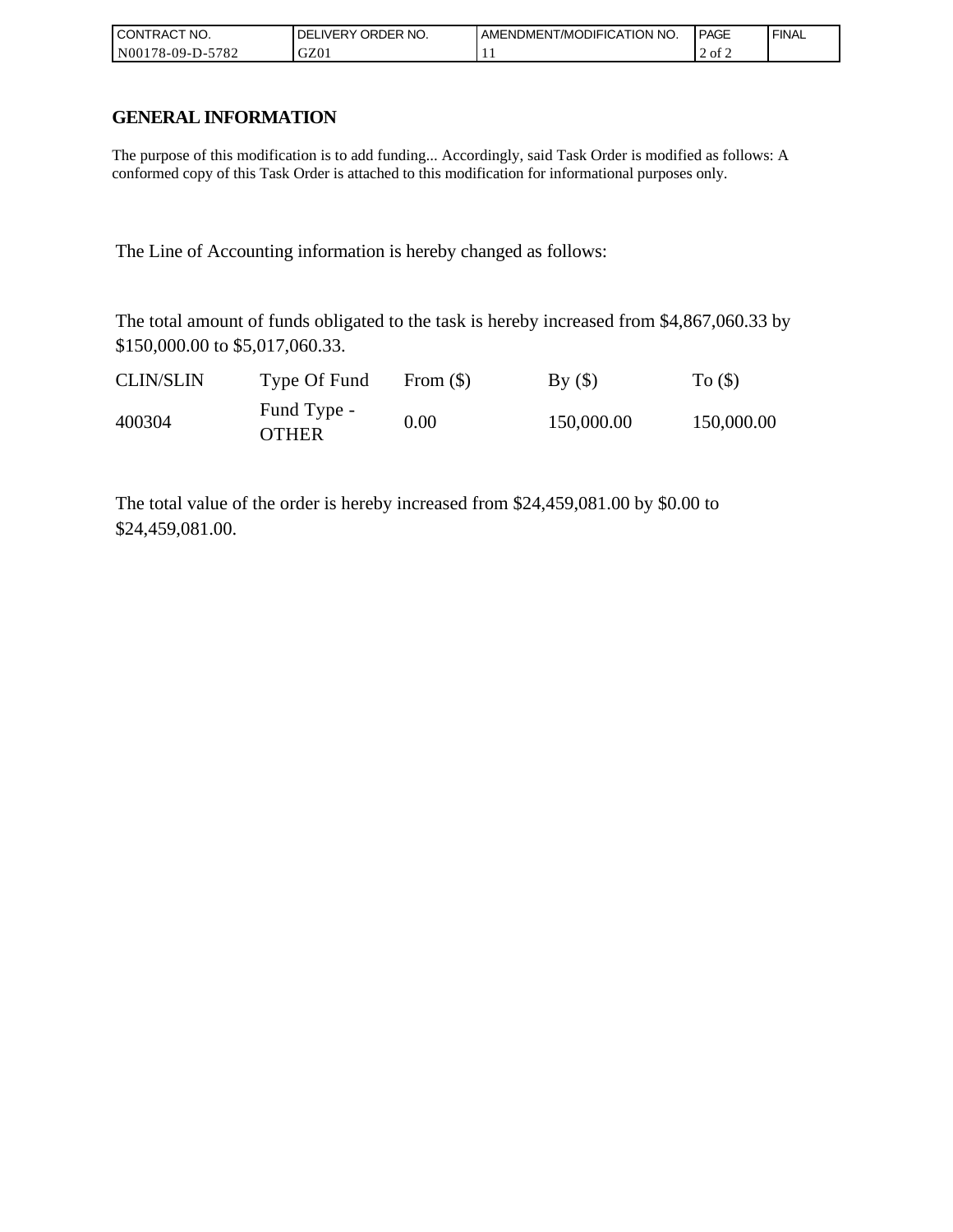| ' CONTRACT NO.        | `order no.<br><b>DELIVERY</b> | AMENDMENT/MODIFICATION NO. | <b>PAGE</b> | ' FINAL |
|-----------------------|-------------------------------|----------------------------|-------------|---------|
| 5782<br>N00178-09-D-5 | GZ01                          | . .                        | 2 of 2      |         |

# **GENERAL INFORMATION**

The purpose of this modification is to add funding... Accordingly, said Task Order is modified as follows: A conformed copy of this Task Order is attached to this modification for informational purposes only.

The Line of Accounting information is hereby changed as follows:

The total amount of funds obligated to the task is hereby increased from \$4,867,060.33 by \$150,000.00 to \$5,017,060.33.

| <b>CLIN/SLIN</b> | Type Of Fund                | From $(S)$ | By()       | To $($ )   |
|------------------|-----------------------------|------------|------------|------------|
| 400304           | Fund Type -<br><b>OTHER</b> | 0.00       | 150,000.00 | 150,000.00 |

The total value of the order is hereby increased from \$24,459,081.00 by \$0.00 to \$24,459,081.00.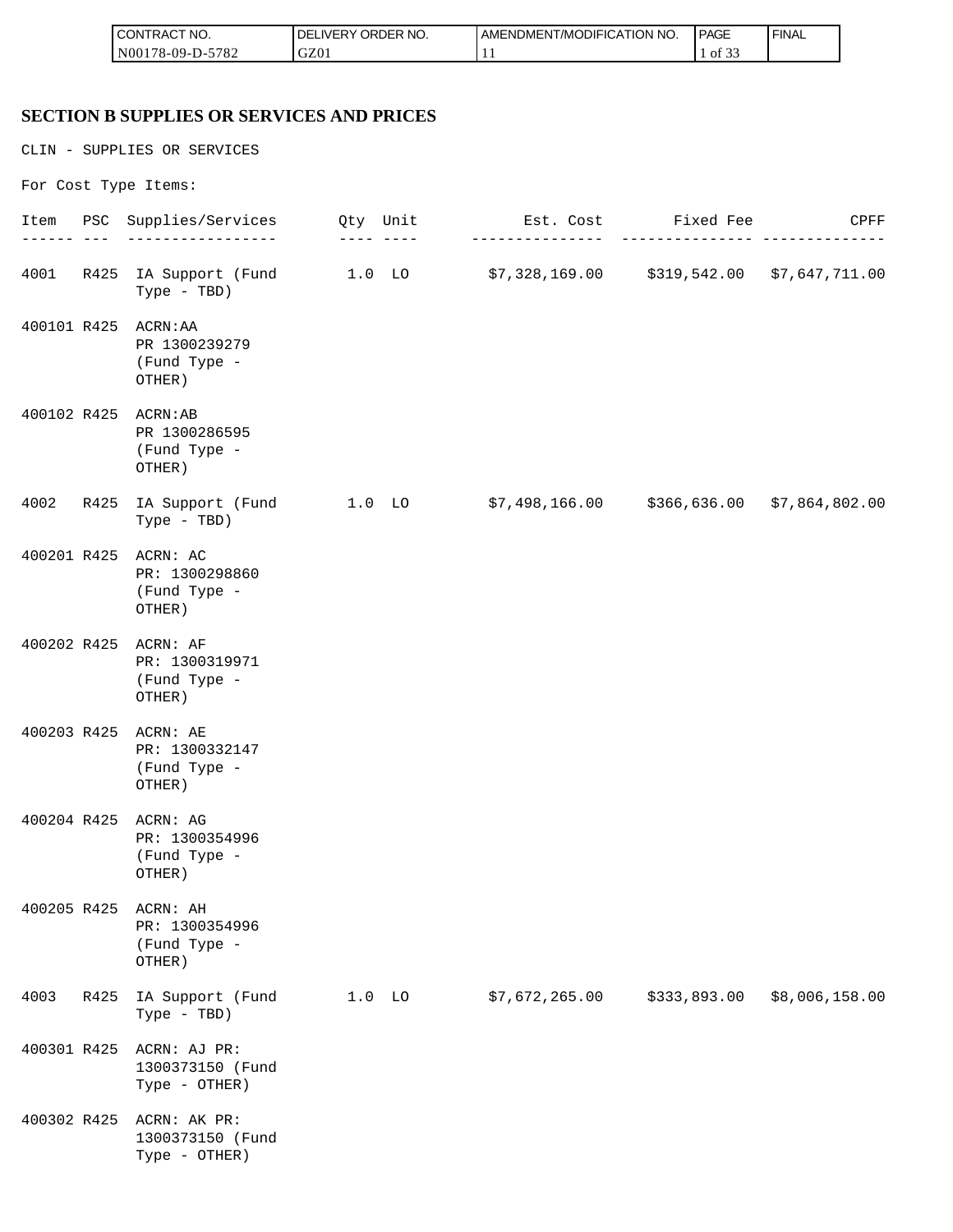| <b>CONTRACT NO.</b>  | NO.<br>ORDER<br><b>DELIVERY</b> | AMENDMENT/MODIFICATION NO. | <b>PAGE</b>                | ' FINAL |
|----------------------|---------------------------------|----------------------------|----------------------------|---------|
| N00178-09-D-<br>5782 | GZ01                            |                            | $\sim$ $\sim$ $\sim$<br>ΟĪ |         |

#### **SECTION B SUPPLIES OR SERVICES AND PRICES**

CLIN - SUPPLIES OR SERVICES For Cost Type Items: Item PSC Supplies/Services Qty Unit Est. Cost Fixed Fee CPFF ------ --- ----------------- ---- ---- --------------- --------------- -------------- 4001 R425 IA Support (Fund 1.0 LO \$7,328,169.00 \$319,542.00 \$7,647,711.00 Type - TBD) 400101 R425 ACRN:AA PR 1300239279 (Fund Type - OTHER) 400102 R425 ACRN:AB PR 1300286595 (Fund Type - OTHER) 4002 R425 IA Support (Fund 1.0 LO \$7,498,166.00 \$366,636.00 \$7,864,802.00 Type - TBD) 400201 R425 ACRN: AC PR: 1300298860 (Fund Type - OTHER) 400202 R425 ACRN: AF PR: 1300319971 (Fund Type - OTHER) 400203 R425 ACRN: AE PR: 1300332147 (Fund Type - OTHER) 400204 R425 ACRN: AG PR: 1300354996 (Fund Type - OTHER) 400205 R425 ACRN: AH PR: 1300354996 (Fund Type - OTHER) 4003 R425 IA Support (Fund 1.0 LO \$7,672,265.00 \$333,893.00 \$8,006,158.00 Type - TBD) 400301 R425 ACRN: AJ PR: 1300373150 (Fund Type - OTHER) 400302 R425 ACRN: AK PR: 1300373150 (Fund Type - OTHER)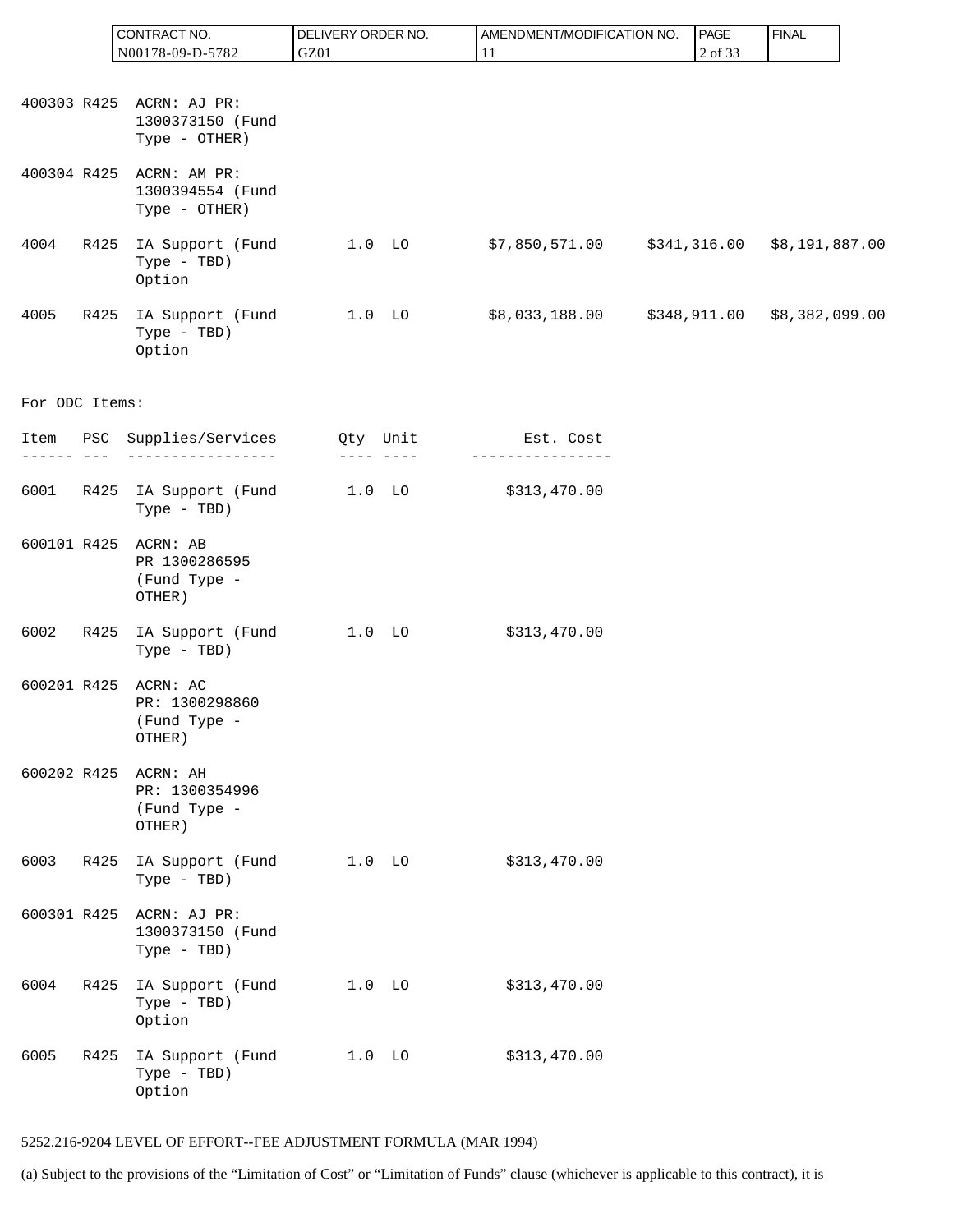|                |         | CONTRACT NO.                                                       | DELIVERY ORDER NO. |          | AMENDMENT/MODIFICATION NO. | PAGE         | <b>FINAL</b>                     |
|----------------|---------|--------------------------------------------------------------------|--------------------|----------|----------------------------|--------------|----------------------------------|
|                |         | N00178-09-D-5782                                                   | GZ01               |          | 11                         | 2 of 33      |                                  |
|                |         | 400303 R425 ACRN: AJ PR:<br>1300373150 (Fund                       |                    |          |                            |              |                                  |
| 400304 R425    |         | Type - OTHER)<br>ACRN: AM PR:<br>1300394554 (Fund<br>Type - OTHER) |                    |          |                            |              |                                  |
| 4004           | R425    | IA Support (Fund<br>Type - TBD)<br>Option                          |                    | $1.0$ LO | \$7,850,571.00             |              | $$341, 316.00$ $$8, 191, 887.00$ |
| 4005           | R425    | IA Support (Fund<br>Type - TBD)<br>Option                          |                    | $1.0$ LO | \$8,033,188.00             | \$348,911.00 | \$8,382,099.00                   |
| For ODC Items: |         |                                                                    |                    |          |                            |              |                                  |
|                | --- --- | Item PSC Supplies/Services Qty Unit                                | ---- ----          |          | Est. Cost                  |              |                                  |
| 6001           |         | R425 IA Support (Fund<br>Type - TBD)                               |                    | $1.0$ LO | \$313,470.00               |              |                                  |
| 600101 R425    |         | ACRN: AB<br>PR 1300286595<br>(Fund Type -<br>OTHER)                |                    |          |                            |              |                                  |
| 6002           | R425    | IA Support (Fund<br>Type - TBD)                                    | $1.0$ LO           |          | \$313,470.00               |              |                                  |
| 600201 R425    |         | ACRN: AC<br>PR: 1300298860<br>(Fund Type -<br>OTHER)               |                    |          |                            |              |                                  |
| 600202 R425    |         | ACRN: AH<br>PR: 1300354996<br>(Fund Type -<br>OTHER)               |                    |          |                            |              |                                  |
| 6003           | R425    | IA Support (Fund<br>Type - TBD)                                    |                    | $1.0$ LO | \$313,470.00               |              |                                  |
| 600301 R425    |         | ACRN: AJ PR:<br>1300373150 (Fund<br>Type - TBD)                    |                    |          |                            |              |                                  |
| 6004           | R425    | IA Support (Fund<br>Type - TBD)<br>Option                          |                    | $1.0$ LO | \$313,470.00               |              |                                  |
| 6005           | R425    | IA Support (Fund<br>Type - TBD)<br>Option                          |                    | $1.0$ LO | \$313,470.00               |              |                                  |

## 5252.216-9204 LEVEL OF EFFORT--FEE ADJUSTMENT FORMULA (MAR 1994)

(a) Subject to the provisions of the "Limitation of Cost" or "Limitation of Funds" clause (whichever is applicable to this contract), it is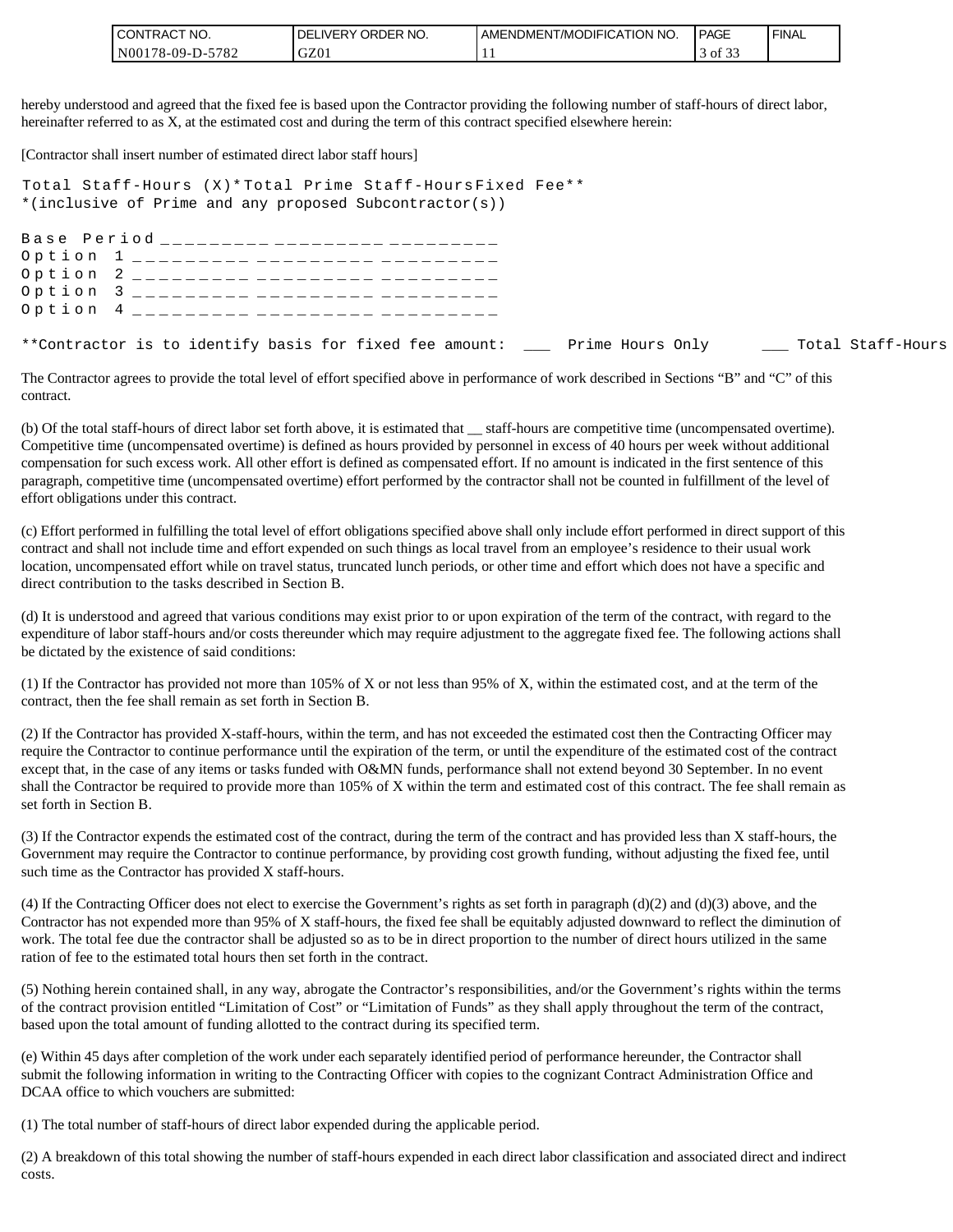| 'CONTRAC,<br>'NO.       | LIVERY ORDER NO.<br>DEI | <b>I AMENDMENT/MODIFICATION NO.</b> | <b>PAGE</b>              | ' FINAL |
|-------------------------|-------------------------|-------------------------------------|--------------------------|---------|
| 5782<br>$NO0178-09-D$ - | GZ01                    |                                     | $\sim$ $\sim$<br>of $3:$ |         |

hereby understood and agreed that the fixed fee is based upon the Contractor providing the following number of staff-hours of direct labor, hereinafter referred to as X, at the estimated cost and during the term of this contract specified elsewhere herein:

[Contractor shall insert number of estimated direct labor staff hours]

Total Staff-Hours (X)\* Total Prime Staff-Hours Fixed Fee\*\* \*(inclusive of Prime and any proposed Subcontractor(s))

Base Period \_\_\_\_\_\_\_\_\_ \_\_\_\_\_\_\_\_\_ \_\_\_\_\_\_\_ Option 1 \_\_\_\_\_\_\_\_\_ \_\_\_\_\_\_\_\_\_ \_\_\_\_\_\_\_ Option 2 \_\_\_\_\_\_\_\_\_ \_\_\_\_\_\_\_\_\_ \_\_\_\_\_\_\_ Option 3 \_\_\_\_\_\_\_\_\_ \_\_\_\_\_\_\_\_\_ \_\_\_\_\_\_\_ Option 4 \_\_\_\_\_\_\_\_\_ \_\_\_\_\_\_\_\_\_ \_\_\_\_\_\_\_ \*\*Contractor is to identify basis for fixed fee amount: \_\_\_ Prime Hours Only \_\_\_\_ Total Staff-Hours

The Contractor agrees to provide the total level of effort specified above in performance of work described in Sections "B" and "C" of this contract.

(b) Of the total staff-hours of direct labor set forth above, it is estimated that \_\_ staff-hours are competitive time (uncompensated overtime). Competitive time (uncompensated overtime) is defined as hours provided by personnel in excess of 40 hours per week without additional compensation for such excess work. All other effort is defined as compensated effort. If no amount is indicated in the first sentence of this paragraph, competitive time (uncompensated overtime) effort performed by the contractor shall not be counted in fulfillment of the level of effort obligations under this contract.

(c) Effort performed in fulfilling the total level of effort obligations specified above shall only include effort performed in direct support of this contract and shall not include time and effort expended on such things as local travel from an employee's residence to their usual work location, uncompensated effort while on travel status, truncated lunch periods, or other time and effort which does not have a specific and direct contribution to the tasks described in Section B.

(d) It is understood and agreed that various conditions may exist prior to or upon expiration of the term of the contract, with regard to the expenditure of labor staff-hours and/or costs thereunder which may require adjustment to the aggregate fixed fee. The following actions shall be dictated by the existence of said conditions:

(1) If the Contractor has provided not more than 105% of X or not less than 95% of X, within the estimated cost, and at the term of the contract, then the fee shall remain as set forth in Section B.

(2) If the Contractor has provided X-staff-hours, within the term, and has not exceeded the estimated cost then the Contracting Officer may require the Contractor to continue performance until the expiration of the term, or until the expenditure of the estimated cost of the contract except that, in the case of any items or tasks funded with O&MN funds, performance shall not extend beyond 30 September. In no event shall the Contractor be required to provide more than 105% of X within the term and estimated cost of this contract. The fee shall remain as set forth in Section B.

(3) If the Contractor expends the estimated cost of the contract, during the term of the contract and has provided less than X staff-hours, the Government may require the Contractor to continue performance, by providing cost growth funding, without adjusting the fixed fee, until such time as the Contractor has provided X staff-hours.

(4) If the Contracting Officer does not elect to exercise the Government's rights as set forth in paragraph  $(d)(2)$  and  $(d)(3)$  above, and the Contractor has not expended more than 95% of X staff-hours, the fixed fee shall be equitably adjusted downward to reflect the diminution of work. The total fee due the contractor shall be adjusted so as to be in direct proportion to the number of direct hours utilized in the same ration of fee to the estimated total hours then set forth in the contract.

(5) Nothing herein contained shall, in any way, abrogate the Contractor's responsibilities, and/or the Government's rights within the terms of the contract provision entitled "Limitation of Cost" or "Limitation of Funds" as they shall apply throughout the term of the contract, based upon the total amount of funding allotted to the contract during its specified term.

(e) Within 45 days after completion of the work under each separately identified period of performance hereunder, the Contractor shall submit the following information in writing to the Contracting Officer with copies to the cognizant Contract Administration Office and DCAA office to which vouchers are submitted:

(1) The total number of staff-hours of direct labor expended during the applicable period.

(2) A breakdown of this total showing the number of staff-hours expended in each direct labor classification and associated direct and indirect costs.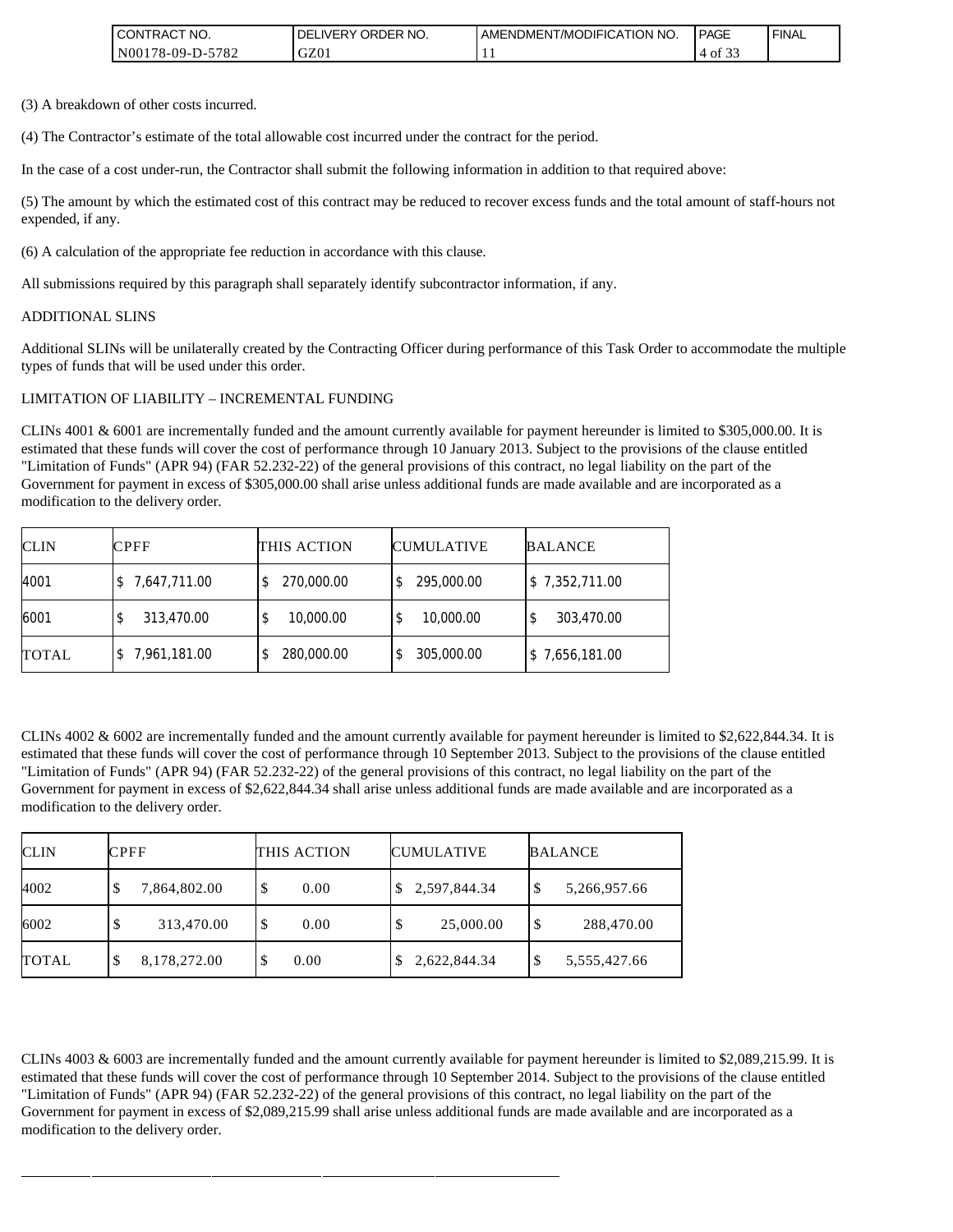| I CONTRACT NO.    | DELIVERY ORDER NO. | AMENDMENT/MODIFICATION NO. | <b>PAGE</b>                    | ' FINAL |
|-------------------|--------------------|----------------------------|--------------------------------|---------|
| IN00178-09-D-5782 | GZ01               |                            | $\sim$ $\sim$<br>$-4$ of $5$ . |         |

(3) A breakdown of other costs incurred.

(4) The Contractor's estimate of the total allowable cost incurred under the contract for the period.

In the case of a cost under-run, the Contractor shall submit the following information in addition to that required above:

(5) The amount by which the estimated cost of this contract may be reduced to recover excess funds and the total amount of staff-hours not expended, if any.

(6) A calculation of the appropriate fee reduction in accordance with this clause.

All submissions required by this paragraph shall separately identify subcontractor information, if any.

#### ADDITIONAL SLINS

Additional SLINs will be unilaterally created by the Contracting Officer during performance of this Task Order to accommodate the multiple types of funds that will be used under this order.

#### LIMITATION OF LIABILITY – INCREMENTAL FUNDING

CLINs 4001 & 6001 are incrementally funded and the amount currently available for payment hereunder is limited to \$305,000.00. It is estimated that these funds will cover the cost of performance through 10 January 2013. Subject to the provisions of the clause entitled "Limitation of Funds" (APR 94) (FAR 52.232-22) of the general provisions of this contract, no legal liability on the part of the Government for payment in excess of \$305,000.00 shall arise unless additional funds are made available and are incorporated as a modification to the delivery order.

| <b>CLIN</b>  | <b>CPFF</b>  | THIS ACTION      | <b>CUMULATIVE</b> | <b>BALANCE</b> |
|--------------|--------------|------------------|-------------------|----------------|
| 4001         | 7,647,711.00 | 270,000.00<br>S  | 295,000.00        | \$7,352,711.00 |
| 6001         | 313,470.00   | 10,000.00<br>\$  | 10,000.00         | 303,470.00     |
| <b>TOTAL</b> | 7,961,181.00 | 280,000.00<br>\$ | 305,000.00        | \$7,656,181.00 |

CLINs  $4002 \& 6002$  are incrementally funded and the amount currently available for payment hereunder is limited to \$2,622,844.34. It is estimated that these funds will cover the cost of performance through 10 September 2013. Subject to the provisions of the clause entitled "Limitation of Funds" (APR 94) (FAR 52.232-22) of the general provisions of this contract, no legal liability on the part of the Government for payment in excess of \$2,622,844.34 shall arise unless additional funds are made available and are incorporated as a modification to the delivery order.

| <b>CLIN</b>  | <b>CPFF</b>       | THIS ACTION | <b>CUMULATIVE</b> | <b>BALANCE</b>     |
|--------------|-------------------|-------------|-------------------|--------------------|
| 4002         | 7,864,802.00      | 0.00<br>S   | \$2,597,844.34    | 5,266,957.66<br>\$ |
| 6002         | 313,470.00        | 0.00<br>S   | 25,000.00<br>\$   | \$<br>288,470.00   |
| <b>TOTAL</b> | 8,178,272.00<br>Φ | 0.00        | 2,622,844.34      | 5,555,427.66<br>\$ |

CLINs 4003 & 6003 are incrementally funded and the amount currently available for payment hereunder is limited to \$2,089,215.99. It is estimated that these funds will cover the cost of performance through 10 September 2014. Subject to the provisions of the clause entitled "Limitation of Funds" (APR 94) (FAR 52.232-22) of the general provisions of this contract, no legal liability on the part of the Government for payment in excess of \$2,089,215.99 shall arise unless additional funds are made available and are incorporated as a modification to the delivery order.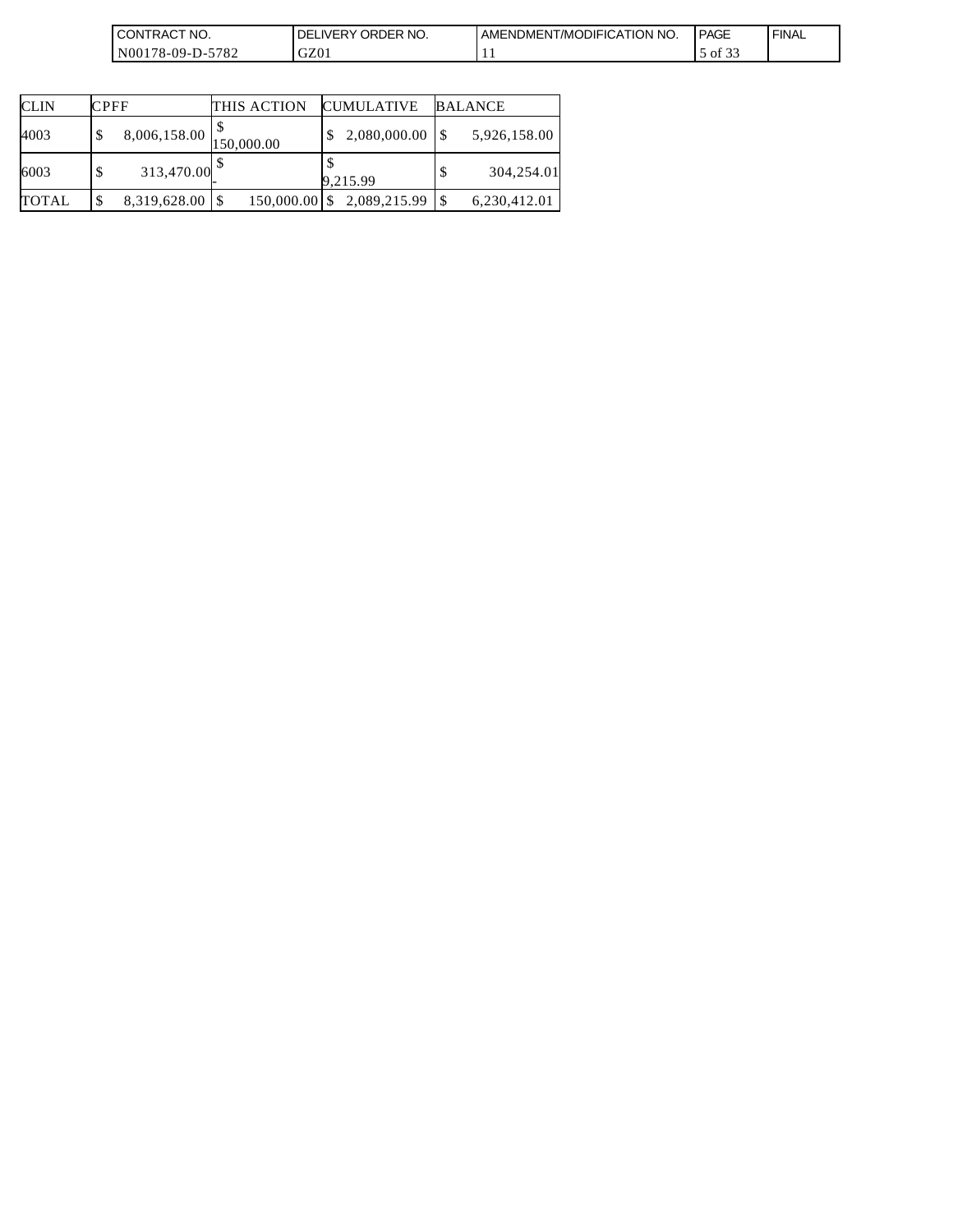| <b>CONTRACT</b><br>`NO.    | ORDER NO.<br>DEI<br>IVERY. | NT/MODIFICATION NO.<br><b>AMENDMENT</b> | <b>PAGE</b>                   | `FINA∟ |
|----------------------------|----------------------------|-----------------------------------------|-------------------------------|--------|
| 5782<br>N00178-09-D<br>$-$ | GZ01                       | . .                                     | $\sim$ $\sim$ $\sim$<br>of 33 |        |

| <b>CLIN</b>  | <b>CPFF</b>           | THIS ACTION | <b>CUMULATIVE</b>          | <b>BALANCE</b> |
|--------------|-----------------------|-------------|----------------------------|----------------|
| 4003         | 8,006,158.00          | 150,000.00  | 2,080,000.00               | 5,926,158.00   |
| 6003         | 313,470.00 $^{\circ}$ |             | 9.215.99                   | 304,254.01     |
| <b>TOTAL</b> | 8,319,628.00          |             | 150,000.00 \$ 2,089,215.99 | 6,230,412.01   |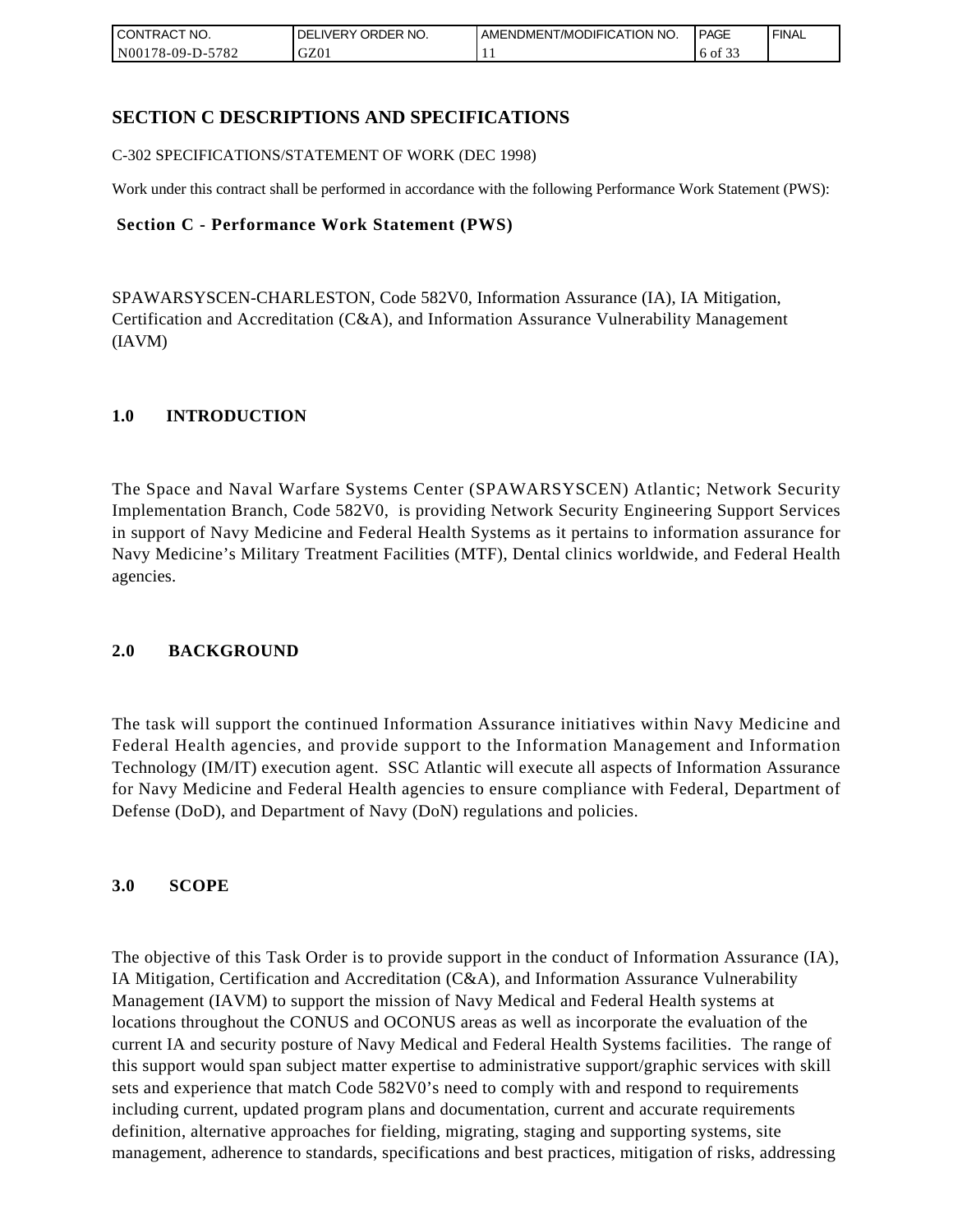| <b>CONTRACT NO.</b> | NO.<br>' ORDER<br><b>DELIVERY</b> | AMENDMENT/MODIFICATION NO. | <b>PAGE</b>                      | ' FINAL |
|---------------------|-----------------------------------|----------------------------|----------------------------------|---------|
| N00178-09-D-5782    | GZ01                              | . .                        | $\sim$ $\sim$<br>$\cdot$ 6 of 3. |         |

# **SECTION C DESCRIPTIONS AND SPECIFICATIONS**

C-302 SPECIFICATIONS/STATEMENT OF WORK (DEC 1998)

Work under this contract shall be performed in accordance with the following Performance Work Statement (PWS):

#### **Section C - Performance Work Statement (PWS)**

SPAWARSYSCEN-CHARLESTON, Code 582V0, Information Assurance (IA), IA Mitigation, Certification and Accreditation (C&A), and Information Assurance Vulnerability Management (IAVM)

## **1.0 INTRODUCTION**

The Space and Naval Warfare Systems Center (SPAWARSYSCEN) Atlantic; Network Security Implementation Branch, Code 582V0, is providing Network Security Engineering Support Services in support of Navy Medicine and Federal Health Systems as it pertains to information assurance for Navy Medicine's Military Treatment Facilities (MTF), Dental clinics worldwide, and Federal Health agencies.

## **2.0 BACKGROUND**

The task will support the continued Information Assurance initiatives within Navy Medicine and Federal Health agencies, and provide support to the Information Management and Information Technology (IM/IT) execution agent. SSC Atlantic will execute all aspects of Information Assurance for Navy Medicine and Federal Health agencies to ensure compliance with Federal, Department of Defense (DoD), and Department of Navy (DoN) regulations and policies.

## **3.0 SCOPE**

The objective of this Task Order is to provide support in the conduct of Information Assurance (IA), IA Mitigation, Certification and Accreditation (C&A), and Information Assurance Vulnerability Management (IAVM) to support the mission of Navy Medical and Federal Health systems at locations throughout the CONUS and OCONUS areas as well as incorporate the evaluation of the current IA and security posture of Navy Medical and Federal Health Systems facilities. The range of this support would span subject matter expertise to administrative support/graphic services with skill sets and experience that match Code 582V0's need to comply with and respond to requirements including current, updated program plans and documentation, current and accurate requirements definition, alternative approaches for fielding, migrating, staging and supporting systems, site management, adherence to standards, specifications and best practices, mitigation of risks, addressing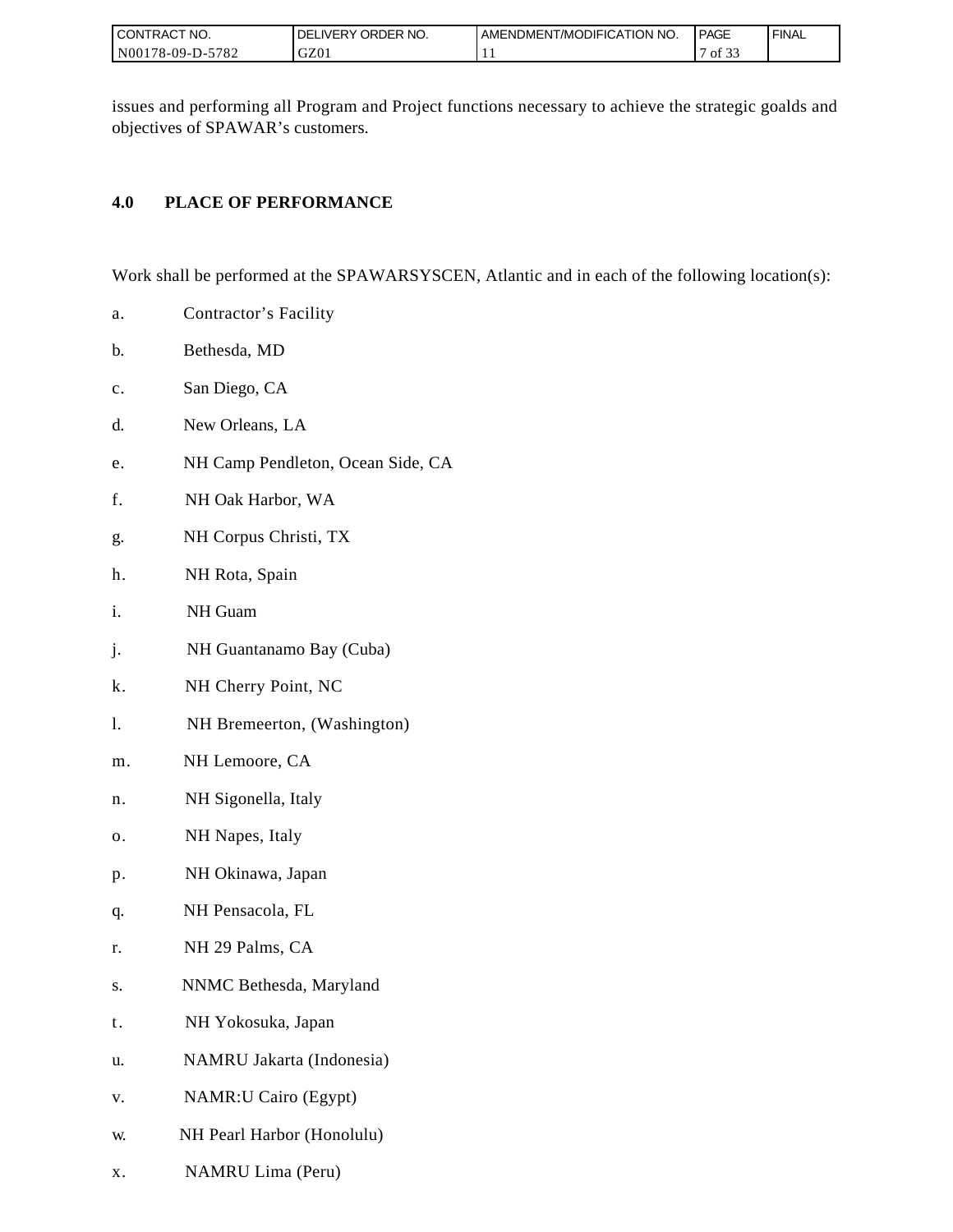| I CONTRACT NO.   | ORDER NO.<br><b>DELIVERY</b> | AMENDMENT/MODIFICATION NO. | PAGE                            | ' FINAL |
|------------------|------------------------------|----------------------------|---------------------------------|---------|
| N00178-09-D-5782 | GZ01                         |                            | $\sim$ $\sim$<br>ΟĪ<br><u>.</u> |         |

issues and performing all Program and Project functions necessary to achieve the strategic goalds and objectives of SPAWAR's customers.

# **4.0 PLACE OF PERFORMANCE**

Work shall be performed at the SPAWARSYSCEN, Atlantic and in each of the following location(s):

- a. Contractor's Facility
- b. Bethesda, MD
- c. San Diego, CA
- d. New Orleans, LA
- e. NH Camp Pendleton, Ocean Side, CA
- f. NH Oak Harbor, WA
- g. NH Corpus Christi, TX
- h. NH Rota, Spain
- i. NH Guam
- j. NH Guantanamo Bay (Cuba)
- k. NH Cherry Point, NC
- l. NH Bremeerton, (Washington)
- m. NH Lemoore, CA
- n. NH Sigonella, Italy
- o. NH Napes, Italy
- p. NH Okinawa, Japan
- q. NH Pensacola, FL
- r. NH 29 Palms, CA
- s. NNMC Bethesda, Maryland
- t. NH Yokosuka, Japan
- u. NAMRU Jakarta (Indonesia)
- v. NAMR:U Cairo (Egypt)
- w. NH Pearl Harbor (Honolulu)
- x. NAMRU Lima (Peru)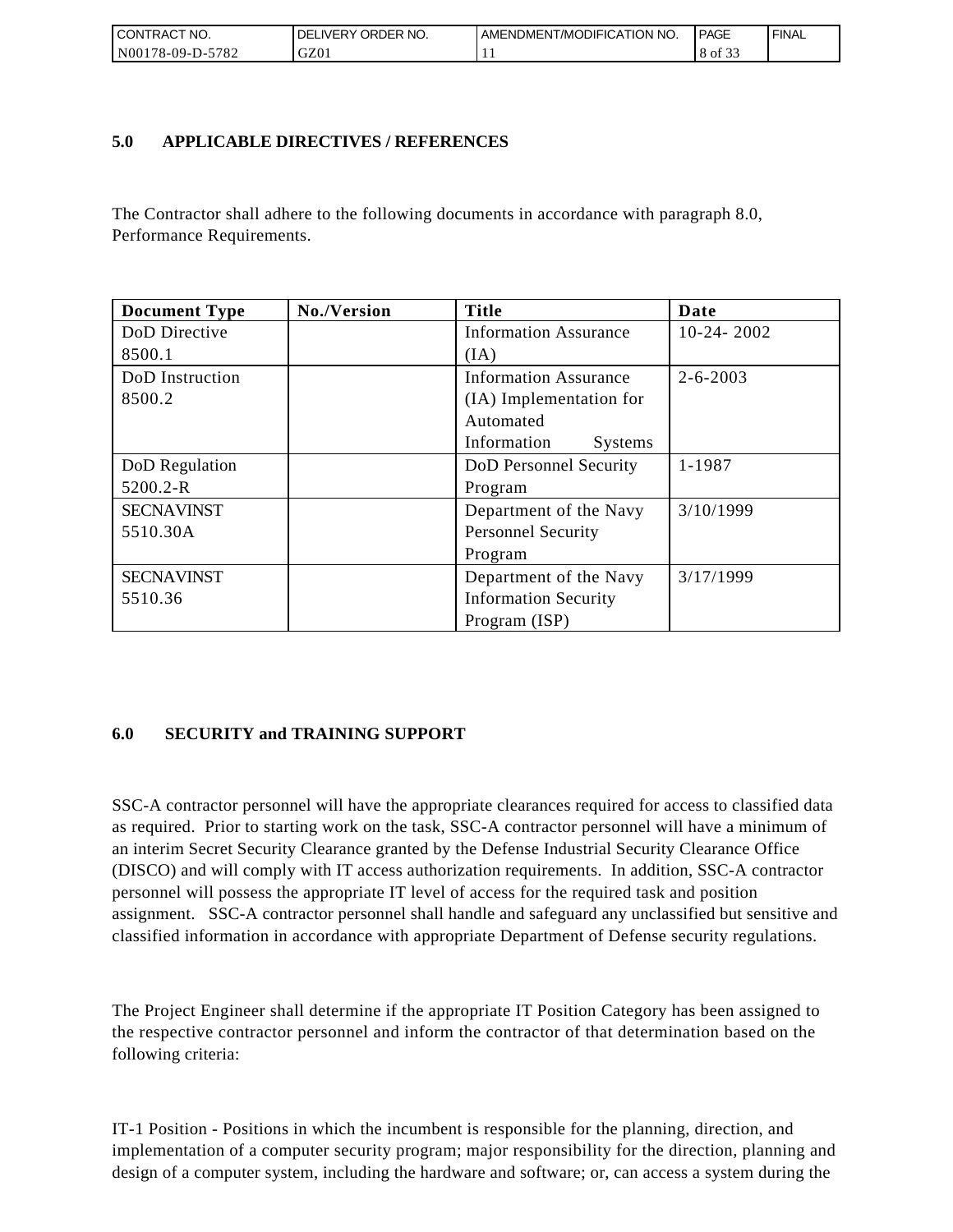| I CONTRACT NO.   | I DELIVERY ORDER NO. | AMENDMENT/MODIFICATION NO. | PAGE    | ' FINAL |
|------------------|----------------------|----------------------------|---------|---------|
| N00178-09-D-5782 | GZ01                 | . .                        | 8 of 33 |         |

## **5.0 APPLICABLE DIRECTIVES / REFERENCES**

The Contractor shall adhere to the following documents in accordance with paragraph 8.0, Performance Requirements.

| <b>Document Type</b> | No./Version | <b>Title</b>                  | Date           |
|----------------------|-------------|-------------------------------|----------------|
| DoD Directive        |             | <b>Information Assurance</b>  | $10-24-2002$   |
| 8500.1               |             | (IA)                          |                |
| DoD Instruction      |             | <b>Information Assurance</b>  | $2 - 6 - 2003$ |
| 8500.2               |             | (IA) Implementation for       |                |
|                      |             | Automated                     |                |
|                      |             | Information<br><b>Systems</b> |                |
| DoD Regulation       |             | DoD Personnel Security        | 1-1987         |
| 5200.2-R             |             | Program                       |                |
| <b>SECNAVINST</b>    |             | Department of the Navy        | 3/10/1999      |
| 5510.30A             |             | <b>Personnel Security</b>     |                |
|                      |             | Program                       |                |
| <b>SECNAVINST</b>    |             | Department of the Navy        | 3/17/1999      |
| 5510.36              |             | <b>Information Security</b>   |                |
|                      |             | Program (ISP)                 |                |

# **6.0 SECURITY and TRAINING SUPPORT**

SSC-A contractor personnel will have the appropriate clearances required for access to classified data as required. Prior to starting work on the task, SSC-A contractor personnel will have a minimum of an interim Secret Security Clearance granted by the Defense Industrial Security Clearance Office (DISCO) and will comply with IT access authorization requirements. In addition, SSC-A contractor personnel will possess the appropriate IT level of access for the required task and position assignment. SSC-A contractor personnel shall handle and safeguard any unclassified but sensitive and classified information in accordance with appropriate Department of Defense security regulations.

The Project Engineer shall determine if the appropriate IT Position Category has been assigned to the respective contractor personnel and inform the contractor of that determination based on the following criteria:

IT-1 Position - Positions in which the incumbent is responsible for the planning, direction, and implementation of a computer security program; major responsibility for the direction, planning and design of a computer system, including the hardware and software; or, can access a system during the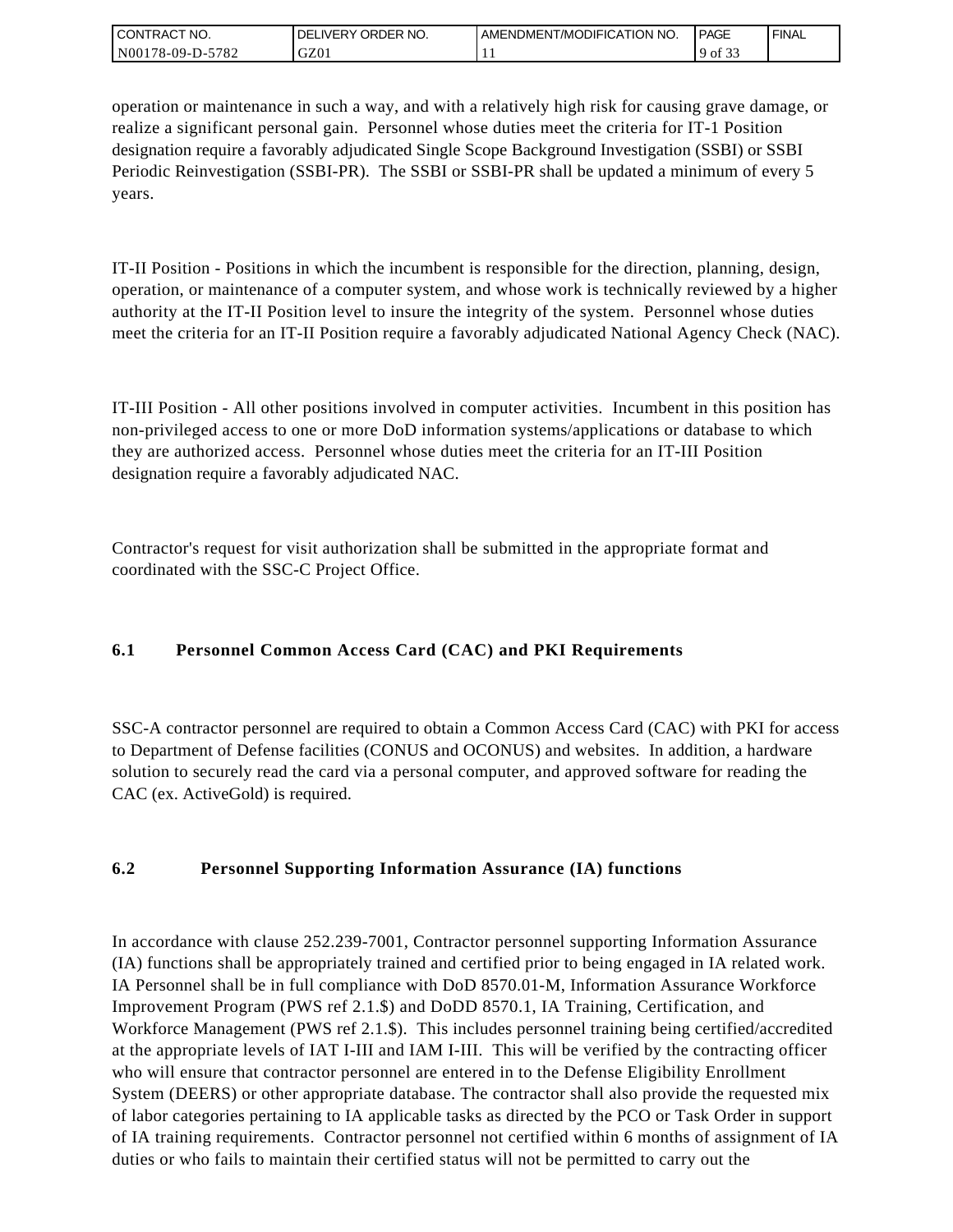| I CONTRACT NO.   | ' ORDER NO.<br>_IVERY<br>DELI | AMENDMENT/MODIFICATION NO. | <b>PAGE</b> | `FINAL |
|------------------|-------------------------------|----------------------------|-------------|--------|
| N00178-09-D-5782 | GZ01                          | . .                        | 9 of<br>. ٻ |        |

operation or maintenance in such a way, and with a relatively high risk for causing grave damage, or realize a significant personal gain. Personnel whose duties meet the criteria for IT-1 Position designation require a favorably adjudicated Single Scope Background Investigation (SSBI) or SSBI Periodic Reinvestigation (SSBI-PR). The SSBI or SSBI-PR shall be updated a minimum of every 5 years.

IT-II Position - Positions in which the incumbent is responsible for the direction, planning, design, operation, or maintenance of a computer system, and whose work is technically reviewed by a higher authority at the IT-II Position level to insure the integrity of the system. Personnel whose duties meet the criteria for an IT-II Position require a favorably adjudicated National Agency Check (NAC).

IT-III Position - All other positions involved in computer activities. Incumbent in this position has non-privileged access to one or more DoD information systems/applications or database to which they are authorized access. Personnel whose duties meet the criteria for an IT-III Position designation require a favorably adjudicated NAC.

Contractor's request for visit authorization shall be submitted in the appropriate format and coordinated with the SSC-C Project Office.

# **6.1 Personnel Common Access Card (CAC) and PKI Requirements**

SSC-A contractor personnel are required to obtain a Common Access Card (CAC) with PKI for access to Department of Defense facilities (CONUS and OCONUS) and websites. In addition, a hardware solution to securely read the card via a personal computer, and approved software for reading the CAC (ex. ActiveGold) is required.

# **6.2 Personnel Supporting Information Assurance (IA) functions**

In accordance with clause 252.239-7001, Contractor personnel supporting Information Assurance (IA) functions shall be appropriately trained and certified prior to being engaged in IA related work. IA Personnel shall be in full compliance with DoD 8570.01-M, Information Assurance Workforce Improvement Program (PWS ref 2.1.\$) and DoDD 8570.1, IA Training, Certification, and Workforce Management (PWS ref 2.1.\$). This includes personnel training being certified/accredited at the appropriate levels of IAT I-III and IAM I-III. This will be verified by the contracting officer who will ensure that contractor personnel are entered in to the Defense Eligibility Enrollment System (DEERS) or other appropriate database. The contractor shall also provide the requested mix of labor categories pertaining to IA applicable tasks as directed by the PCO or Task Order in support of IA training requirements. Contractor personnel not certified within 6 months of assignment of IA duties or who fails to maintain their certified status will not be permitted to carry out the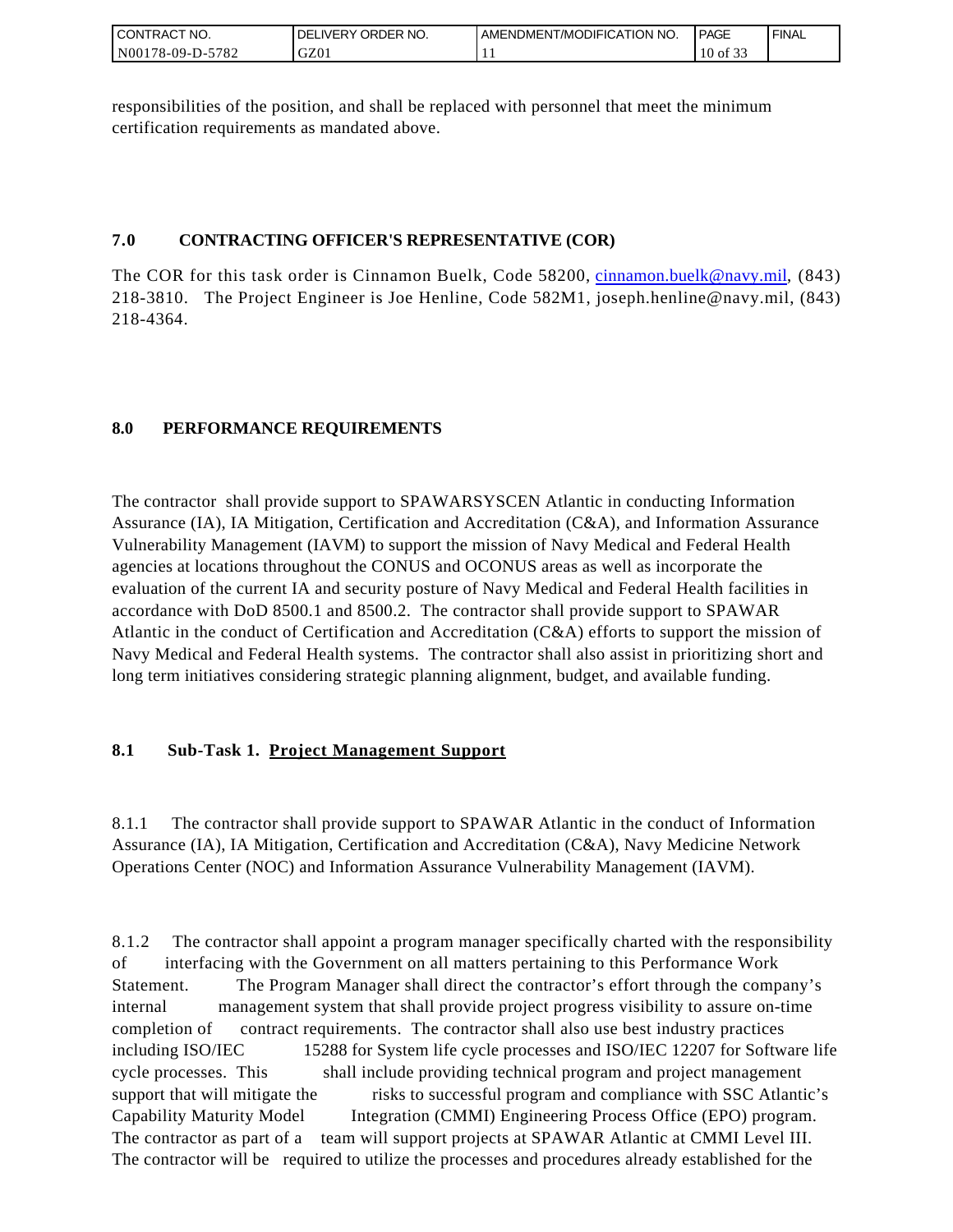| <b>CONTRACT NO.</b> | NO.<br>' ORDER<br><b>DELIVERY</b> | AMENDMENT/MODIFICATION NO. | <b>PAGE</b> | ' FINAL |
|---------------------|-----------------------------------|----------------------------|-------------|---------|
| N00178-09-D-5782    | GZ01                              | . .                        | 10 of 33    |         |

responsibilities of the position, and shall be replaced with personnel that meet the minimum certification requirements as mandated above.

# **7.0 CONTRACTING OFFICER'S REPRESENTATIVE (COR)**

The COR for this task order is Cinnamon Buelk, Code 58200, [cinnamon.buelk@navy.mil,](mailto:cinnamon.buelk@navy.mil) (843) 218-3810. The Project Engineer is Joe Henline, Code 582M1, joseph.henline@navy.mil, (843) 218-4364.

# **8.0 PERFORMANCE REQUIREMENTS**

The contractor shall provide support to SPAWARSYSCEN Atlantic in conducting Information Assurance (IA), IA Mitigation, Certification and Accreditation (C&A), and Information Assurance Vulnerability Management (IAVM) to support the mission of Navy Medical and Federal Health agencies at locations throughout the CONUS and OCONUS areas as well as incorporate the evaluation of the current IA and security posture of Navy Medical and Federal Health facilities in accordance with DoD 8500.1 and 8500.2. The contractor shall provide support to SPAWAR Atlantic in the conduct of Certification and Accreditation (C&A) efforts to support the mission of Navy Medical and Federal Health systems. The contractor shall also assist in prioritizing short and long term initiatives considering strategic planning alignment, budget, and available funding.

# **8.1 Sub-Task 1. Project Management Support**

8.1.1 The contractor shall provide support to SPAWAR Atlantic in the conduct of Information Assurance (IA), IA Mitigation, Certification and Accreditation (C&A), Navy Medicine Network Operations Center (NOC) and Information Assurance Vulnerability Management (IAVM).

8.1.2 The contractor shall appoint a program manager specifically charted with the responsibility of interfacing with the Government on all matters pertaining to this Performance Work Statement. The Program Manager shall direct the contractor's effort through the company's internal management system that shall provide project progress visibility to assure on-time completion of contract requirements. The contractor shall also use best industry practices including ISO/IEC 15288 for System life cycle processes and ISO/IEC 12207 for Software life cycle processes. This shall include providing technical program and project management support that will mitigate the risks to successful program and compliance with SSC Atlantic's Capability Maturity Model Integration (CMMI) Engineering Process Office (EPO) program. The contractor as part of a team will support projects at SPAWAR Atlantic at CMMI Level III. The contractor will be required to utilize the processes and procedures already established for the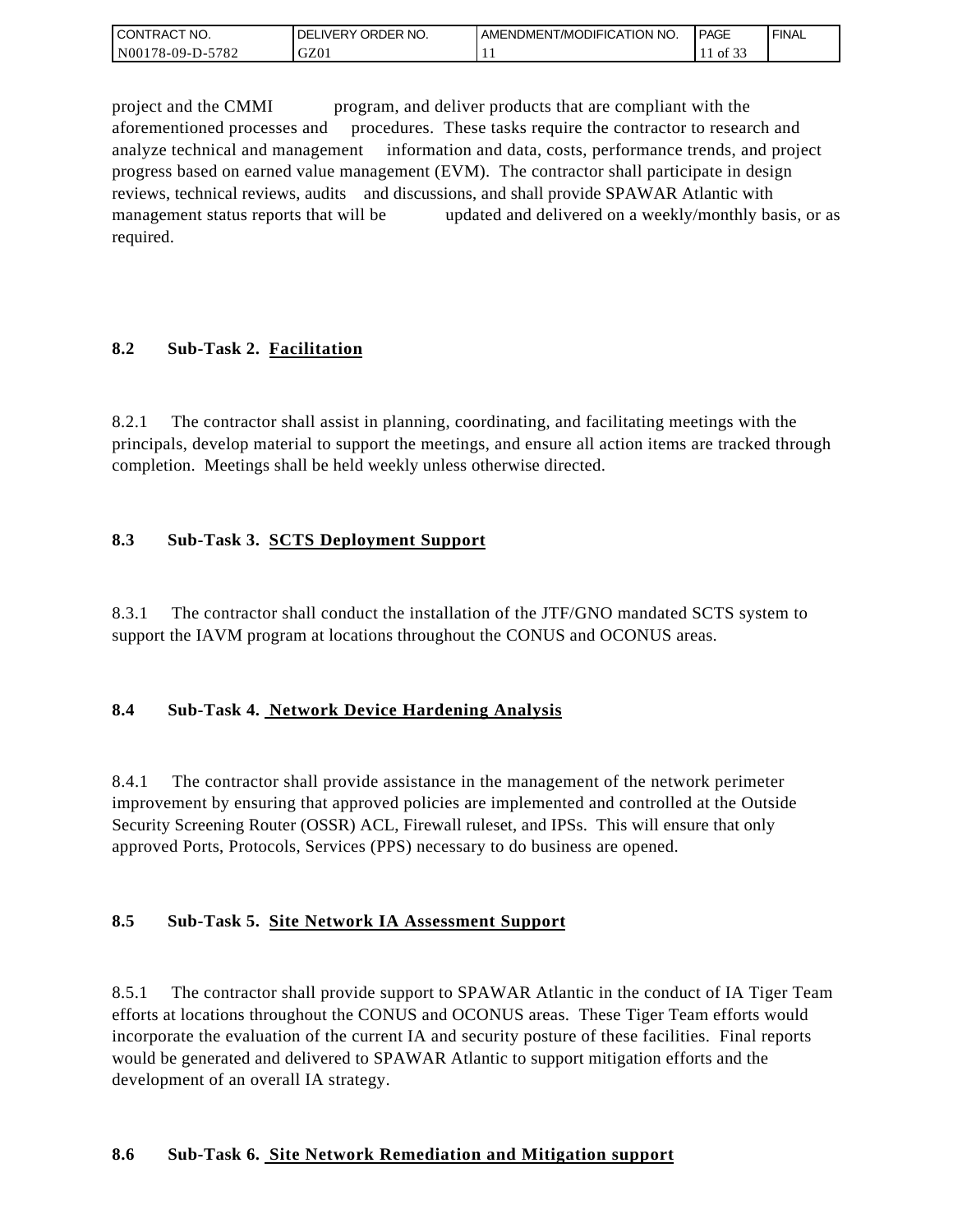| I CONTRACT NO.   | ' ORDER NO.<br><b>DELIVERY</b> | I AMENDMENT/MODIFICATION NO. | <b>PAGE</b> | `FINAL |
|------------------|--------------------------------|------------------------------|-------------|--------|
| N00178-09-D-5782 | GZ01                           | . .                          | of 33       |        |

project and the CMMI program, and deliver products that are compliant with the aforementioned processes and procedures. These tasks require the contractor to research and analyze technical and management information and data, costs, performance trends, and project progress based on earned value management (EVM). The contractor shall participate in design reviews, technical reviews, audits and discussions, and shall provide SPAWAR Atlantic with management status reports that will be updated and delivered on a weekly/monthly basis, or as required.

## **8.2 Sub-Task 2. Facilitation**

8.2.1 The contractor shall assist in planning, coordinating, and facilitating meetings with the principals, develop material to support the meetings, and ensure all action items are tracked through completion. Meetings shall be held weekly unless otherwise directed.

## **8.3 Sub-Task 3. SCTS Deployment Support**

8.3.1 The contractor shall conduct the installation of the JTF/GNO mandated SCTS system to support the IAVM program at locations throughout the CONUS and OCONUS areas.

## **8.4 Sub-Task 4. Network Device Hardening Analysis**

8.4.1 The contractor shall provide assistance in the management of the network perimeter improvement by ensuring that approved policies are implemented and controlled at the Outside Security Screening Router (OSSR) ACL, Firewall ruleset, and IPSs. This will ensure that only approved Ports, Protocols, Services (PPS) necessary to do business are opened.

## **8.5 Sub-Task 5. Site Network IA Assessment Support**

8.5.1 The contractor shall provide support to SPAWAR Atlantic in the conduct of IA Tiger Team efforts at locations throughout the CONUS and OCONUS areas. These Tiger Team efforts would incorporate the evaluation of the current IA and security posture of these facilities. Final reports would be generated and delivered to SPAWAR Atlantic to support mitigation efforts and the development of an overall IA strategy.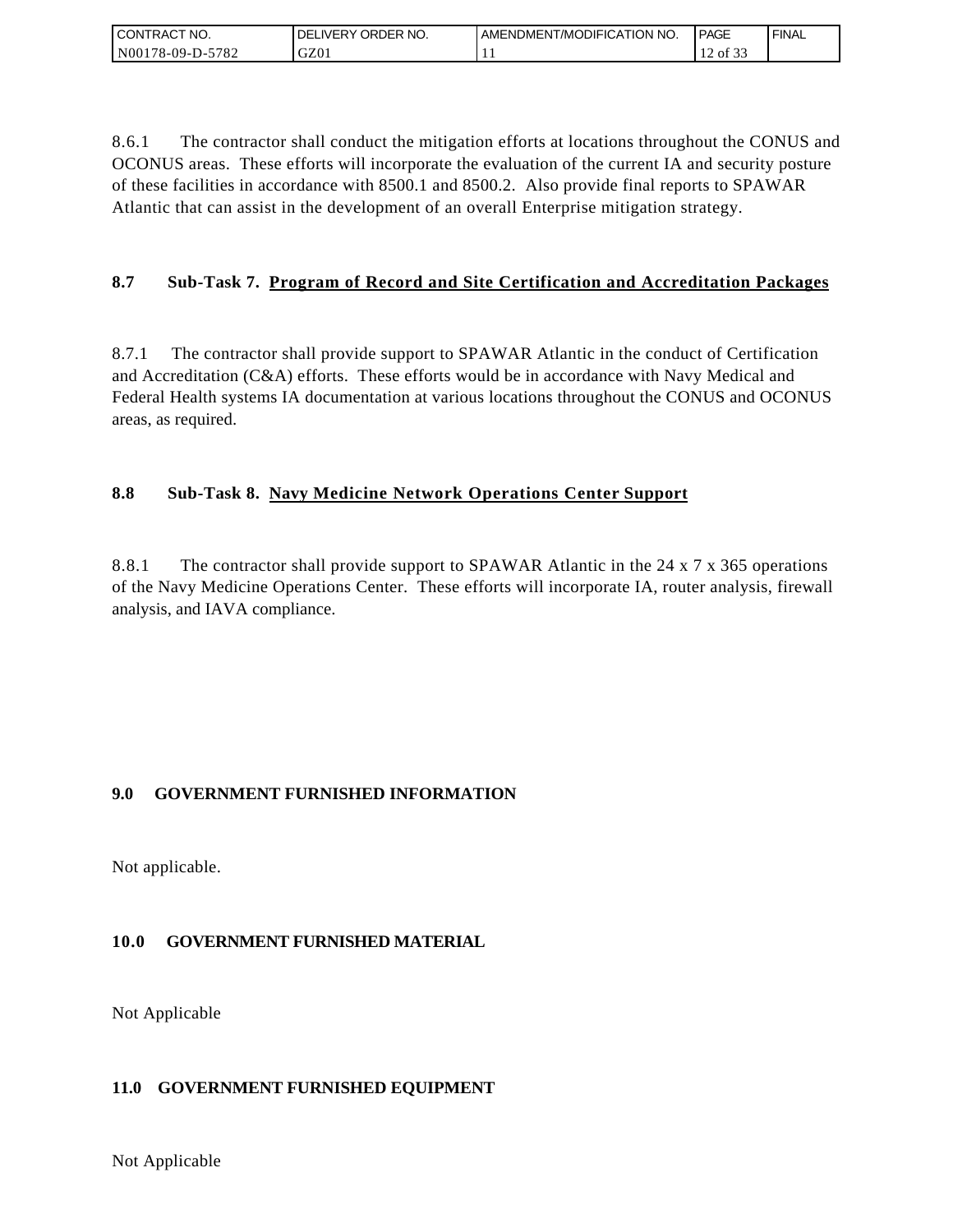| I CONTRACT NO.   | ORDER NO.<br><b>DELIVERY</b> | AMENDMENT/MODIFICATION NO. | <b>PAGE</b>   | ' FINAL |
|------------------|------------------------------|----------------------------|---------------|---------|
| N00178-09-D-5782 | GZ01                         | . .                        | 0.25<br>of 33 |         |

8.6.1 The contractor shall conduct the mitigation efforts at locations throughout the CONUS and OCONUS areas. These efforts will incorporate the evaluation of the current IA and security posture of these facilities in accordance with 8500.1 and 8500.2. Also provide final reports to SPAWAR Atlantic that can assist in the development of an overall Enterprise mitigation strategy.

# **8.7 Sub-Task 7. Program of Record and Site Certification and Accreditation Packages**

8.7.1 The contractor shall provide support to SPAWAR Atlantic in the conduct of Certification and Accreditation (C&A) efforts. These efforts would be in accordance with Navy Medical and Federal Health systems IA documentation at various locations throughout the CONUS and OCONUS areas, as required.

## **8.8 Sub-Task 8. Navy Medicine Network Operations Center Support**

8.8.1 The contractor shall provide support to SPAWAR Atlantic in the 24 x 7 x 365 operations of the Navy Medicine Operations Center. These efforts will incorporate IA, router analysis, firewall analysis, and IAVA compliance.

# **9.0 GOVERNMENT FURNISHED INFORMATION**

Not applicable.

# **10.0 GOVERNMENT FURNISHED MATERIAL**

Not Applicable

## **11.0 GOVERNMENT FURNISHED EQUIPMENT**

Not Applicable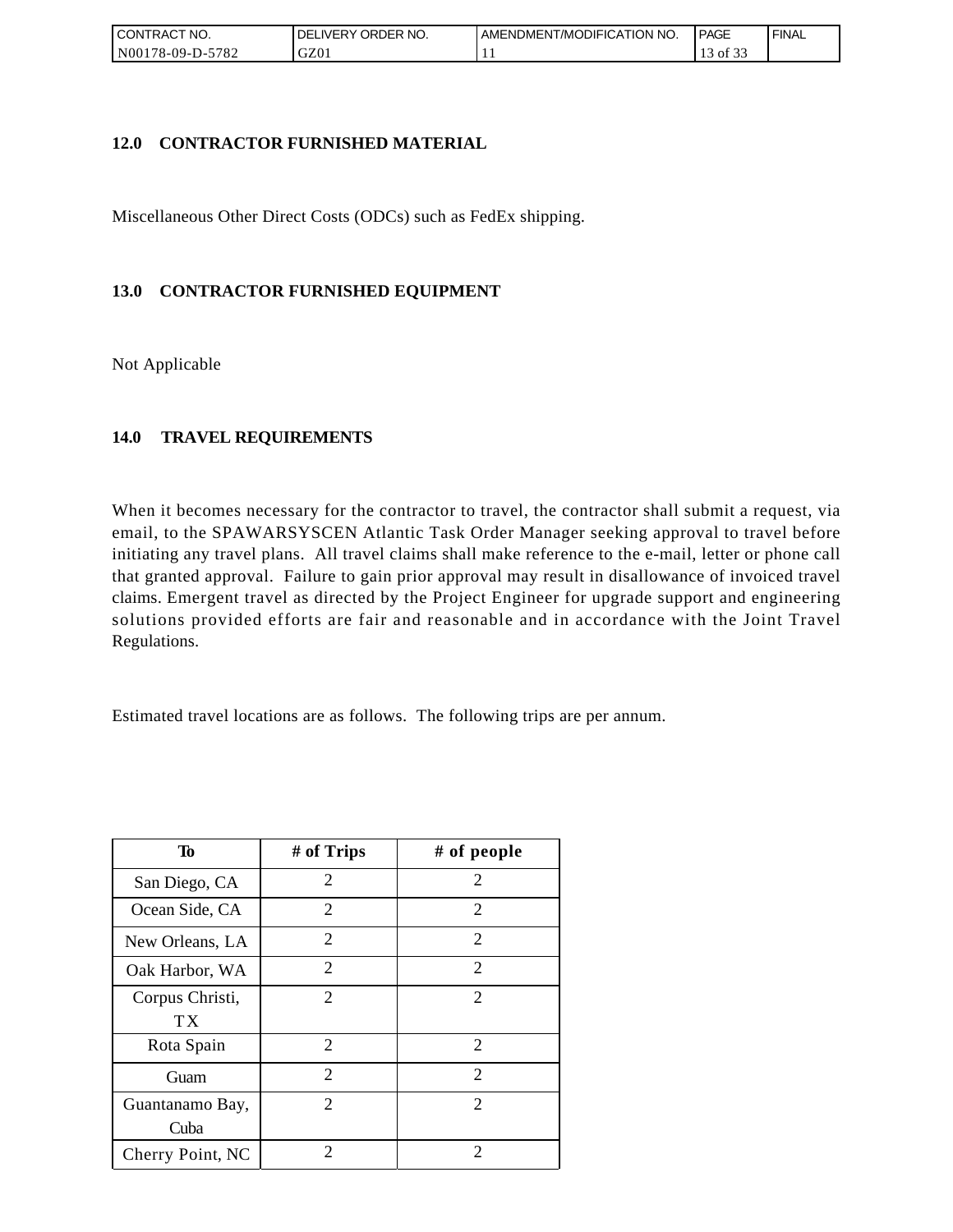| CONTRACT NO.            | ORDER NO.<br><b>DELIVERY</b> | AMENDMENT/MODIFICATION NO. | <b>PAGE</b>      | ' FINAL |
|-------------------------|------------------------------|----------------------------|------------------|---------|
| 5782<br>! N00178-09-D-: | GZ01                         | . .                        | ΟĪ<br><u>. .</u> |         |

## **12.0 CONTRACTOR FURNISHED MATERIAL**

Miscellaneous Other Direct Costs (ODCs) such as FedEx shipping.

# **13.0 CONTRACTOR FURNISHED EQUIPMENT**

Not Applicable

## **14.0 TRAVEL REQUIREMENTS**

When it becomes necessary for the contractor to travel, the contractor shall submit a request, via email, to the SPAWARSYSCEN Atlantic Task Order Manager seeking approval to travel before initiating any travel plans. All travel claims shall make reference to the e-mail, letter or phone call that granted approval. Failure to gain prior approval may result in disallowance of invoiced travel claims. Emergent travel as directed by the Project Engineer for upgrade support and engineering solutions provided efforts are fair and reasonable and in accordance with the Joint Travel Regulations.

Estimated travel locations are as follows. The following trips are per annum.

| To                      | # of Trips                  | # of people                 |
|-------------------------|-----------------------------|-----------------------------|
| San Diego, CA           | 2                           | 2                           |
| Ocean Side, CA          | 2                           | 2                           |
| New Orleans, LA         | $\overline{c}$              | 2                           |
| Oak Harbor, WA          | $\overline{2}$              | $\overline{2}$              |
| Corpus Christi,<br>ТX   | $\mathcal{D}_{\mathcal{L}}$ | $\mathcal{D}_{\mathcal{L}}$ |
| Rota Spain              | 2                           | 2                           |
| Guam                    | $\overline{2}$              | 2                           |
| Guantanamo Bay,<br>Cuba | $\mathcal{D}_{\mathcal{L}}$ | $\mathcal{D}_{\mathcal{L}}$ |
| Cherry Point, NC        | 2                           | 2                           |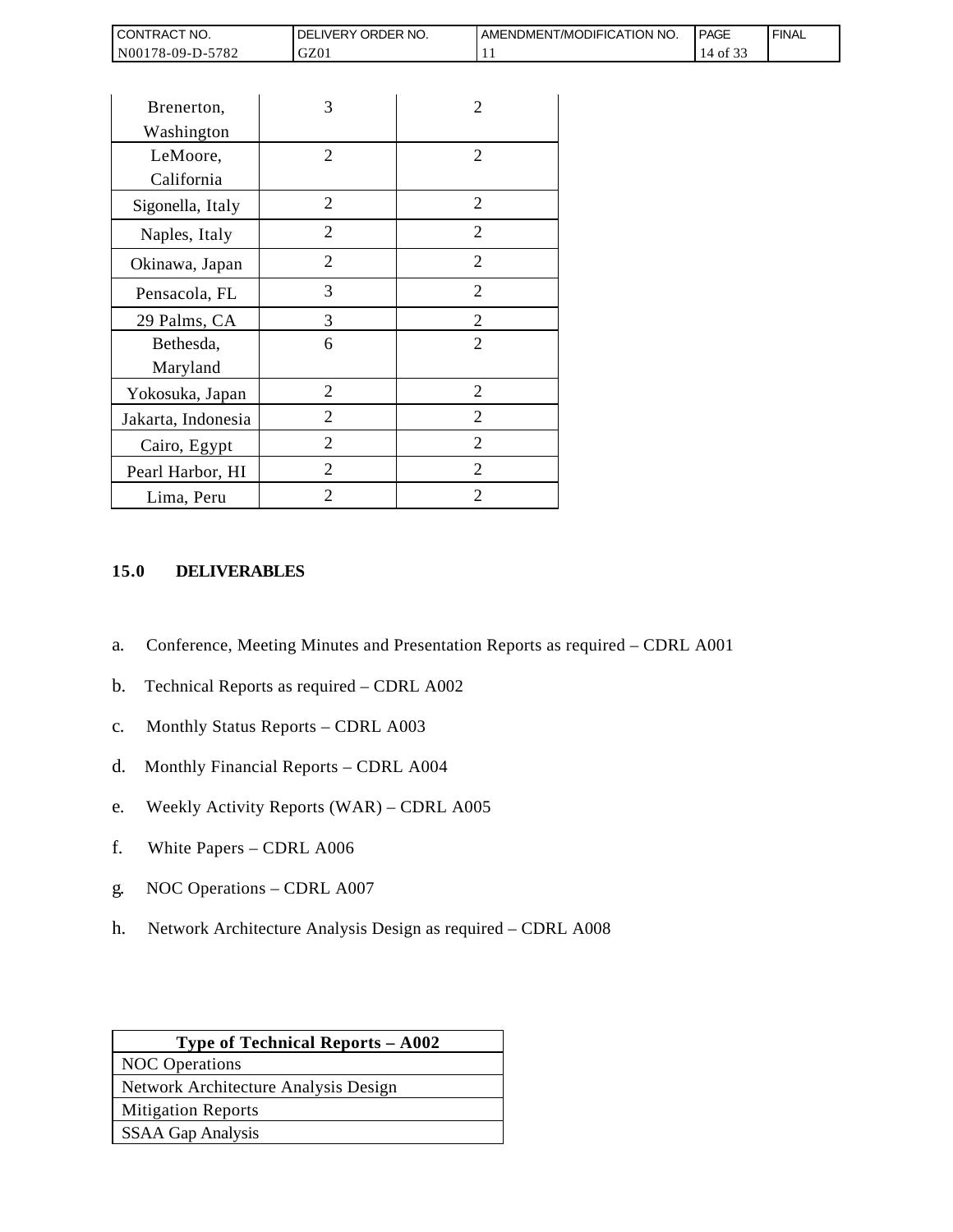| <b>CONTRACT NO.</b>   | NO.<br>ORDER<br><b>DELIVERY</b> | AMENDMENT/MODIFICATION NO. | <b>PAGE</b> | ' FINAL |
|-----------------------|---------------------------------|----------------------------|-------------|---------|
| N00178-09-D-5<br>5782 | GZ01                            | . .                        | 0Ī          |         |

| CONTRACT NO.                                                                   | DELIVERY ORDER NO.                                                                                                                                                                                                                                            |                | AMENDMEN |
|--------------------------------------------------------------------------------|---------------------------------------------------------------------------------------------------------------------------------------------------------------------------------------------------------------------------------------------------------------|----------------|----------|
| N00178-09-D-5782                                                               | GZ01                                                                                                                                                                                                                                                          |                | 11       |
|                                                                                |                                                                                                                                                                                                                                                               |                |          |
| Brenerton,                                                                     | 3                                                                                                                                                                                                                                                             | 2              |          |
| Washington                                                                     |                                                                                                                                                                                                                                                               |                |          |
| LeMoore,                                                                       | 2                                                                                                                                                                                                                                                             | 2              |          |
| California                                                                     |                                                                                                                                                                                                                                                               |                |          |
| Sigonella, Italy                                                               | $\overline{2}$                                                                                                                                                                                                                                                | $\overline{2}$ |          |
| Naples, Italy                                                                  | $\mathbf{2}$                                                                                                                                                                                                                                                  | $\overline{2}$ |          |
| Okinawa, Japan                                                                 | $\overline{2}$                                                                                                                                                                                                                                                | 2              |          |
| Pensacola, FL                                                                  | 3                                                                                                                                                                                                                                                             | 2              |          |
| 29 Palms, CA                                                                   | 3                                                                                                                                                                                                                                                             | $\overline{c}$ |          |
| Bethesda,                                                                      | 6                                                                                                                                                                                                                                                             | $\overline{2}$ |          |
| Maryland                                                                       |                                                                                                                                                                                                                                                               |                |          |
| Yokosuka, Japan                                                                | $\overline{2}$                                                                                                                                                                                                                                                | $\overline{2}$ |          |
| Jakarta, Indonesia                                                             | 2                                                                                                                                                                                                                                                             | $\overline{2}$ |          |
| Cairo, Egypt                                                                   | 2                                                                                                                                                                                                                                                             | 2              |          |
| Pearl Harbor, HI                                                               | $\overline{2}$                                                                                                                                                                                                                                                | 2              |          |
| Lima, Peru                                                                     | $\overline{2}$                                                                                                                                                                                                                                                | 2              |          |
| a.<br>b.<br>$\mathbf{C}$ .<br>d.<br>e.<br>f.<br>White Papers - CDRL A006<br>g. | Conference, Meeting Minutes and Presentation Reports a<br>Technical Reports as required - CDRL A002<br>Monthly Status Reports - CDRL A003<br>Monthly Financial Reports - CDRL A004<br>Weekly Activity Reports (WAR) - CDRL A005<br>NOC Operations - CDRL A007 |                |          |
| h.                                                                             | Network Architecture Analysis Design as required – CDI                                                                                                                                                                                                        |                |          |
|                                                                                | Type of Technical Reports - A002                                                                                                                                                                                                                              |                |          |
| <b>NOC</b> Operations                                                          | Network Architecture Analysis Design                                                                                                                                                                                                                          |                |          |
| <b>Mitigation Reports</b>                                                      |                                                                                                                                                                                                                                                               |                |          |
| <b>SSAA Gap Analysis</b>                                                       |                                                                                                                                                                                                                                                               |                |          |
|                                                                                |                                                                                                                                                                                                                                                               |                |          |

#### **15.0 DELIVERABLES**

- a. Conference, Meeting Minutes and Presentation Reports as required CDRL A001
- b. Technical Reports as required CDRL A002
- c. Monthly Status Reports CDRL A003
- d. Monthly Financial Reports CDRL A004
- e. Weekly Activity Reports (WAR) CDRL A005
- f. White Papers CDRL A006
- g. NOC Operations CDRL A007
- h. Network Architecture Analysis Design as required CDRL A008

| <b>Type of Technical Reports – A002</b> |  |
|-----------------------------------------|--|
| <b>NOC</b> Operations                   |  |
| Network Architecture Analysis Design    |  |
| <b>Mitigation Reports</b>               |  |
| <b>SSAA Gap Analysis</b>                |  |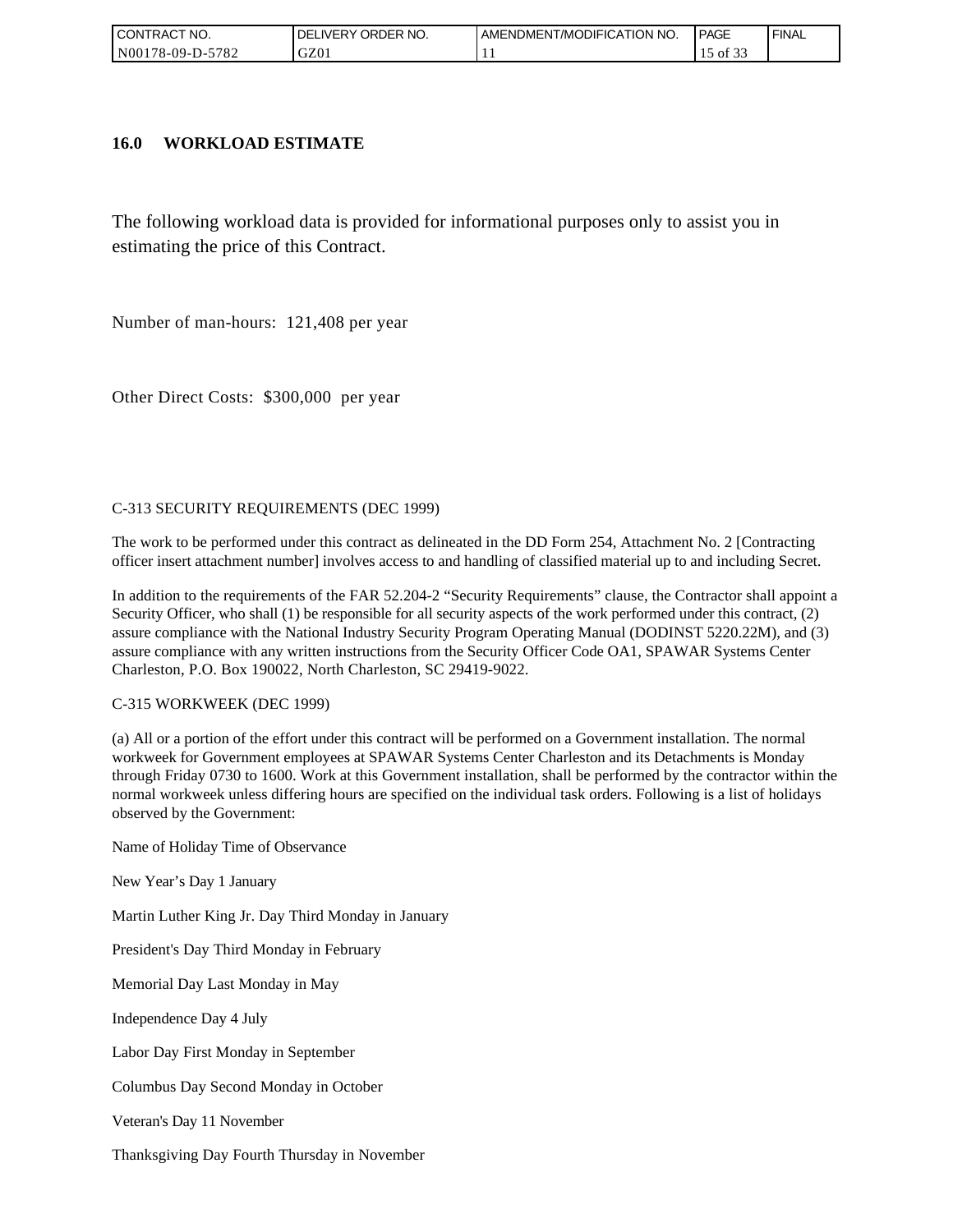| CONTRACT NO.            | ' ORDER NO.<br>DELI<br>_IVERY | AMENDMENT/MODIFICATION NO. | <b>PAGE</b> | ' FINAL |
|-------------------------|-------------------------------|----------------------------|-------------|---------|
| 5782<br>  N00178-09-D-5 | GZ01                          | . .                        | ΟĪ<br>ັ້    |         |

#### **16.0 WORKLOAD ESTIMATE**

The following workload data is provided for informational purposes only to assist you in estimating the price of this Contract.

Number of man-hours: 121,408 per year

Other Direct Costs: \$300,000 per year

#### C-313 SECURITY REQUIREMENTS (DEC 1999)

The work to be performed under this contract as delineated in the DD Form 254, Attachment No. 2 [Contracting officer insert attachment number] involves access to and handling of classified material up to and including Secret.

In addition to the requirements of the FAR 52.204-2 "Security Requirements" clause, the Contractor shall appoint a Security Officer, who shall (1) be responsible for all security aspects of the work performed under this contract, (2) assure compliance with the National Industry Security Program Operating Manual (DODINST 5220.22M), and (3) assure compliance with any written instructions from the Security Officer Code OA1, SPAWAR Systems Center Charleston, P.O. Box 190022, North Charleston, SC 29419-9022.

#### C-315 WORKWEEK (DEC 1999)

(a) All or a portion of the effort under this contract will be performed on a Government installation. The normal workweek for Government employees at SPAWAR Systems Center Charleston and its Detachments is Monday through Friday 0730 to 1600. Work at this Government installation, shall be performed by the contractor within the normal workweek unless differing hours are specified on the individual task orders. Following is a list of holidays observed by the Government:

Name of Holiday Time of Observance

New Year's Day 1 January

Martin Luther King Jr. Day Third Monday in January

President's Day Third Monday in February

Memorial Day Last Monday in May

Independence Day 4 July

Labor Day First Monday in September

Columbus Day Second Monday in October

Veteran's Day 11 November

Thanksgiving Day Fourth Thursday in November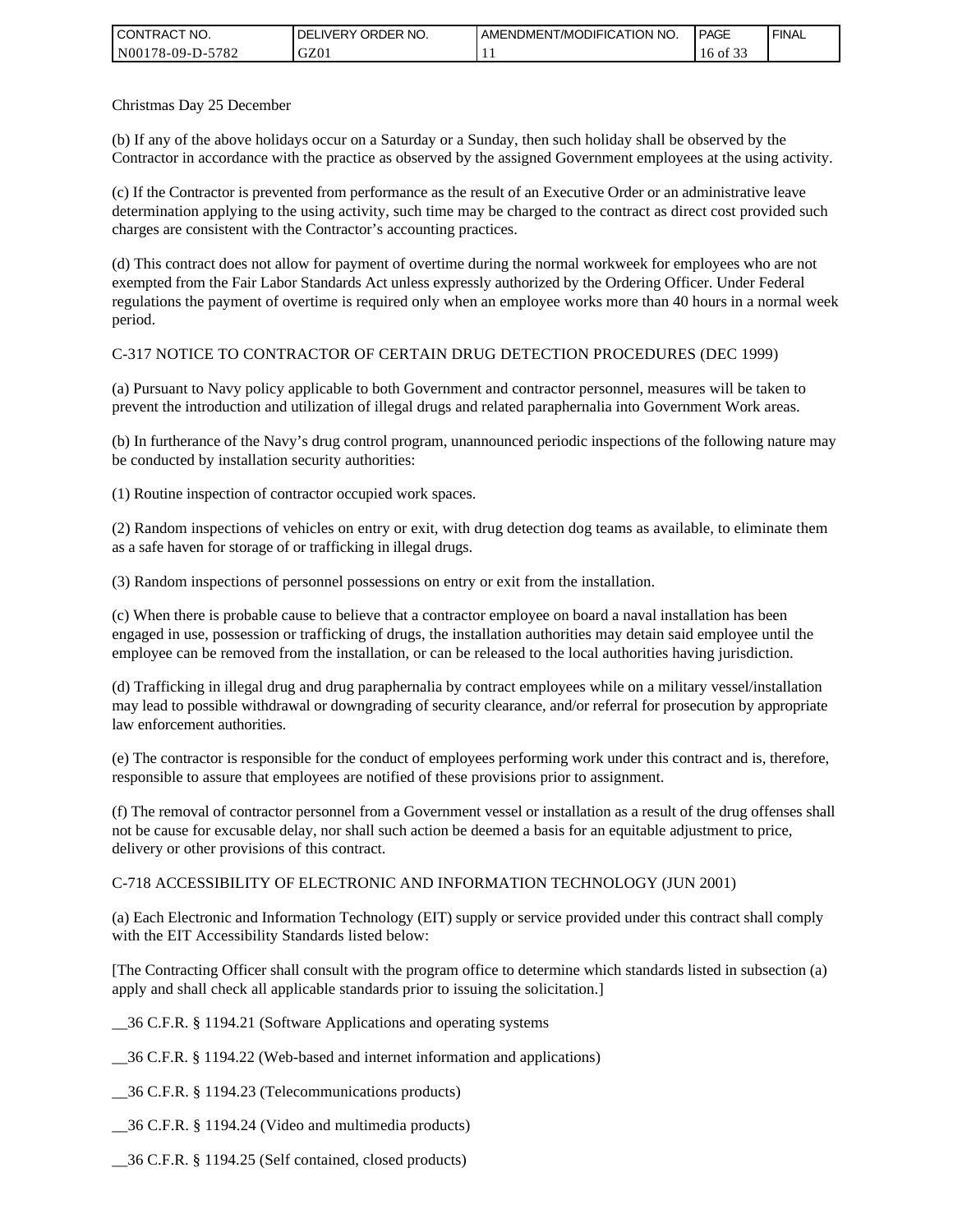| <b>CONTRACT NO.</b> | `NO.<br>DELIVERY ORDER | . AMENDMENT/MODIFICATION NO. | <b>I PAGE</b> | ' FINAL |
|---------------------|------------------------|------------------------------|---------------|---------|
| N00178-09-D-5782    | GZ01                   | . .                          | 16<br>of 33   |         |

Christmas Day 25 December

(b) If any of the above holidays occur on a Saturday or a Sunday, then such holiday shall be observed by the Contractor in accordance with the practice as observed by the assigned Government employees at the using activity.

(c) If the Contractor is prevented from performance as the result of an Executive Order or an administrative leave determination applying to the using activity, such time may be charged to the contract as direct cost provided such charges are consistent with the Contractor's accounting practices.

(d) This contract does not allow for payment of overtime during the normal workweek for employees who are not exempted from the Fair Labor Standards Act unless expressly authorized by the Ordering Officer. Under Federal regulations the payment of overtime is required only when an employee works more than 40 hours in a normal week period.

#### C-317 NOTICE TO CONTRACTOR OF CERTAIN DRUG DETECTION PROCEDURES (DEC 1999)

(a) Pursuant to Navy policy applicable to both Government and contractor personnel, measures will be taken to prevent the introduction and utilization of illegal drugs and related paraphernalia into Government Work areas.

(b) In furtherance of the Navy's drug control program, unannounced periodic inspections of the following nature may be conducted by installation security authorities:

(1) Routine inspection of contractor occupied work spaces.

(2) Random inspections of vehicles on entry or exit, with drug detection dog teams as available, to eliminate them as a safe haven for storage of or trafficking in illegal drugs.

(3) Random inspections of personnel possessions on entry or exit from the installation.

(c) When there is probable cause to believe that a contractor employee on board a naval installation has been engaged in use, possession or trafficking of drugs, the installation authorities may detain said employee until the employee can be removed from the installation, or can be released to the local authorities having jurisdiction.

(d) Trafficking in illegal drug and drug paraphernalia by contract employees while on a military vessel/installation may lead to possible withdrawal or downgrading of security clearance, and/or referral for prosecution by appropriate law enforcement authorities.

(e) The contractor is responsible for the conduct of employees performing work under this contract and is, therefore, responsible to assure that employees are notified of these provisions prior to assignment.

(f) The removal of contractor personnel from a Government vessel or installation as a result of the drug offenses shall not be cause for excusable delay, nor shall such action be deemed a basis for an equitable adjustment to price, delivery or other provisions of this contract.

#### C-718 ACCESSIBILITY OF ELECTRONIC AND INFORMATION TECHNOLOGY (JUN 2001)

(a) Each Electronic and Information Technology (EIT) supply or service provided under this contract shall comply with the EIT Accessibility Standards listed below:

[The Contracting Officer shall consult with the program office to determine which standards listed in subsection (a) apply and shall check all applicable standards prior to issuing the solicitation.]

\_\_36 C.F.R. § 1194.21 (Software Applications and operating systems

\_\_36 C.F.R. § 1194.22 (Web-based and internet information and applications)

\_\_36 C.F.R. § 1194.23 (Telecommunications products)

\_\_36 C.F.R. § 1194.24 (Video and multimedia products)

\_\_36 C.F.R. § 1194.25 (Self contained, closed products)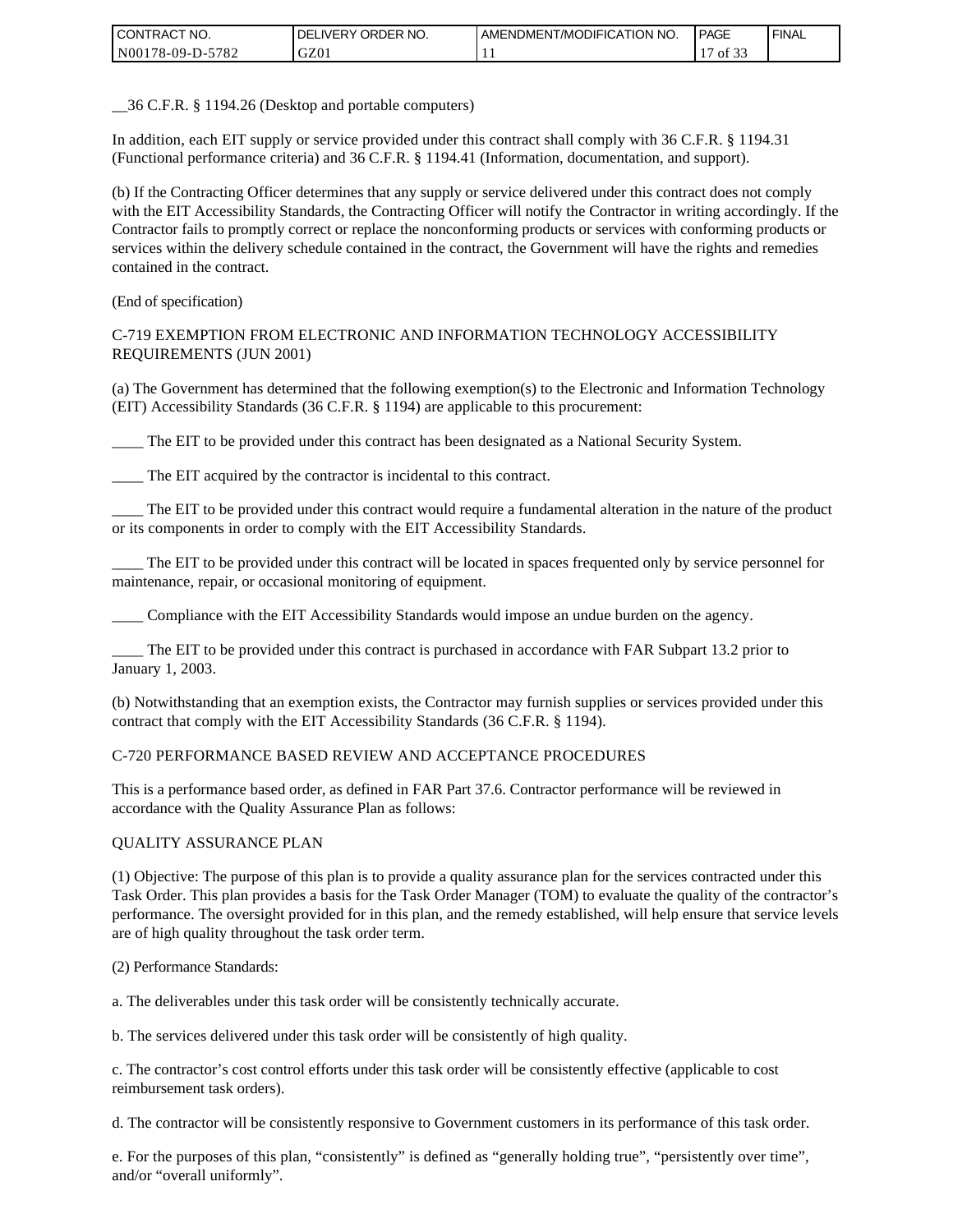| <b>CONTRACT NO.</b> | ' ORDER NO.<br><b>DELIVERY</b> | AMENDMENT/MODIFICATION NO. | <b>PAGE</b>      | ' FINAL |
|---------------------|--------------------------------|----------------------------|------------------|---------|
| N00178-09-D-5782    | GZ01                           |                            | 0.22<br>0Ī<br>ັ້ |         |

\_\_36 C.F.R. § 1194.26 (Desktop and portable computers)

In addition, each EIT supply or service provided under this contract shall comply with 36 C.F.R. § 1194.31 (Functional performance criteria) and 36 C.F.R. § 1194.41 (Information, documentation, and support).

(b) If the Contracting Officer determines that any supply or service delivered under this contract does not comply with the EIT Accessibility Standards, the Contracting Officer will notify the Contractor in writing accordingly. If the Contractor fails to promptly correct or replace the nonconforming products or services with conforming products or services within the delivery schedule contained in the contract, the Government will have the rights and remedies contained in the contract.

(End of specification)

#### C-719 EXEMPTION FROM ELECTRONIC AND INFORMATION TECHNOLOGY ACCESSIBILITY REQUIREMENTS (JUN 2001)

(a) The Government has determined that the following exemption(s) to the Electronic and Information Technology (EIT) Accessibility Standards (36 C.F.R. § 1194) are applicable to this procurement:

\_\_\_\_ The EIT to be provided under this contract has been designated as a National Security System.

The EIT acquired by the contractor is incidental to this contract.

\_\_\_\_ The EIT to be provided under this contract would require a fundamental alteration in the nature of the product or its components in order to comply with the EIT Accessibility Standards.

\_\_\_\_ The EIT to be provided under this contract will be located in spaces frequented only by service personnel for maintenance, repair, or occasional monitoring of equipment.

\_\_\_\_ Compliance with the EIT Accessibility Standards would impose an undue burden on the agency.

The EIT to be provided under this contract is purchased in accordance with FAR Subpart 13.2 prior to January 1, 2003.

(b) Notwithstanding that an exemption exists, the Contractor may furnish supplies or services provided under this contract that comply with the EIT Accessibility Standards (36 C.F.R. § 1194).

#### C-720 PERFORMANCE BASED REVIEW AND ACCEPTANCE PROCEDURES

This is a performance based order, as defined in FAR Part 37.6. Contractor performance will be reviewed in accordance with the Quality Assurance Plan as follows:

#### QUALITY ASSURANCE PLAN

(1) Objective: The purpose of this plan is to provide a quality assurance plan for the services contracted under this Task Order. This plan provides a basis for the Task Order Manager (TOM) to evaluate the quality of the contractor's performance. The oversight provided for in this plan, and the remedy established, will help ensure that service levels are of high quality throughout the task order term.

(2) Performance Standards:

a. The deliverables under this task order will be consistently technically accurate.

b. The services delivered under this task order will be consistently of high quality.

c. The contractor's cost control efforts under this task order will be consistently effective (applicable to cost reimbursement task orders).

d. The contractor will be consistently responsive to Government customers in its performance of this task order.

e. For the purposes of this plan, "consistently" is defined as "generally holding true", "persistently over time", and/or "overall uniformly".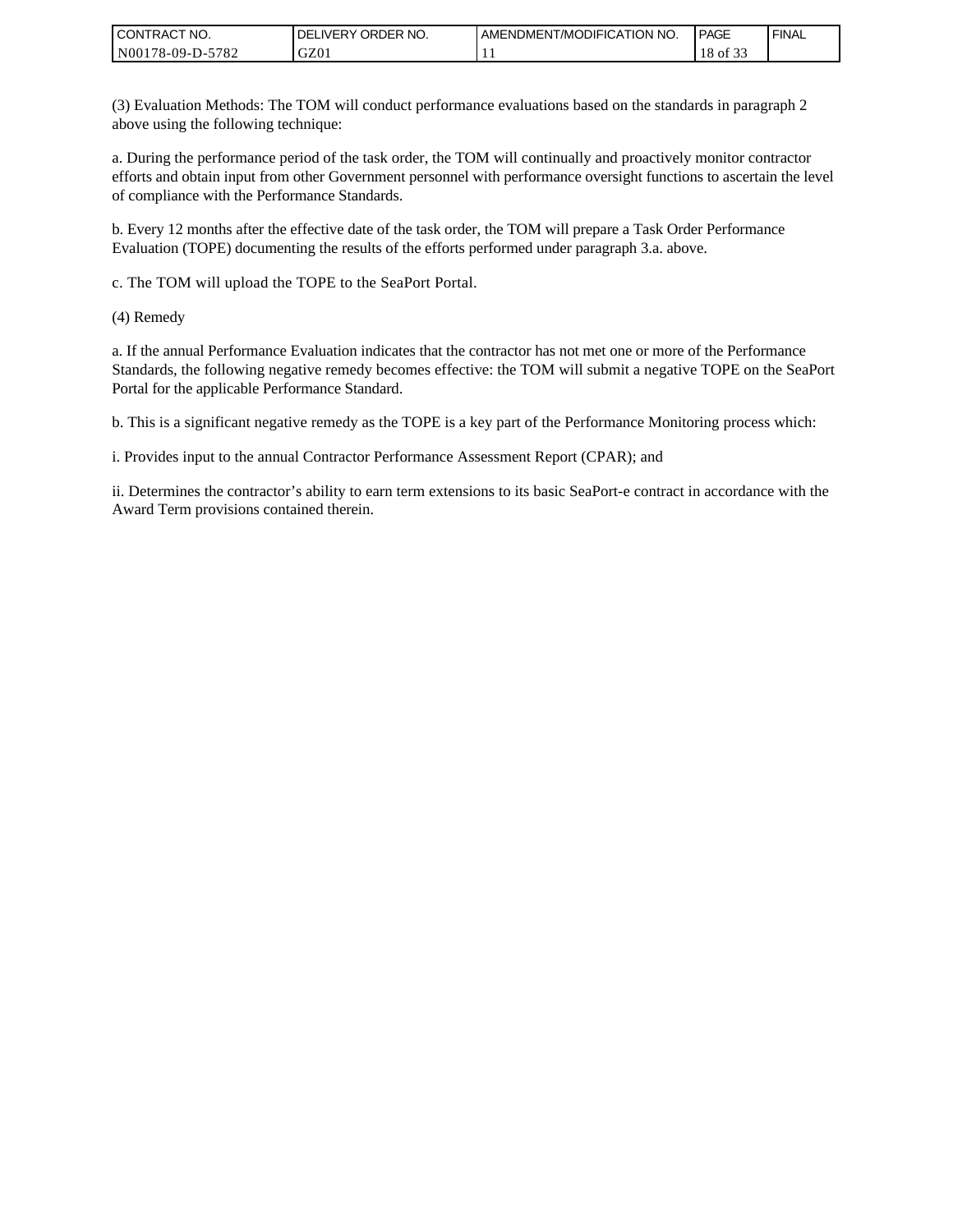| I CONTRACT NO.   | ORDER NO.<br><b>DELIVERY</b> | AMENDMENT/MODIFICATION NO. | <b>PAGE</b>                   | ' FINAL |
|------------------|------------------------------|----------------------------|-------------------------------|---------|
| N00178-09-D-5782 | GZ0 <sub>1</sub>             | . .                        | $\sim$ $\sim$ $\sim$<br>of 33 |         |

(3) Evaluation Methods: The TOM will conduct performance evaluations based on the standards in paragraph 2 above using the following technique:

a. During the performance period of the task order, the TOM will continually and proactively monitor contractor efforts and obtain input from other Government personnel with performance oversight functions to ascertain the level of compliance with the Performance Standards.

b. Every 12 months after the effective date of the task order, the TOM will prepare a Task Order Performance Evaluation (TOPE) documenting the results of the efforts performed under paragraph 3.a. above.

c. The TOM will upload the TOPE to the SeaPort Portal.

(4) Remedy

a. If the annual Performance Evaluation indicates that the contractor has not met one or more of the Performance Standards, the following negative remedy becomes effective: the TOM will submit a negative TOPE on the SeaPort Portal for the applicable Performance Standard.

b. This is a significant negative remedy as the TOPE is a key part of the Performance Monitoring process which:

i. Provides input to the annual Contractor Performance Assessment Report (CPAR); and

ii. Determines the contractor's ability to earn term extensions to its basic SeaPort-e contract in accordance with the Award Term provisions contained therein.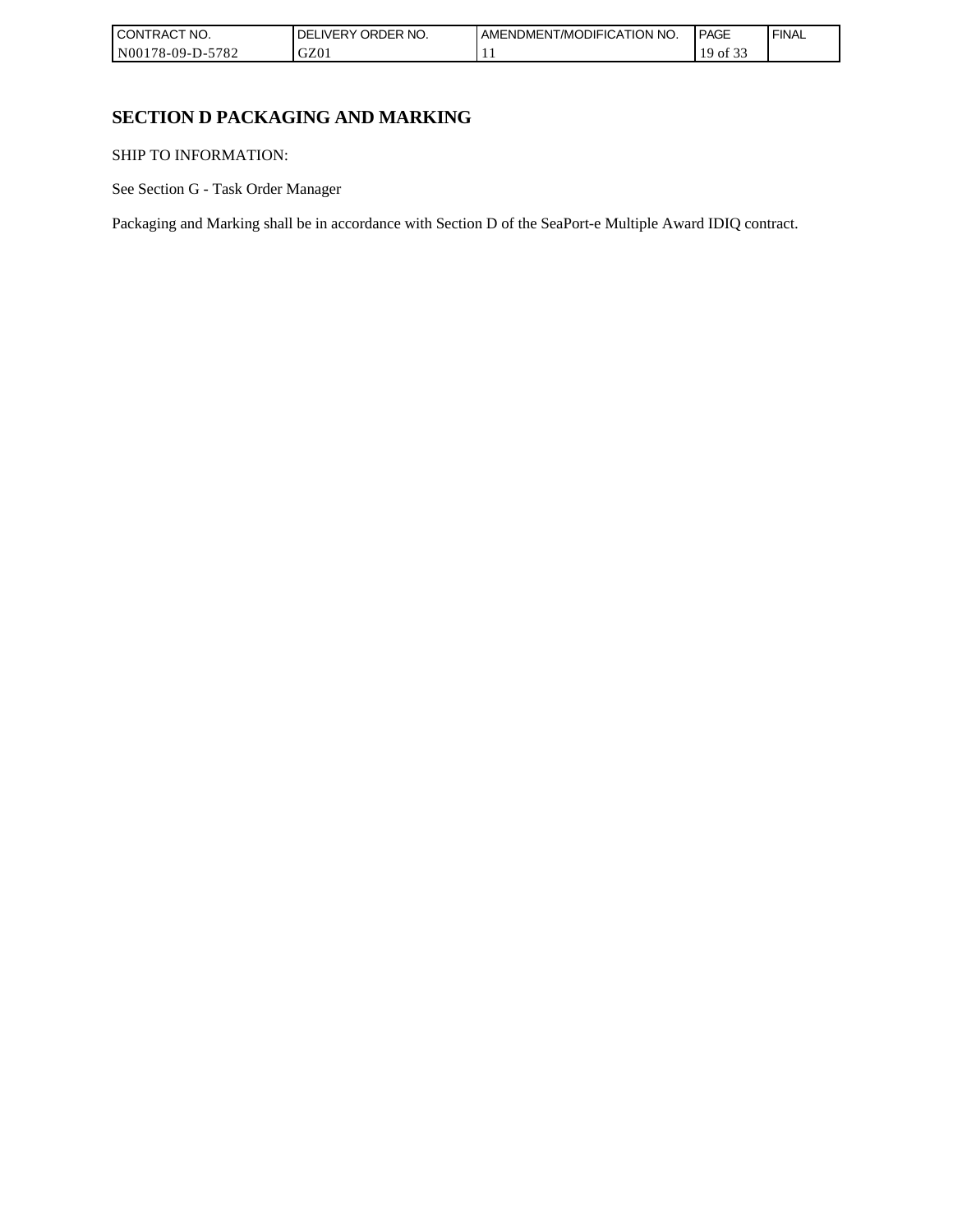| I CONT'<br>'TRACT NO.    | ORDER NO.<br>i IVFRY | I AMENDMENT/MODIFICATION NO. | <b>PAGE</b>                      | <b>FINAL</b> |
|--------------------------|----------------------|------------------------------|----------------------------------|--------------|
| N00178-09-D-5<br>$-5782$ | GZ01                 |                              | $\sim$ $\sim$ $\sim$<br>١C<br>ΟĪ |              |

# **SECTION D PACKAGING AND MARKING**

SHIP TO INFORMATION:

See Section G - Task Order Manager

Packaging and Marking shall be in accordance with Section D of the SeaPort-e Multiple Award IDIQ contract.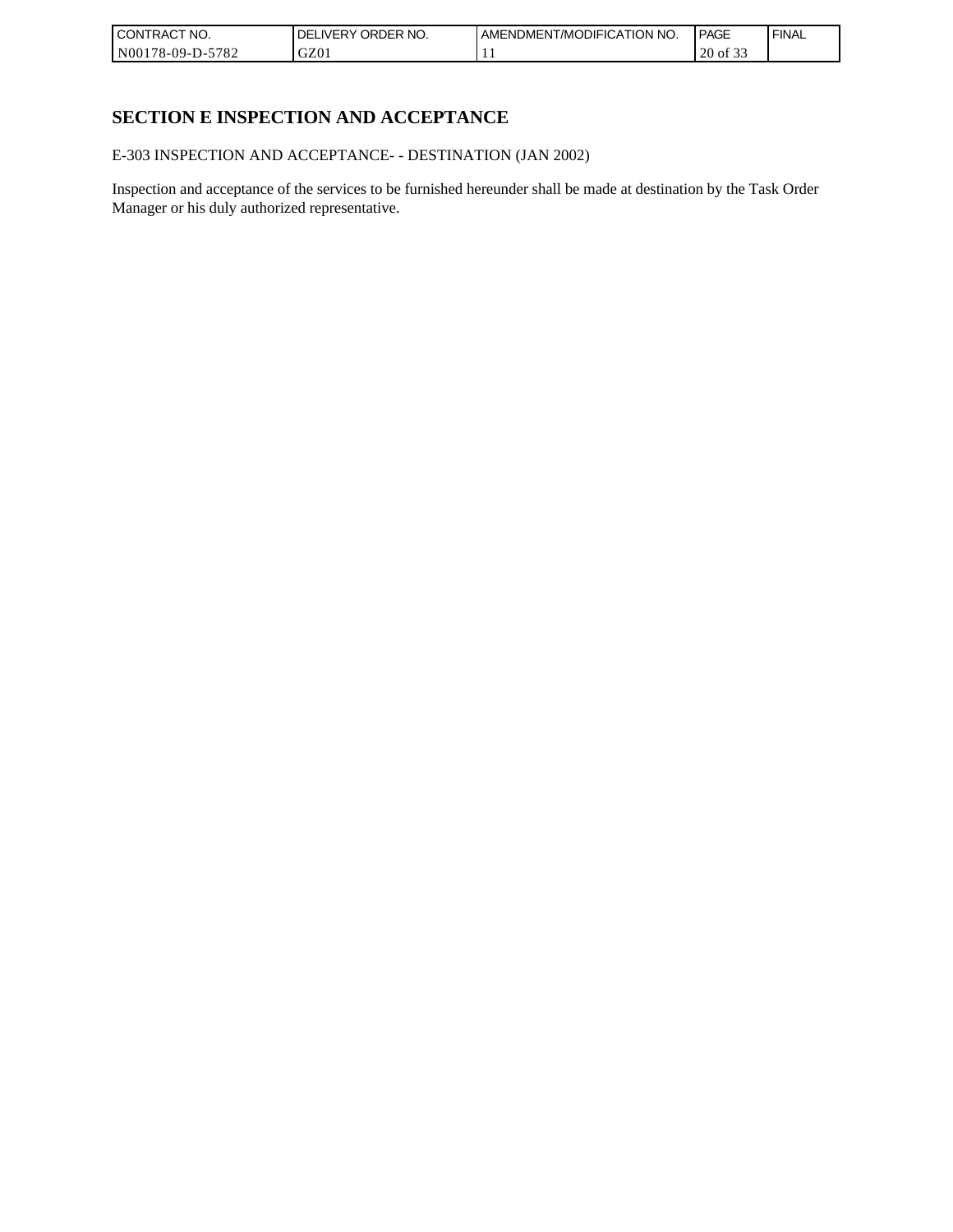| I CONTRACT NO.   | ORDER NO.<br><b>DELIVERY</b> | AMENDMENT/MODIFICATION NO. | <b>PAGE</b>               | ' FINAL |
|------------------|------------------------------|----------------------------|---------------------------|---------|
| N00178-09-D-5782 | GZ0 <sub>1</sub>             | . .                        | $\sim$ $\sim$<br>20 of 33 |         |

# **SECTION E INSPECTION AND ACCEPTANCE**

E-303 INSPECTION AND ACCEPTANCE- - DESTINATION (JAN 2002)

Inspection and acceptance of the services to be furnished hereunder shall be made at destination by the Task Order Manager or his duly authorized representative.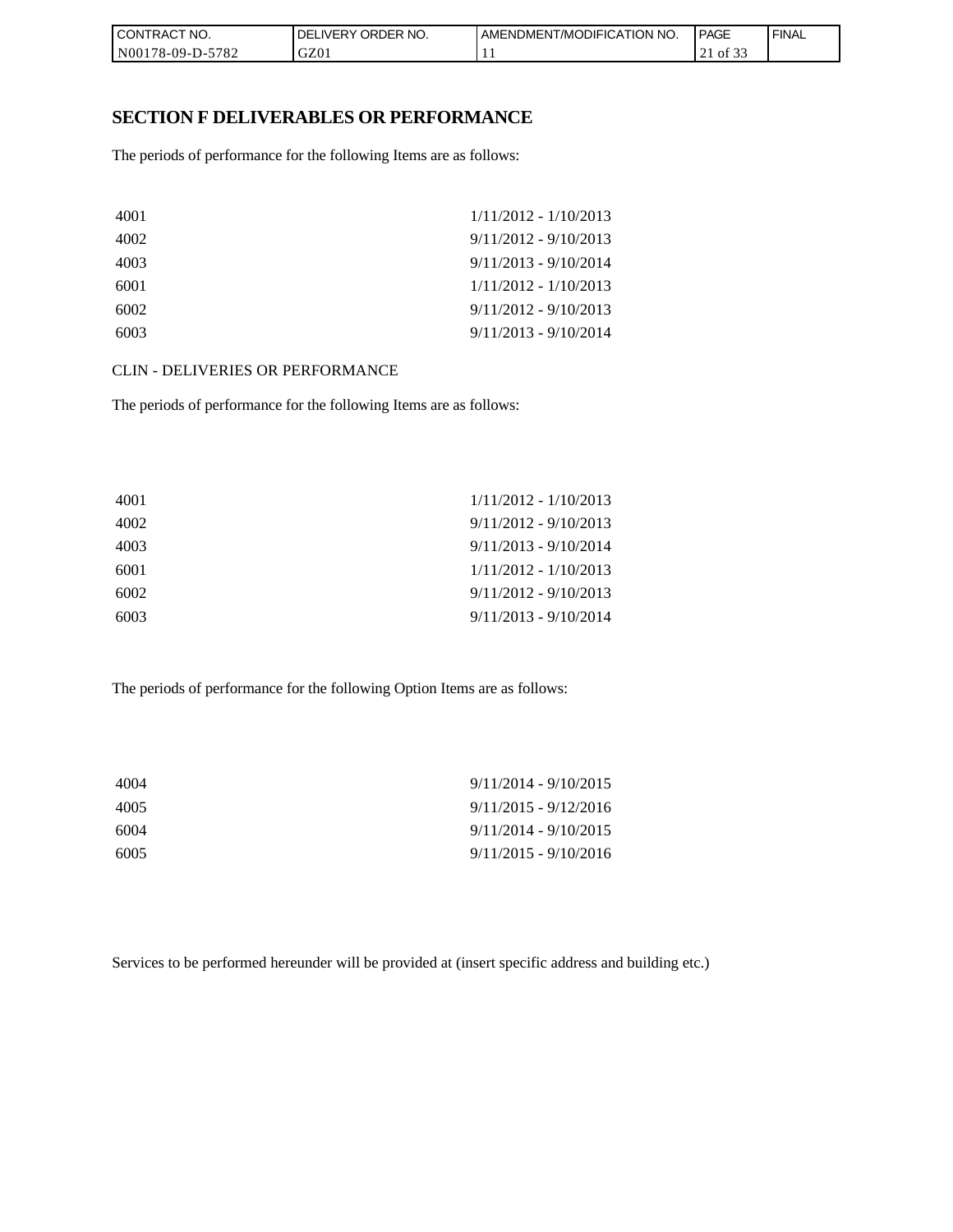| CONTRACT NO.               | NO.<br>ORDER <sup>®</sup><br><b>DELIVERY</b> | AMENDMENT/MODIFICATION NO. | PAGE        | <b>FINAL</b> |
|----------------------------|----------------------------------------------|----------------------------|-------------|--------------|
| $-5782$<br>  N00178-09-D-5 | GZ01                                         | . .                        | of 33<br>∠⊥ |              |

## **SECTION F DELIVERABLES OR PERFORMANCE**

The periods of performance for the following Items are as follows:

| 4001 | $1/11/2012 - 1/10/2013$ |
|------|-------------------------|
| 4002 | $9/11/2012 - 9/10/2013$ |
| 4003 | $9/11/2013 - 9/10/2014$ |
| 6001 | $1/11/2012 - 1/10/2013$ |
| 6002 | $9/11/2012 - 9/10/2013$ |
| 6003 | $9/11/2013 - 9/10/2014$ |

CLIN - DELIVERIES OR PERFORMANCE

The periods of performance for the following Items are as follows:

| 4001 | $1/11/2012 - 1/10/2013$ |
|------|-------------------------|
| 4002 | $9/11/2012 - 9/10/2013$ |
| 4003 | $9/11/2013 - 9/10/2014$ |
| 6001 | 1/11/2012 - 1/10/2013   |
| 6002 | $9/11/2012 - 9/10/2013$ |
| 6003 | $9/11/2013 - 9/10/2014$ |

The periods of performance for the following Option Items are as follows:

| 4004 | $9/11/2014 - 9/10/2015$ |
|------|-------------------------|
| 4005 | $9/11/2015 - 9/12/2016$ |
| 6004 | $9/11/2014 - 9/10/2015$ |
| 6005 | $9/11/2015 - 9/10/2016$ |

Services to be performed hereunder will be provided at (insert specific address and building etc.)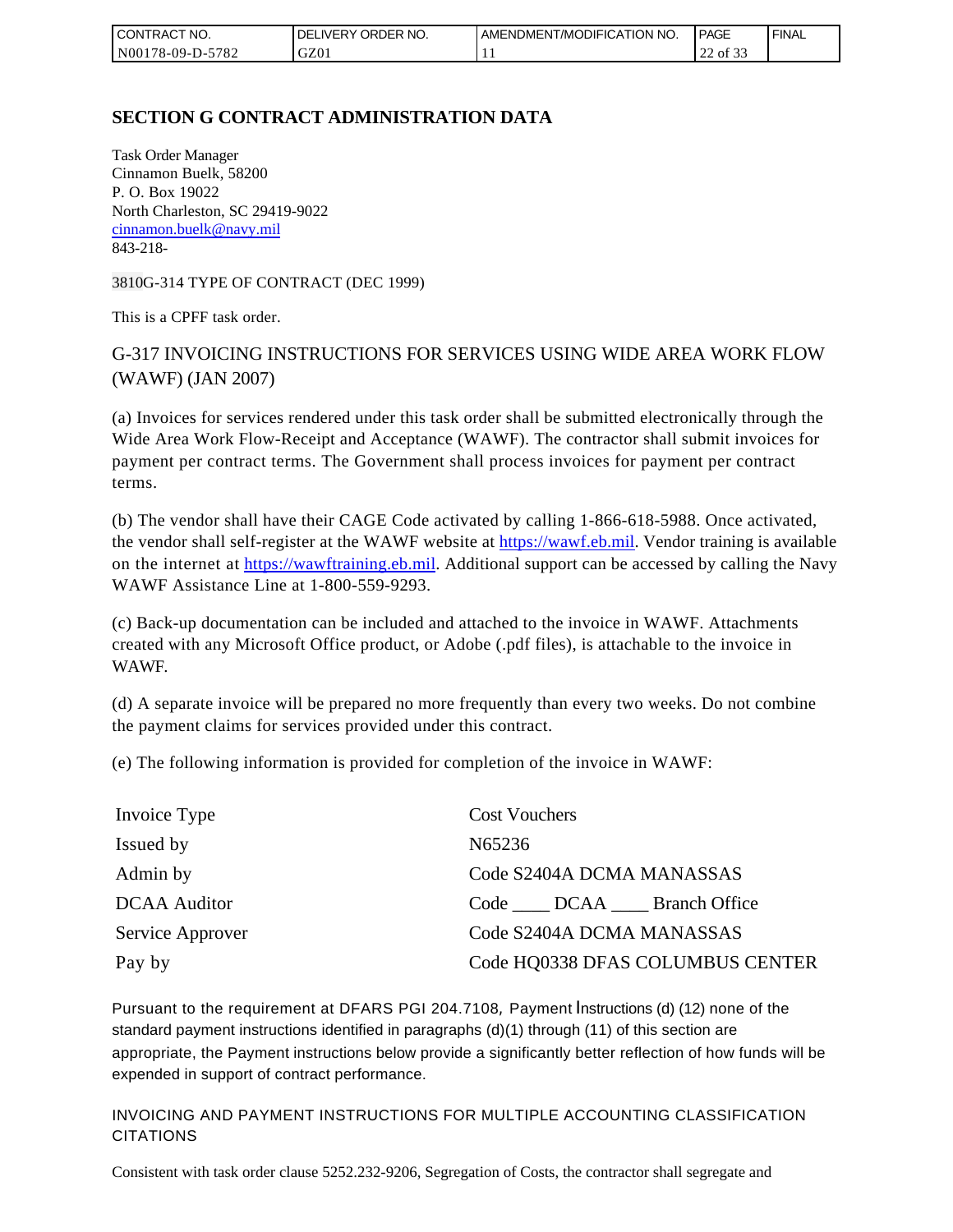| l CON<br>TRACT NO.                     | ORDER NO.<br><b>DELIVERY</b> | AMENDMENT/MODIFICATION NO. | <b>PAGE</b>                         | ' FINAL |
|----------------------------------------|------------------------------|----------------------------|-------------------------------------|---------|
| 5782<br>N001<br>*78-09-D- <sub>~</sub> | GZ0 <sub>1</sub>             | . .                        | $\sim$ $\sim$<br>$\sim$<br>22 of 33 |         |

# **SECTION G CONTRACT ADMINISTRATION DATA**

Task Order Manager Cinnamon Buelk, 58200 P. O. Box 19022 North Charleston, SC 29419-9022 [cinnamon.buelk@navy.mil](mailto:cinnamon.buelk@navy.mil) 843-218-

3810G-314 TYPE OF CONTRACT (DEC 1999)

This is a CPFF task order.

# G-317 INVOICING INSTRUCTIONS FOR SERVICES USING WIDE AREA WORK FLOW (WAWF) (JAN 2007)

(a) Invoices for services rendered under this task order shall be submitted electronically through the Wide Area Work Flow-Receipt and Acceptance (WAWF). The contractor shall submit invoices for payment per contract terms. The Government shall process invoices for payment per contract terms.

(b) The vendor shall have their CAGE Code activated by calling 1-866-618-5988. Once activated, the vendor shall self-register at the WAWF website at [https://wawf.eb.mil.](https://wawf.eb.mil/) Vendor training is available on the internet at [https://wawftraining.eb.mil.](https://wawftraining.eb.mil/) Additional support can be accessed by calling the Navy WAWF Assistance Line at 1-800-559-9293.

(c) Back-up documentation can be included and attached to the invoice in WAWF. Attachments created with any Microsoft Office product, or Adobe (.pdf files), is attachable to the invoice in WAWF.

(d) A separate invoice will be prepared no more frequently than every two weeks. Do not combine the payment claims for services provided under this contract.

(e) The following information is provided for completion of the invoice in WAWF:

| Invoice Type        | <b>Cost Vouchers</b>             |
|---------------------|----------------------------------|
| Issued by           | N65236                           |
| Admin by            | Code S2404A DCMA MANASSAS        |
| <b>DCAA</b> Auditor | Code DCAA Branch Office          |
| Service Approver    | Code S2404A DCMA MANASSAS        |
| Pay by              | Code HQ0338 DFAS COLUMBUS CENTER |

Pursuant to the requirement at DFARS PGI 204.7108, Payment Instructions (d) (12) none of the standard payment instructions identified in paragraphs (d)(1) through (11) of this section are appropriate, the Payment instructions below provide a significantly better reflection of how funds will be expended in support of contract performance.

INVOICING AND PAYMENT INSTRUCTIONS FOR MULTIPLE ACCOUNTING CLASSIFICATION CITATIONS

Consistent with task order clause 5252.232-9206, Segregation of Costs, the contractor shall segregate and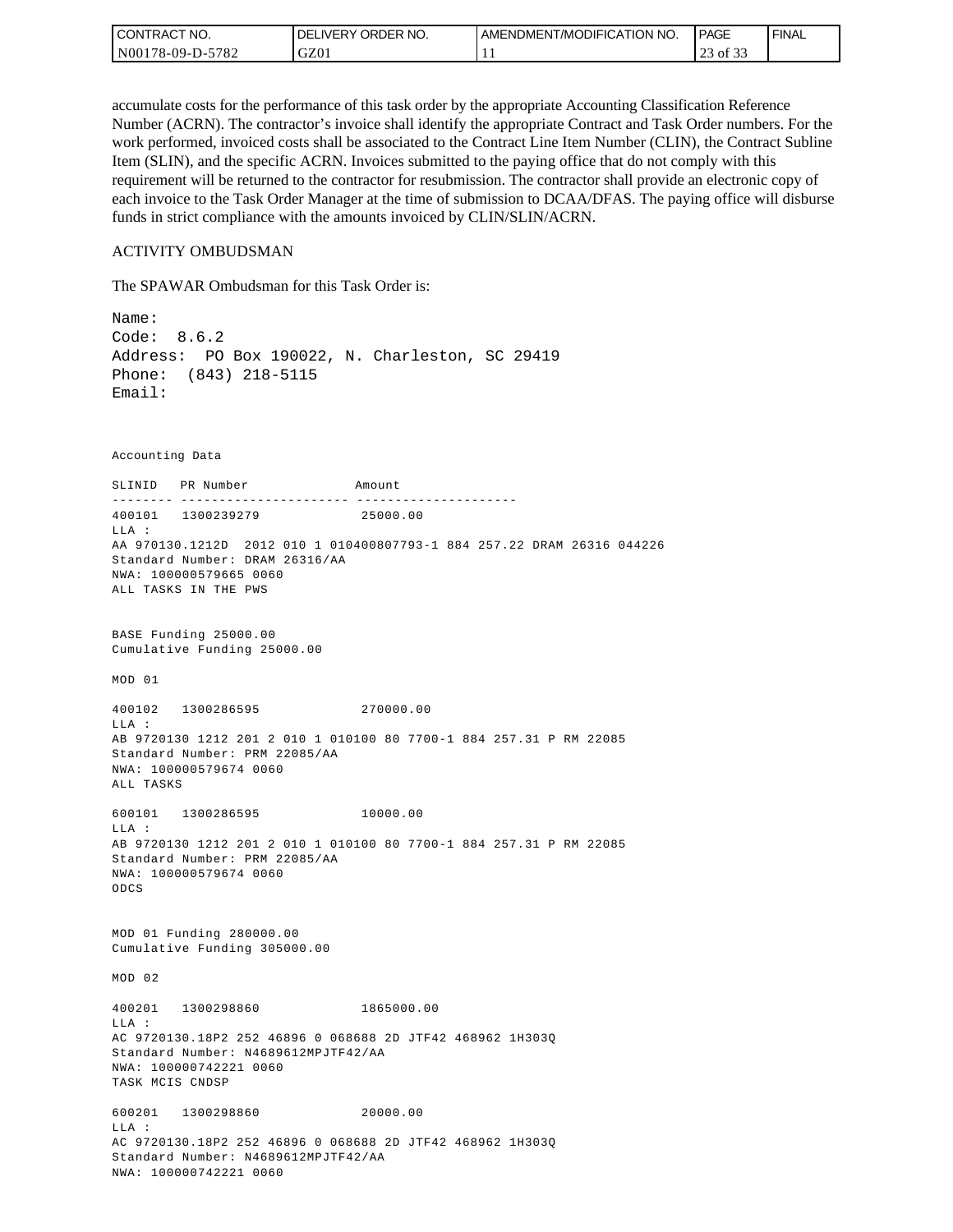| l CON <sup>-</sup><br>TRACT NO. | ORDER NO.<br>_IVERY<br>DELI | AMENDMENT/MODIFICATION NO. | <b>PAGE</b>                                   | ' FINAL |
|---------------------------------|-----------------------------|----------------------------|-----------------------------------------------|---------|
| -5782<br>N00178-09-D-5          | GZ01                        | . .                        | $\sim$ $\sim$ $\sim$<br>$\sim$<br>of 33<br>رے |         |

accumulate costs for the performance of this task order by the appropriate Accounting Classification Reference Number (ACRN). The contractor's invoice shall identify the appropriate Contract and Task Order numbers. For the work performed, invoiced costs shall be associated to the Contract Line Item Number (CLIN), the Contract Subline Item (SLIN), and the specific ACRN. Invoices submitted to the paying office that do not comply with this requirement will be returned to the contractor for resubmission. The contractor shall provide an electronic copy of each invoice to the Task Order Manager at the time of submission to DCAA/DFAS. The paying office will disburse funds in strict compliance with the amounts invoiced by CLIN/SLIN/ACRN.

#### ACTIVITY OMBUDSMAN

The SPAWAR Ombudsman for this Task Order is:

Name: Code: 8.6.2 Address: PO Box 190022, N. Charleston, SC 29419 Phone: (843) 218-5115 Email: Accounting Data SLINID PR Number Amount -------- ---------------------- ---------------------400101 1300239279 25000.00 LLA : AA 970130.1212D 2012 010 1 010400807793-1 884 257.22 DRAM 26316 044226 Standard Number: DRAM 26316/AA NWA: 100000579665 0060 ALL TASKS IN THE PWS BASE Funding 25000.00 Cumulative Funding 25000.00 MOD 01 400102 1300286595 270000.00  $T.T.A$  : AB 9720130 1212 201 2 010 1 010100 80 7700-1 884 257.31 P RM 22085 Standard Number: PRM 22085/AA NWA: 100000579674 0060 ALL TASKS 600101 1300286595 10000.00 LLA : AB 9720130 1212 201 2 010 1 010100 80 7700-1 884 257.31 P RM 22085 Standard Number: PRM 22085/AA NWA: 100000579674 0060 ODCS MOD 01 Funding 280000.00 Cumulative Funding 305000.00 MOD 02 400201 1300298860 1865000.00 LLA : AC 9720130.18P2 252 46896 0 068688 2D JTF42 468962 1H303Q Standard Number: N4689612MPJTF42/AA NWA: 100000742221 0060 TASK MCIS CNDSP 600201 1300298860 20000.00 LLA : AC 9720130.18P2 252 46896 0 068688 2D JTF42 468962 1H303Q Standard Number: N4689612MPJTF42/AA NWA: 100000742221 0060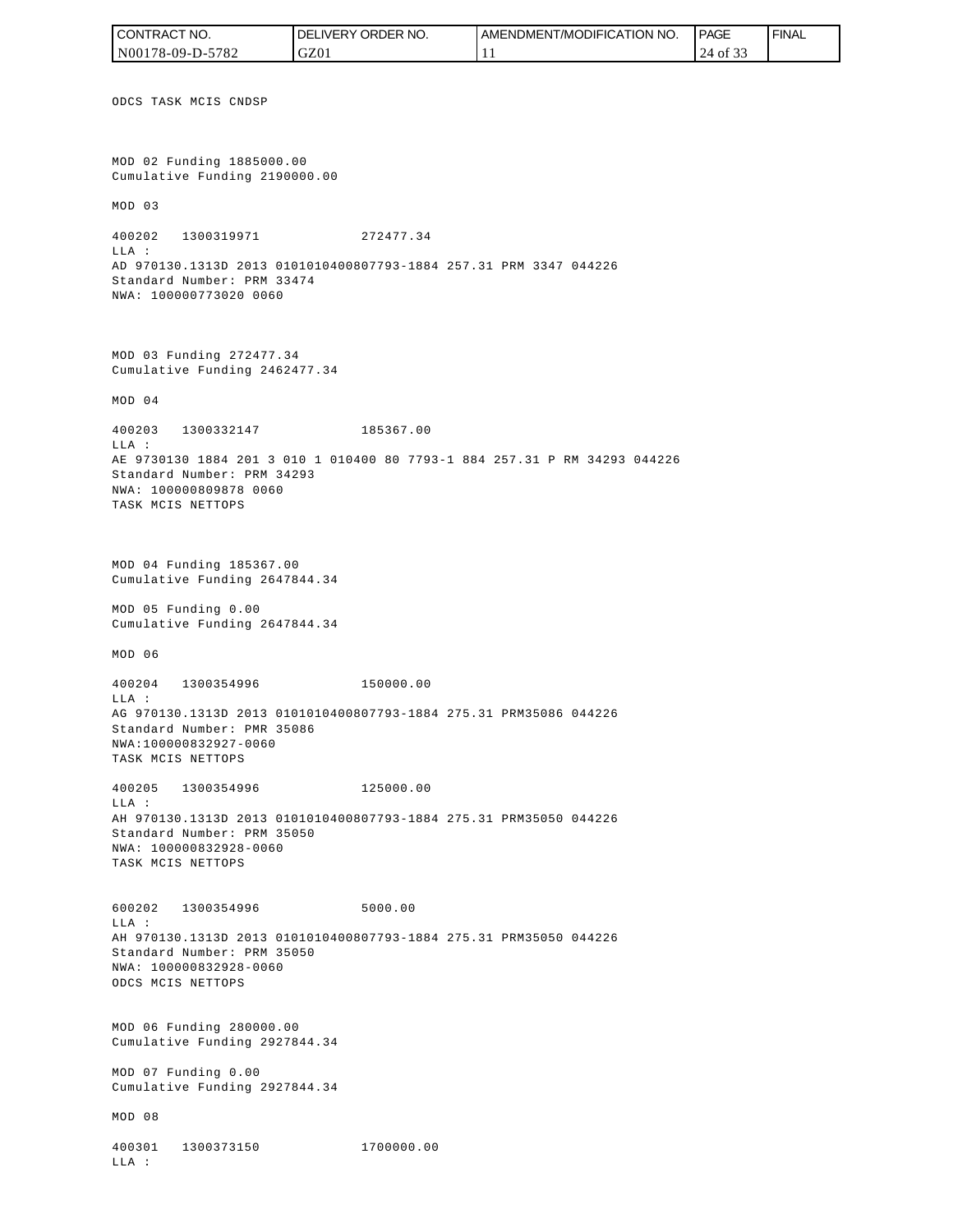ODCS TASK MCIS CNDSP MOD 02 Funding 1885000.00 Cumulative Funding 2190000.00 MOD 03 400202 1300319971 272477.34 LLA : AD 970130.1313D 2013 0101010400807793-1884 257.31 PRM 3347 044226 Standard Number: PRM 33474 NWA: 100000773020 0060 MOD 03 Funding 272477.34 Cumulative Funding 2462477.34 MOD 04 400203 1300332147 185367.00  $T.T.A$  : AE 9730130 1884 201 3 010 1 010400 80 7793-1 884 257.31 P RM 34293 044226 Standard Number: PRM 34293 NWA: 100000809878 0060 TASK MCIS NETTOPS MOD 04 Funding 185367.00 Cumulative Funding 2647844.34 MOD 05 Funding 0.00 Cumulative Funding 2647844.34 MOD 06 400204 1300354996 150000.00 LLA : AG 970130.1313D 2013 0101010400807793-1884 275.31 PRM35086 044226 Standard Number: PMR 35086 NWA:100000832927-0060 TASK MCIS NETTOPS 400205 1300354996 125000.00 LLA : AH 970130.1313D 2013 0101010400807793-1884 275.31 PRM35050 044226 Standard Number: PRM 35050 NWA: 100000832928-0060 TASK MCIS NETTOPS 600202 1300354996 5000.00 LLA : AH 970130.1313D 2013 0101010400807793-1884 275.31 PRM35050 044226 Standard Number: PRM 35050 NWA: 100000832928-0060 ODCS MCIS NETTOPS MOD 06 Funding 280000.00 Cumulative Funding 2927844.34 MOD 07 Funding 0.00 Cumulative Funding 2927844.34 MOD 08 400301 1300373150 1700000.00 LLA : CONTRACT NO. N00178-09-D-5782 DELIVERY ORDER NO. GZ01 AMENDMENT/MODIFICATION NO. 11 **PAGE**  24 of 33 FINAL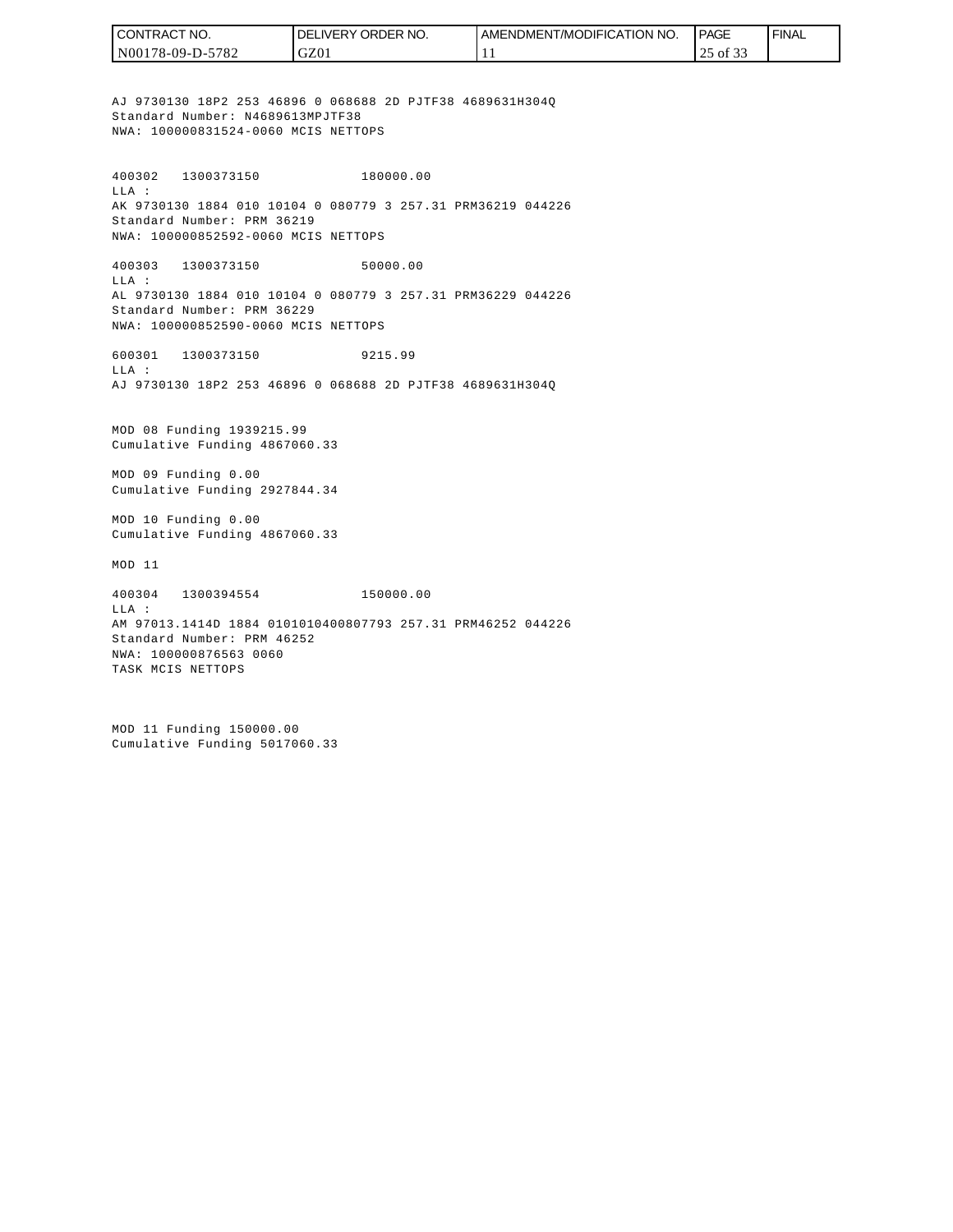| I CONTRACT NO.   | <b>I DELIVERY ORDER NO.</b> | I AMENDMENT/MODIFICATION NO. | PAGE          | ' FINAL |
|------------------|-----------------------------|------------------------------|---------------|---------|
| N00178-09-D-5782 | GZ01                        |                              | $25$ of $3.5$ |         |

AJ 9730130 18P2 253 46896 0 068688 2D PJTF38 4689631H304Q Standard Number: N4689613MPJTF38 NWA: 100000831524-0060 MCIS NETTOPS

400302 1300373150 180000.00 LLA : AK 9730130 1884 010 10104 0 080779 3 257.31 PRM36219 044226 Standard Number: PRM 36219 NWA: 100000852592-0060 MCIS NETTOPS

400303 1300373150 50000.00 LLA : AL 9730130 1884 010 10104 0 080779 3 257.31 PRM36229 044226 Standard Number: PRM 36229 NWA: 100000852590-0060 MCIS NETTOPS

600301 1300373150 9215.99 LLA : AJ 9730130 18P2 253 46896 0 068688 2D PJTF38 4689631H304Q

MOD 08 Funding 1939215.99 Cumulative Funding 4867060.33

MOD 09 Funding 0.00 Cumulative Funding 2927844.34

MOD 10 Funding 0.00 Cumulative Funding 4867060.33

MOD 11

400304 1300394554 150000.00 LLA : AM 97013.1414D 1884 0101010400807793 257.31 PRM46252 044226 Standard Number: PRM 46252 NWA: 100000876563 0060 TASK MCIS NETTOPS

MOD 11 Funding 150000.00 Cumulative Funding 5017060.33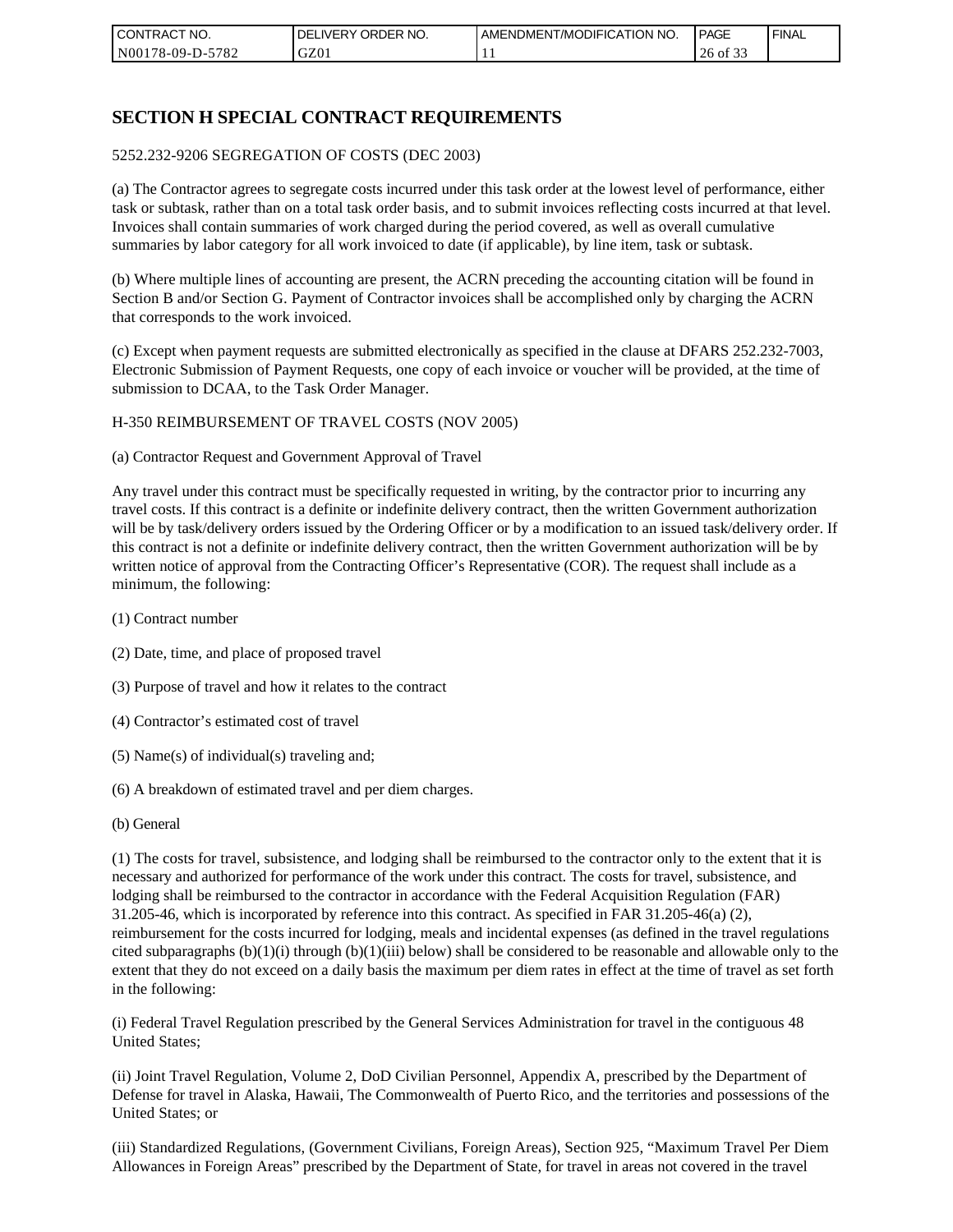| I CON <sup>-</sup><br><b>'TRACT NO.</b> | NO.<br>ORDER <sup>®</sup><br>DELIVERY | AMENDMENT/MODIFICATION NO. | I PAGE                              | ' FINAL |
|-----------------------------------------|---------------------------------------|----------------------------|-------------------------------------|---------|
| N00178-09-D-5782                        | GZ01                                  |                            | $\sim$ $\sim$ $\sim$<br>26<br>of 33 |         |

# **SECTION H SPECIAL CONTRACT REQUIREMENTS**

#### 5252.232-9206 SEGREGATION OF COSTS (DEC 2003)

(a) The Contractor agrees to segregate costs incurred under this task order at the lowest level of performance, either task or subtask, rather than on a total task order basis, and to submit invoices reflecting costs incurred at that level. Invoices shall contain summaries of work charged during the period covered, as well as overall cumulative summaries by labor category for all work invoiced to date (if applicable), by line item, task or subtask.

(b) Where multiple lines of accounting are present, the ACRN preceding the accounting citation will be found in Section B and/or Section G. Payment of Contractor invoices shall be accomplished only by charging the ACRN that corresponds to the work invoiced.

(c) Except when payment requests are submitted electronically as specified in the clause at DFARS 252.232-7003, Electronic Submission of Payment Requests, one copy of each invoice or voucher will be provided, at the time of submission to DCAA, to the Task Order Manager.

#### H-350 REIMBURSEMENT OF TRAVEL COSTS (NOV 2005)

(a) Contractor Request and Government Approval of Travel

Any travel under this contract must be specifically requested in writing, by the contractor prior to incurring any travel costs. If this contract is a definite or indefinite delivery contract, then the written Government authorization will be by task/delivery orders issued by the Ordering Officer or by a modification to an issued task/delivery order. If this contract is not a definite or indefinite delivery contract, then the written Government authorization will be by written notice of approval from the Contracting Officer's Representative (COR). The request shall include as a minimum, the following:

- (1) Contract number
- (2) Date, time, and place of proposed travel
- (3) Purpose of travel and how it relates to the contract
- (4) Contractor's estimated cost of travel
- (5) Name(s) of individual(s) traveling and;
- (6) A breakdown of estimated travel and per diem charges.
- (b) General

(1) The costs for travel, subsistence, and lodging shall be reimbursed to the contractor only to the extent that it is necessary and authorized for performance of the work under this contract. The costs for travel, subsistence, and lodging shall be reimbursed to the contractor in accordance with the Federal Acquisition Regulation (FAR) 31.205-46, which is incorporated by reference into this contract. As specified in FAR 31.205-46(a) (2), reimbursement for the costs incurred for lodging, meals and incidental expenses (as defined in the travel regulations cited subparagraphs  $(b)(1)(i)$  through  $(b)(1)(iii)$  below) shall be considered to be reasonable and allowable only to the extent that they do not exceed on a daily basis the maximum per diem rates in effect at the time of travel as set forth in the following:

(i) Federal Travel Regulation prescribed by the General Services Administration for travel in the contiguous 48 United States;

(ii) Joint Travel Regulation, Volume 2, DoD Civilian Personnel, Appendix A, prescribed by the Department of Defense for travel in Alaska, Hawaii, The Commonwealth of Puerto Rico, and the territories and possessions of the United States; or

(iii) Standardized Regulations, (Government Civilians, Foreign Areas), Section 925, "Maximum Travel Per Diem Allowances in Foreign Areas" prescribed by the Department of State, for travel in areas not covered in the travel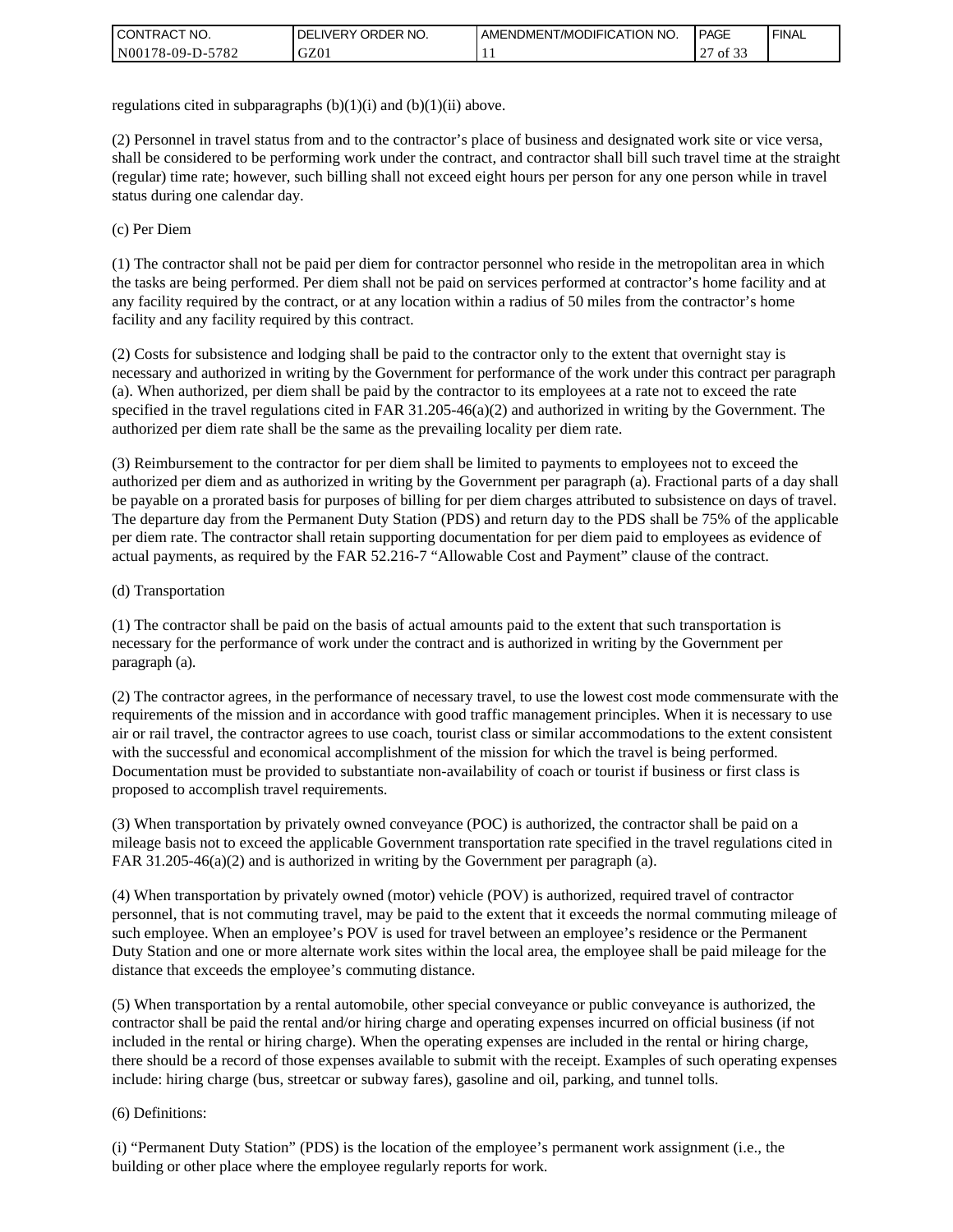| I CONTRACT NO.   | ' ORDER NO.<br><b>DELIVERY</b> | <b>LAMENDMENT/MODIFICATION NO.</b> | <b>PAGE</b>    | <b>FINAL</b> |
|------------------|--------------------------------|------------------------------------|----------------|--------------|
| N00178-09-D-5782 | GZ01                           |                                    | $\sim$<br>0132 |              |

regulations cited in subparagraphs  $(b)(1)(i)$  and  $(b)(1)(ii)$  above.

(2) Personnel in travel status from and to the contractor's place of business and designated work site or vice versa, shall be considered to be performing work under the contract, and contractor shall bill such travel time at the straight (regular) time rate; however, such billing shall not exceed eight hours per person for any one person while in travel status during one calendar day.

(c) Per Diem

(1) The contractor shall not be paid per diem for contractor personnel who reside in the metropolitan area in which the tasks are being performed. Per diem shall not be paid on services performed at contractor's home facility and at any facility required by the contract, or at any location within a radius of 50 miles from the contractor's home facility and any facility required by this contract.

(2) Costs for subsistence and lodging shall be paid to the contractor only to the extent that overnight stay is necessary and authorized in writing by the Government for performance of the work under this contract per paragraph (a). When authorized, per diem shall be paid by the contractor to its employees at a rate not to exceed the rate specified in the travel regulations cited in FAR 31.205-46(a)(2) and authorized in writing by the Government. The authorized per diem rate shall be the same as the prevailing locality per diem rate.

(3) Reimbursement to the contractor for per diem shall be limited to payments to employees not to exceed the authorized per diem and as authorized in writing by the Government per paragraph (a). Fractional parts of a day shall be payable on a prorated basis for purposes of billing for per diem charges attributed to subsistence on days of travel. The departure day from the Permanent Duty Station (PDS) and return day to the PDS shall be 75% of the applicable per diem rate. The contractor shall retain supporting documentation for per diem paid to employees as evidence of actual payments, as required by the FAR 52.216-7 "Allowable Cost and Payment" clause of the contract.

#### (d) Transportation

(1) The contractor shall be paid on the basis of actual amounts paid to the extent that such transportation is necessary for the performance of work under the contract and is authorized in writing by the Government per paragraph (a).

(2) The contractor agrees, in the performance of necessary travel, to use the lowest cost mode commensurate with the requirements of the mission and in accordance with good traffic management principles. When it is necessary to use air or rail travel, the contractor agrees to use coach, tourist class or similar accommodations to the extent consistent with the successful and economical accomplishment of the mission for which the travel is being performed. Documentation must be provided to substantiate non-availability of coach or tourist if business or first class is proposed to accomplish travel requirements.

(3) When transportation by privately owned conveyance (POC) is authorized, the contractor shall be paid on a mileage basis not to exceed the applicable Government transportation rate specified in the travel regulations cited in FAR 31.205-46(a)(2) and is authorized in writing by the Government per paragraph (a).

(4) When transportation by privately owned (motor) vehicle (POV) is authorized, required travel of contractor personnel, that is not commuting travel, may be paid to the extent that it exceeds the normal commuting mileage of such employee. When an employee's POV is used for travel between an employee's residence or the Permanent Duty Station and one or more alternate work sites within the local area, the employee shall be paid mileage for the distance that exceeds the employee's commuting distance.

(5) When transportation by a rental automobile, other special conveyance or public conveyance is authorized, the contractor shall be paid the rental and/or hiring charge and operating expenses incurred on official business (if not included in the rental or hiring charge). When the operating expenses are included in the rental or hiring charge, there should be a record of those expenses available to submit with the receipt. Examples of such operating expenses include: hiring charge (bus, streetcar or subway fares), gasoline and oil, parking, and tunnel tolls.

#### (6) Definitions:

(i) "Permanent Duty Station" (PDS) is the location of the employee's permanent work assignment (i.e., the building or other place where the employee regularly reports for work.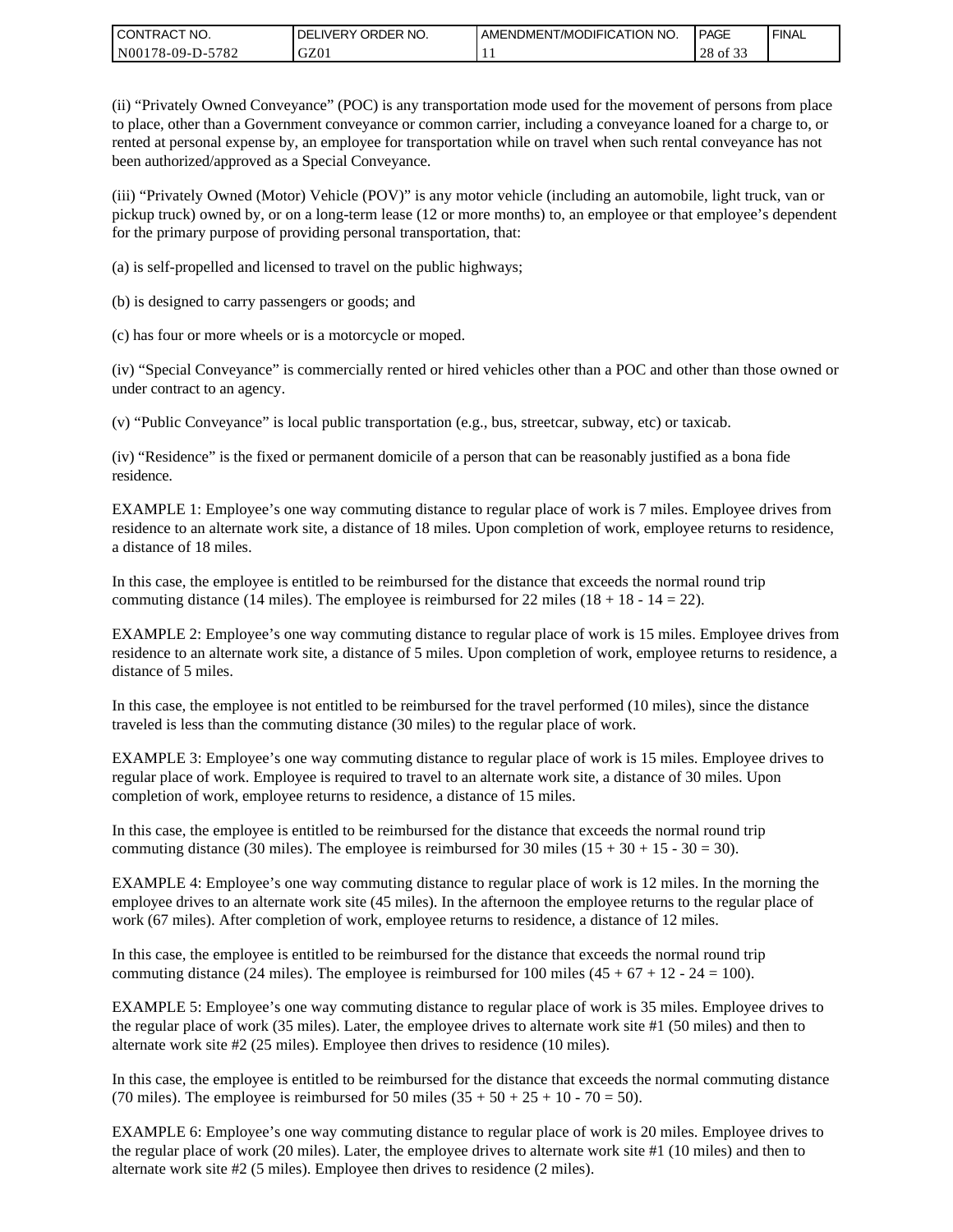| I CONTRACT NO.   | DELIVERY ORDER NO. | LAMENDMENT/MODIFICATION NO. | PAGE                                | ' FINAL |
|------------------|--------------------|-----------------------------|-------------------------------------|---------|
| N00178-09-D-5782 | GZ01               |                             | $\sim$ $\sim$ $\sim$<br>28<br>of 33 |         |

(ii) "Privately Owned Conveyance" (POC) is any transportation mode used for the movement of persons from place to place, other than a Government conveyance or common carrier, including a conveyance loaned for a charge to, or rented at personal expense by, an employee for transportation while on travel when such rental conveyance has not been authorized/approved as a Special Conveyance.

(iii) "Privately Owned (Motor) Vehicle (POV)" is any motor vehicle (including an automobile, light truck, van or pickup truck) owned by, or on a long-term lease (12 or more months) to, an employee or that employee's dependent for the primary purpose of providing personal transportation, that:

(a) is self-propelled and licensed to travel on the public highways;

(b) is designed to carry passengers or goods; and

(c) has four or more wheels or is a motorcycle or moped.

(iv) "Special Conveyance" is commercially rented or hired vehicles other than a POC and other than those owned or under contract to an agency.

(v) "Public Conveyance" is local public transportation (e.g., bus, streetcar, subway, etc) or taxicab.

(iv) "Residence" is the fixed or permanent domicile of a person that can be reasonably justified as a bona fide residence.

EXAMPLE 1: Employee's one way commuting distance to regular place of work is 7 miles. Employee drives from residence to an alternate work site, a distance of 18 miles. Upon completion of work, employee returns to residence, a distance of 18 miles.

In this case, the employee is entitled to be reimbursed for the distance that exceeds the normal round trip commuting distance (14 miles). The employee is reimbursed for 22 miles (18 + 18 - 14 = 22).

EXAMPLE 2: Employee's one way commuting distance to regular place of work is 15 miles. Employee drives from residence to an alternate work site, a distance of 5 miles. Upon completion of work, employee returns to residence, a distance of 5 miles.

In this case, the employee is not entitled to be reimbursed for the travel performed (10 miles), since the distance traveled is less than the commuting distance (30 miles) to the regular place of work.

EXAMPLE 3: Employee's one way commuting distance to regular place of work is 15 miles. Employee drives to regular place of work. Employee is required to travel to an alternate work site, a distance of 30 miles. Upon completion of work, employee returns to residence, a distance of 15 miles.

In this case, the employee is entitled to be reimbursed for the distance that exceeds the normal round trip commuting distance (30 miles). The employee is reimbursed for 30 miles  $(15 + 30 + 15 - 30 = 30)$ .

EXAMPLE 4: Employee's one way commuting distance to regular place of work is 12 miles. In the morning the employee drives to an alternate work site (45 miles). In the afternoon the employee returns to the regular place of work (67 miles). After completion of work, employee returns to residence, a distance of 12 miles.

In this case, the employee is entitled to be reimbursed for the distance that exceeds the normal round trip commuting distance (24 miles). The employee is reimbursed for 100 miles  $(45 + 67 + 12 - 24 = 100)$ .

EXAMPLE 5: Employee's one way commuting distance to regular place of work is 35 miles. Employee drives to the regular place of work (35 miles). Later, the employee drives to alternate work site #1 (50 miles) and then to alternate work site #2 (25 miles). Employee then drives to residence (10 miles).

In this case, the employee is entitled to be reimbursed for the distance that exceeds the normal commuting distance (70 miles). The employee is reimbursed for 50 miles  $(35 + 50 + 25 + 10 - 70 = 50)$ .

EXAMPLE 6: Employee's one way commuting distance to regular place of work is 20 miles. Employee drives to the regular place of work (20 miles). Later, the employee drives to alternate work site #1 (10 miles) and then to alternate work site #2 (5 miles). Employee then drives to residence (2 miles).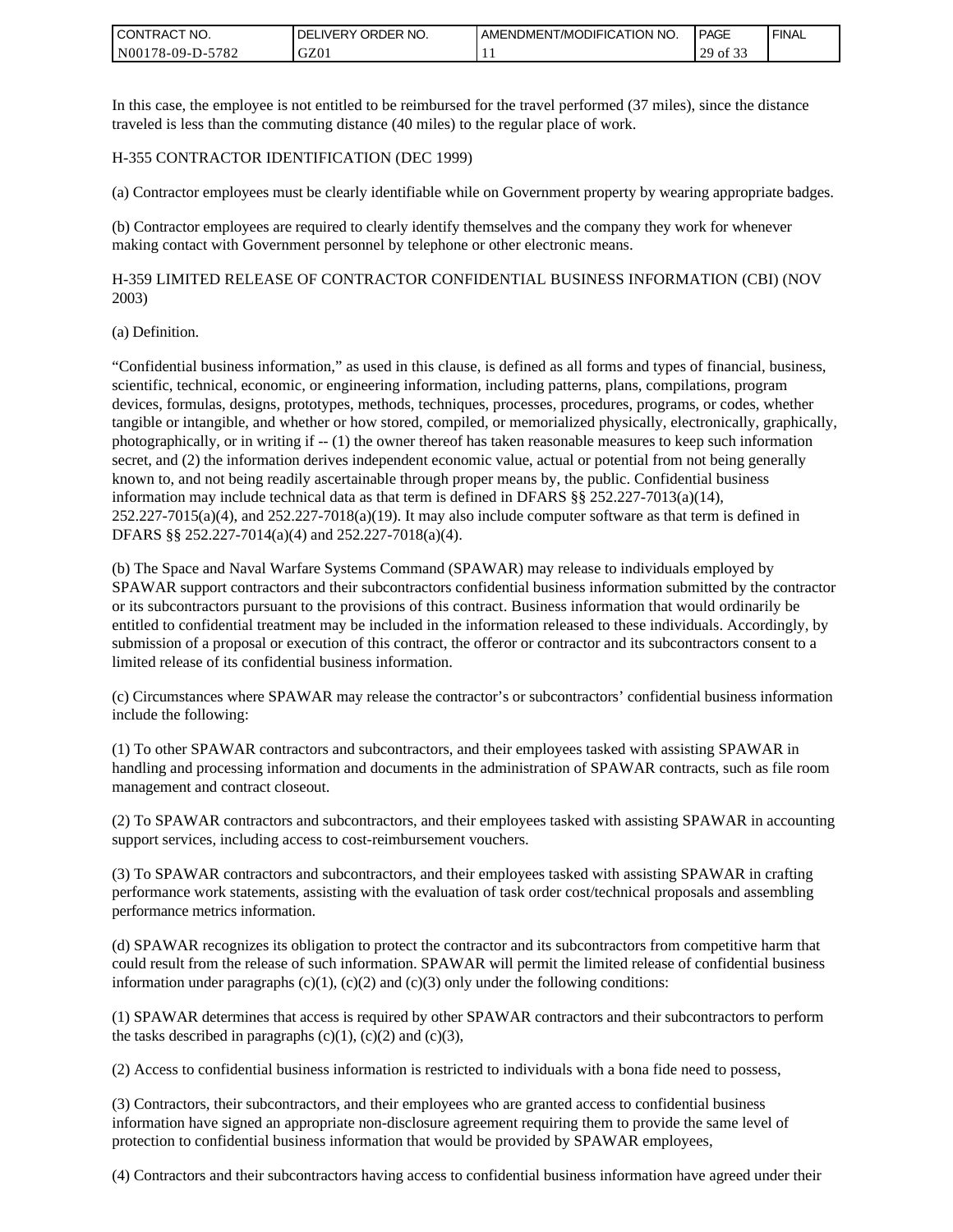| <b>CONTRACT NO.</b> | ' ORDER NO.<br><b>DELIVERY</b> | I AMENDMENT/MODIFICATION NO. | PAGE        | ' FINAL |
|---------------------|--------------------------------|------------------------------|-------------|---------|
| N00178-09-D-5782    | GZ01                           |                              | 29<br>of 33 |         |

In this case, the employee is not entitled to be reimbursed for the travel performed (37 miles), since the distance traveled is less than the commuting distance (40 miles) to the regular place of work.

#### H-355 CONTRACTOR IDENTIFICATION (DEC 1999)

(a) Contractor employees must be clearly identifiable while on Government property by wearing appropriate badges.

(b) Contractor employees are required to clearly identify themselves and the company they work for whenever making contact with Government personnel by telephone or other electronic means.

H-359 LIMITED RELEASE OF CONTRACTOR CONFIDENTIAL BUSINESS INFORMATION (CBI) (NOV 2003)

#### (a) Definition.

"Confidential business information," as used in this clause, is defined as all forms and types of financial, business, scientific, technical, economic, or engineering information, including patterns, plans, compilations, program devices, formulas, designs, prototypes, methods, techniques, processes, procedures, programs, or codes, whether tangible or intangible, and whether or how stored, compiled, or memorialized physically, electronically, graphically, photographically, or in writing if -- (1) the owner thereof has taken reasonable measures to keep such information secret, and (2) the information derives independent economic value, actual or potential from not being generally known to, and not being readily ascertainable through proper means by, the public. Confidential business information may include technical data as that term is defined in DFARS §§ 252.227-7013(a)(14),  $252.227-7015(a)(4)$ , and  $252.227-7018(a)(19)$ . It may also include computer software as that term is defined in DFARS §§ 252.227-7014(a)(4) and 252.227-7018(a)(4).

(b) The Space and Naval Warfare Systems Command (SPAWAR) may release to individuals employed by SPAWAR support contractors and their subcontractors confidential business information submitted by the contractor or its subcontractors pursuant to the provisions of this contract. Business information that would ordinarily be entitled to confidential treatment may be included in the information released to these individuals. Accordingly, by submission of a proposal or execution of this contract, the offeror or contractor and its subcontractors consent to a limited release of its confidential business information.

(c) Circumstances where SPAWAR may release the contractor's or subcontractors' confidential business information include the following:

(1) To other SPAWAR contractors and subcontractors, and their employees tasked with assisting SPAWAR in handling and processing information and documents in the administration of SPAWAR contracts, such as file room management and contract closeout.

(2) To SPAWAR contractors and subcontractors, and their employees tasked with assisting SPAWAR in accounting support services, including access to cost-reimbursement vouchers.

(3) To SPAWAR contractors and subcontractors, and their employees tasked with assisting SPAWAR in crafting performance work statements, assisting with the evaluation of task order cost/technical proposals and assembling performance metrics information.

(d) SPAWAR recognizes its obligation to protect the contractor and its subcontractors from competitive harm that could result from the release of such information. SPAWAR will permit the limited release of confidential business information under paragraphs  $(c)(1)$ ,  $(c)(2)$  and  $(c)(3)$  only under the following conditions:

(1) SPAWAR determines that access is required by other SPAWAR contractors and their subcontractors to perform the tasks described in paragraphs  $(c)(1)$ ,  $(c)(2)$  and  $(c)(3)$ ,

(2) Access to confidential business information is restricted to individuals with a bona fide need to possess,

(3) Contractors, their subcontractors, and their employees who are granted access to confidential business information have signed an appropriate non-disclosure agreement requiring them to provide the same level of protection to confidential business information that would be provided by SPAWAR employees,

(4) Contractors and their subcontractors having access to confidential business information have agreed under their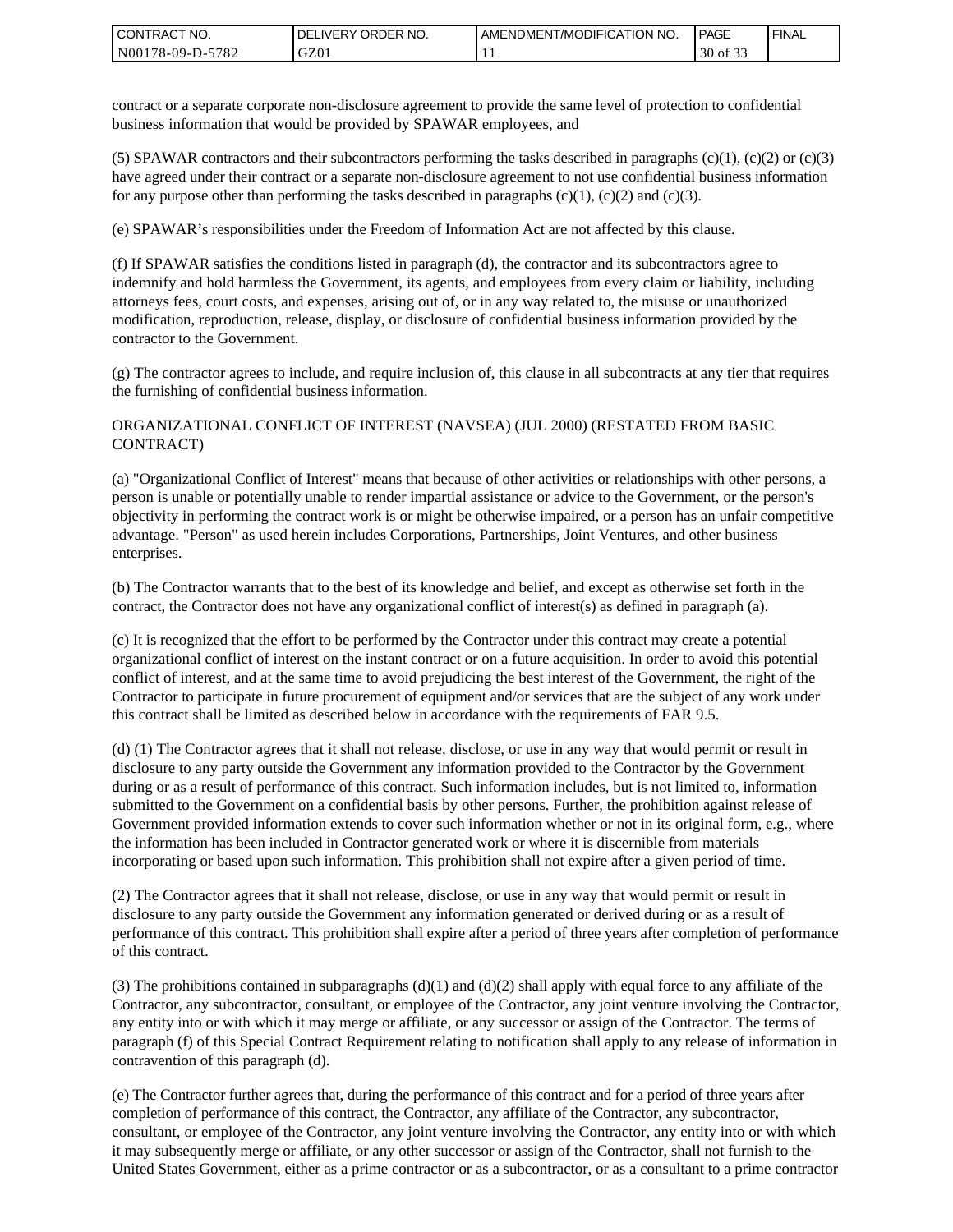| <b>CONTRACT NO.</b> | ' ORDER NO.<br><b>DELIVERY</b> | AMENDMENT/MODIFICATION NO. | <b>PAGE</b>            | ' FINAL |
|---------------------|--------------------------------|----------------------------|------------------------|---------|
| N00178-09-D-5782    | GZ01                           |                            | 0.22<br>30<br>οt<br>ີ່ |         |

contract or a separate corporate non-disclosure agreement to provide the same level of protection to confidential business information that would be provided by SPAWAR employees, and

(5) SPAWAR contractors and their subcontractors performing the tasks described in paragraphs  $(c)(1)$ ,  $(c)(2)$  or  $(c)(3)$ have agreed under their contract or a separate non-disclosure agreement to not use confidential business information for any purpose other than performing the tasks described in paragraphs  $(c)(1)$ ,  $(c)(2)$  and  $(c)(3)$ .

(e) SPAWAR's responsibilities under the Freedom of Information Act are not affected by this clause.

(f) If SPAWAR satisfies the conditions listed in paragraph (d), the contractor and its subcontractors agree to indemnify and hold harmless the Government, its agents, and employees from every claim or liability, including attorneys fees, court costs, and expenses, arising out of, or in any way related to, the misuse or unauthorized modification, reproduction, release, display, or disclosure of confidential business information provided by the contractor to the Government.

(g) The contractor agrees to include, and require inclusion of, this clause in all subcontracts at any tier that requires the furnishing of confidential business information.

#### ORGANIZATIONAL CONFLICT OF INTEREST (NAVSEA) (JUL 2000) (RESTATED FROM BASIC CONTRACT)

(a) "Organizational Conflict of Interest" means that because of other activities or relationships with other persons, a person is unable or potentially unable to render impartial assistance or advice to the Government, or the person's objectivity in performing the contract work is or might be otherwise impaired, or a person has an unfair competitive advantage. "Person" as used herein includes Corporations, Partnerships, Joint Ventures, and other business enterprises.

(b) The Contractor warrants that to the best of its knowledge and belief, and except as otherwise set forth in the contract, the Contractor does not have any organizational conflict of interest(s) as defined in paragraph (a).

(c) It is recognized that the effort to be performed by the Contractor under this contract may create a potential organizational conflict of interest on the instant contract or on a future acquisition. In order to avoid this potential conflict of interest, and at the same time to avoid prejudicing the best interest of the Government, the right of the Contractor to participate in future procurement of equipment and/or services that are the subject of any work under this contract shall be limited as described below in accordance with the requirements of FAR 9.5.

(d) (1) The Contractor agrees that it shall not release, disclose, or use in any way that would permit or result in disclosure to any party outside the Government any information provided to the Contractor by the Government during or as a result of performance of this contract. Such information includes, but is not limited to, information submitted to the Government on a confidential basis by other persons. Further, the prohibition against release of Government provided information extends to cover such information whether or not in its original form, e.g., where the information has been included in Contractor generated work or where it is discernible from materials incorporating or based upon such information. This prohibition shall not expire after a given period of time.

(2) The Contractor agrees that it shall not release, disclose, or use in any way that would permit or result in disclosure to any party outside the Government any information generated or derived during or as a result of performance of this contract. This prohibition shall expire after a period of three years after completion of performance of this contract.

(3) The prohibitions contained in subparagraphs  $(d)(1)$  and  $(d)(2)$  shall apply with equal force to any affiliate of the Contractor, any subcontractor, consultant, or employee of the Contractor, any joint venture involving the Contractor, any entity into or with which it may merge or affiliate, or any successor or assign of the Contractor. The terms of paragraph (f) of this Special Contract Requirement relating to notification shall apply to any release of information in contravention of this paragraph (d).

(e) The Contractor further agrees that, during the performance of this contract and for a period of three years after completion of performance of this contract, the Contractor, any affiliate of the Contractor, any subcontractor, consultant, or employee of the Contractor, any joint venture involving the Contractor, any entity into or with which it may subsequently merge or affiliate, or any other successor or assign of the Contractor, shall not furnish to the United States Government, either as a prime contractor or as a subcontractor, or as a consultant to a prime contractor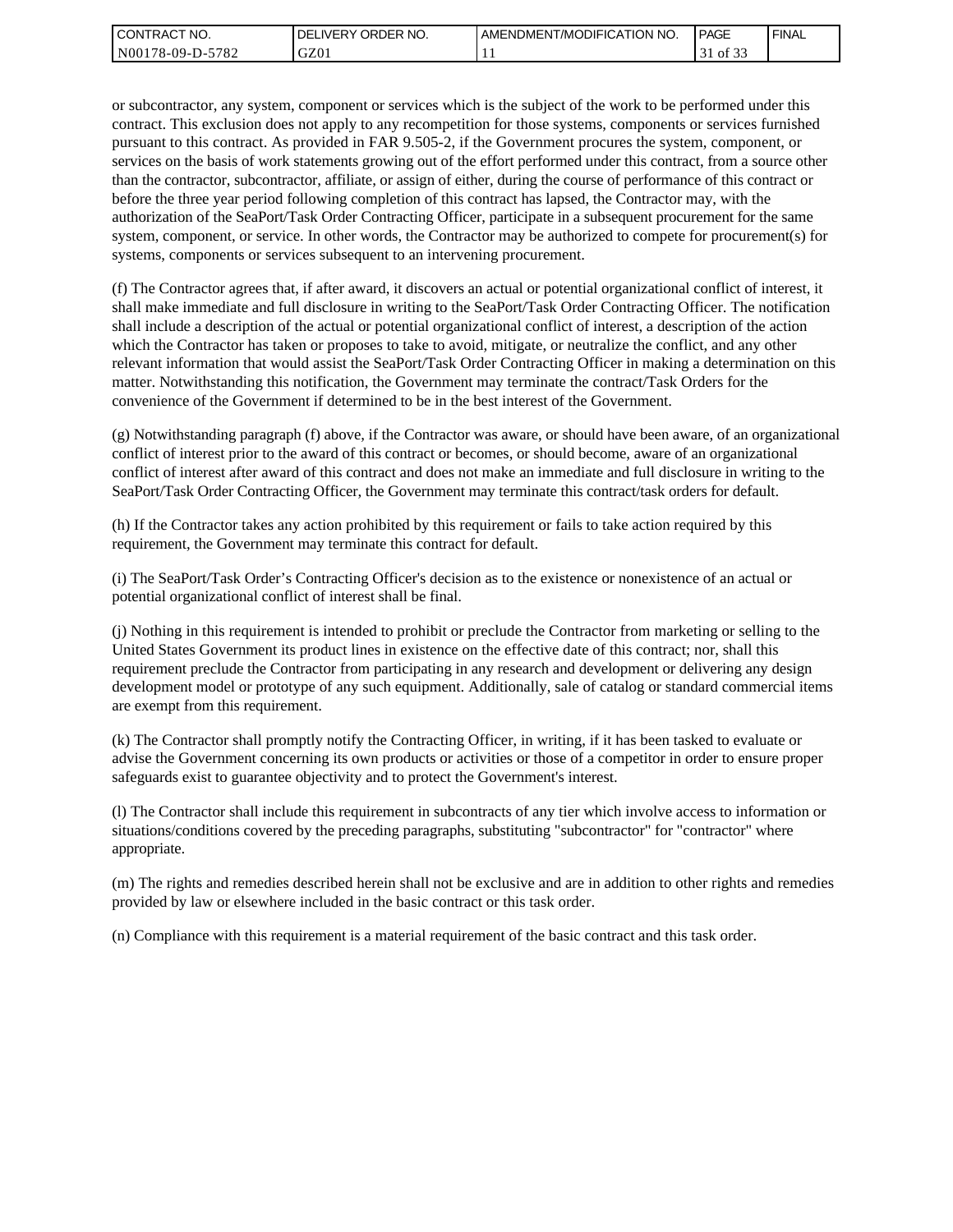| l CON <sup>-</sup><br>'TRACT NO. | ORDER<br>NO.<br>.IVERY<br>DELI | AMENDMENT/MODIFICATION NO. | <b>PAGE</b>              | ' FINAL |
|----------------------------------|--------------------------------|----------------------------|--------------------------|---------|
| N00178-09-D-5<br>5782            | GZ01                           |                            | 0.25<br>ΟĪ<br><u>. .</u> |         |

or subcontractor, any system, component or services which is the subject of the work to be performed under this contract. This exclusion does not apply to any recompetition for those systems, components or services furnished pursuant to this contract. As provided in FAR 9.505-2, if the Government procures the system, component, or services on the basis of work statements growing out of the effort performed under this contract, from a source other than the contractor, subcontractor, affiliate, or assign of either, during the course of performance of this contract or before the three year period following completion of this contract has lapsed, the Contractor may, with the authorization of the SeaPort/Task Order Contracting Officer, participate in a subsequent procurement for the same system, component, or service. In other words, the Contractor may be authorized to compete for procurement(s) for systems, components or services subsequent to an intervening procurement.

(f) The Contractor agrees that, if after award, it discovers an actual or potential organizational conflict of interest, it shall make immediate and full disclosure in writing to the SeaPort/Task Order Contracting Officer. The notification shall include a description of the actual or potential organizational conflict of interest, a description of the action which the Contractor has taken or proposes to take to avoid, mitigate, or neutralize the conflict, and any other relevant information that would assist the SeaPort/Task Order Contracting Officer in making a determination on this matter. Notwithstanding this notification, the Government may terminate the contract/Task Orders for the convenience of the Government if determined to be in the best interest of the Government.

(g) Notwithstanding paragraph (f) above, if the Contractor was aware, or should have been aware, of an organizational conflict of interest prior to the award of this contract or becomes, or should become, aware of an organizational conflict of interest after award of this contract and does not make an immediate and full disclosure in writing to the SeaPort/Task Order Contracting Officer, the Government may terminate this contract/task orders for default.

(h) If the Contractor takes any action prohibited by this requirement or fails to take action required by this requirement, the Government may terminate this contract for default.

(i) The SeaPort/Task Order's Contracting Officer's decision as to the existence or nonexistence of an actual or potential organizational conflict of interest shall be final.

(j) Nothing in this requirement is intended to prohibit or preclude the Contractor from marketing or selling to the United States Government its product lines in existence on the effective date of this contract; nor, shall this requirement preclude the Contractor from participating in any research and development or delivering any design development model or prototype of any such equipment. Additionally, sale of catalog or standard commercial items are exempt from this requirement.

(k) The Contractor shall promptly notify the Contracting Officer, in writing, if it has been tasked to evaluate or advise the Government concerning its own products or activities or those of a competitor in order to ensure proper safeguards exist to guarantee objectivity and to protect the Government's interest.

(l) The Contractor shall include this requirement in subcontracts of any tier which involve access to information or situations/conditions covered by the preceding paragraphs, substituting "subcontractor" for "contractor" where appropriate.

(m) The rights and remedies described herein shall not be exclusive and are in addition to other rights and remedies provided by law or elsewhere included in the basic contract or this task order.

(n) Compliance with this requirement is a material requirement of the basic contract and this task order.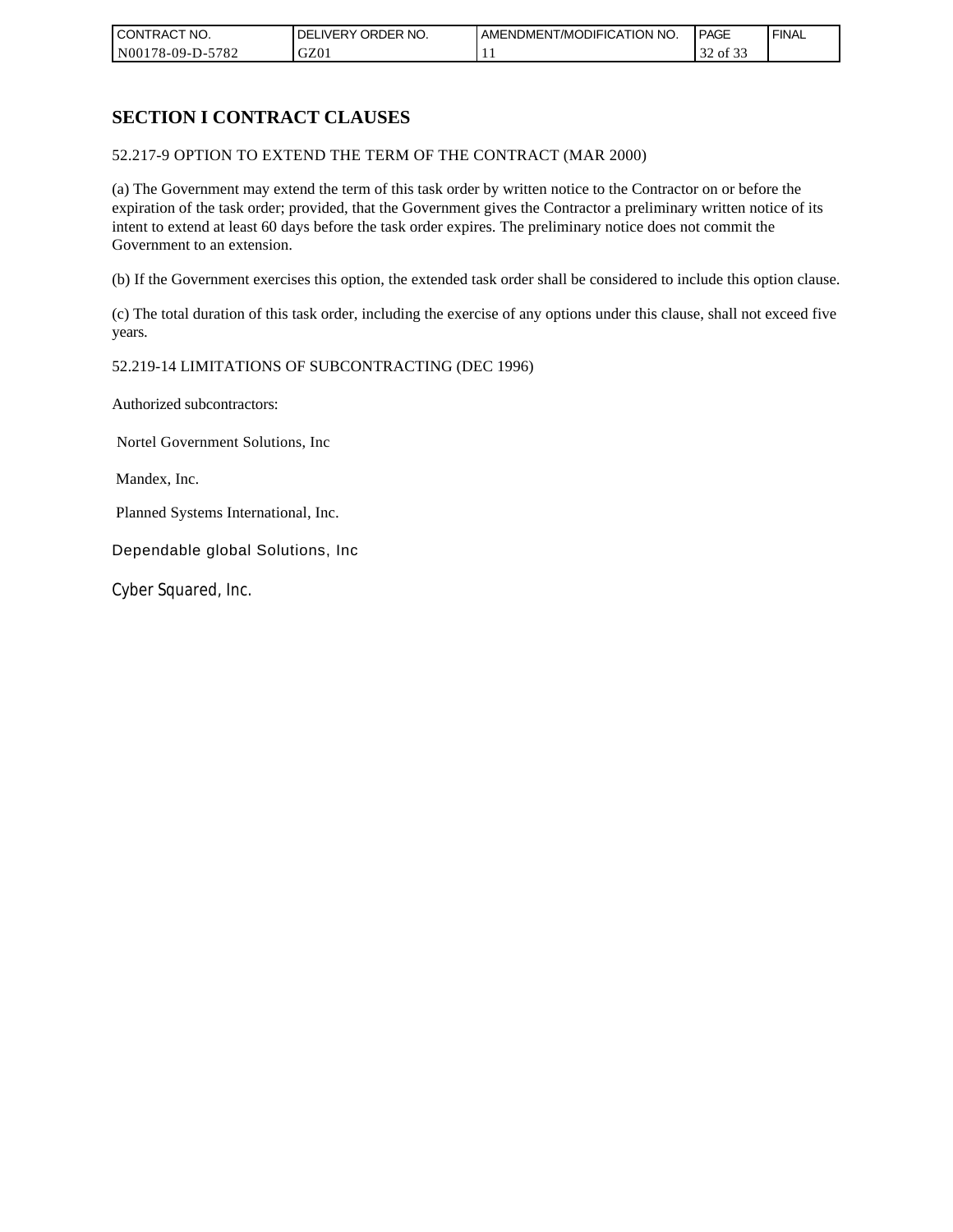| CONTRACT NO.     | ORDER <sup>'</sup><br>NO.<br><b>DELIVERY</b> | AMENDMENT/MODIFICATION NO. | PAGE                  | <b>FINAL</b> |
|------------------|----------------------------------------------|----------------------------|-----------------------|--------------|
| N00178-09-D-5782 | GZ01                                         | . .                        | $\sim$<br>of 33<br>32 |              |

# **SECTION I CONTRACT CLAUSES**

52.217-9 OPTION TO EXTEND THE TERM OF THE CONTRACT (MAR 2000)

(a) The Government may extend the term of this task order by written notice to the Contractor on or before the expiration of the task order; provided, that the Government gives the Contractor a preliminary written notice of its intent to extend at least 60 days before the task order expires. The preliminary notice does not commit the Government to an extension.

(b) If the Government exercises this option, the extended task order shall be considered to include this option clause.

(c) The total duration of this task order, including the exercise of any options under this clause, shall not exceed five years.

#### 52.219-14 LIMITATIONS OF SUBCONTRACTING (DEC 1996)

Authorized subcontractors:

Nortel Government Solutions, Inc

Mandex, Inc.

Planned Systems International, Inc.

Dependable global Solutions, Inc

Cyber Squared, Inc.